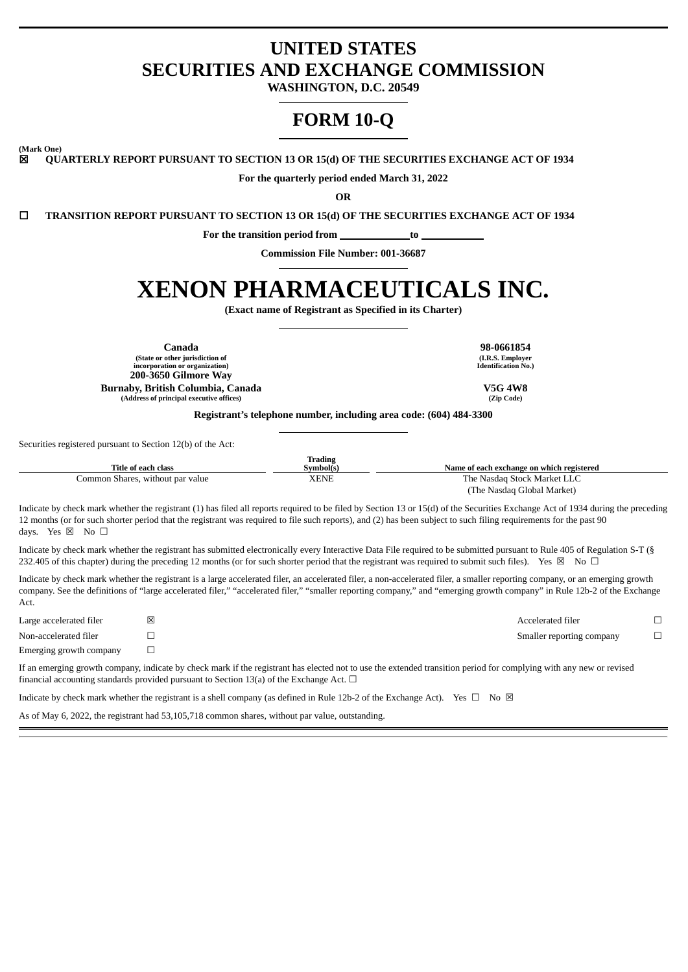# **UNITED STATES SECURITIES AND EXCHANGE COMMISSION**

**WASHINGTON, D.C. 20549**

# **FORM 10‑Q**

**(Mark One)**

☒ **QUARTERLY REPORT PURSUANT TO SECTION 13 OR 15(d) OF THE SECURITIES EXCHANGE ACT OF 1934**

**For the quarterly period ended March 31, 2022**

**OR**

☐ **TRANSITION REPORT PURSUANT TO SECTION 13 OR 15(d) OF THE SECURITIES EXCHANGE ACT OF 1934**

**For the transition period from to**

**Commission File Number: 001-36687**

# **XENON PHARMACEUTICALS INC.**

**(Exact name of Registrant as Specified in its Charter)**

**Canada 98-0661854 (State or other jurisdiction of incorporation or organization) 200-3650 Gilmore Way Burnaby, British Columbia, Canada V5G 4W8 (Address of principal executive offices) (Zip Code)**

**(I.R.S. Employer Identification No.)**

**Registrant's telephone number, including area code: (604) 484-3300**

Securities registered pursuant to Section 12(b) of the Act:

| Title of each class              | Trading<br>Symbol(s) | Name of each exchange on which registered |  |
|----------------------------------|----------------------|-------------------------------------------|--|
| Common Shares, without par value | XENE                 | The Nasdag Stock Market LLC               |  |
|                                  |                      | (The Nasdag Global Market)                |  |

Indicate by check mark whether the registrant (1) has filed all reports required to be filed by Section 13 or 15(d) of the Securities Exchange Act of 1934 during the preceding 12 months (or for such shorter period that the registrant was required to file such reports), and (2) has been subject to such filing requirements for the past 90 days. Yes  $\boxtimes$  No  $\square$ 

Indicate by check mark whether the registrant has submitted electronically every Interactive Data File required to be submitted pursuant to Rule 405 of Regulation S-T (§ 232.405 of this chapter) during the preceding 12 months (or for such shorter period that the registrant was required to submit such files). Yes  $\boxtimes$  No  $\Box$ 

Indicate by check mark whether the registrant is a large accelerated filer, an accelerated filer, a non-accelerated filer, a smaller reporting company, or an emerging growth company. See the definitions of "large accelerated filer," "accelerated filer," "smaller reporting company," and "emerging growth company" in Rule 12b-2 of the Exchange Act.

| Large accelerated filer | ⊠ | Accelerated filer         |  |
|-------------------------|---|---------------------------|--|
| Non-accelerated filer   |   | Smaller reporting company |  |
| Emerging growth company |   |                           |  |

If an emerging growth company, indicate by check mark if the registrant has elected not to use the extended transition period for complying with any new or revised financial accounting standards provided pursuant to Section 13(a) of the Exchange Act.  $\Box$ 

Indicate by check mark whether the registrant is a shell company (as defined in Rule 12b-2 of the Exchange Act). Yes  $\Box$  No  $\boxtimes$ 

As of May 6, 2022, the registrant had 53,105,718 common shares, without par value, outstanding.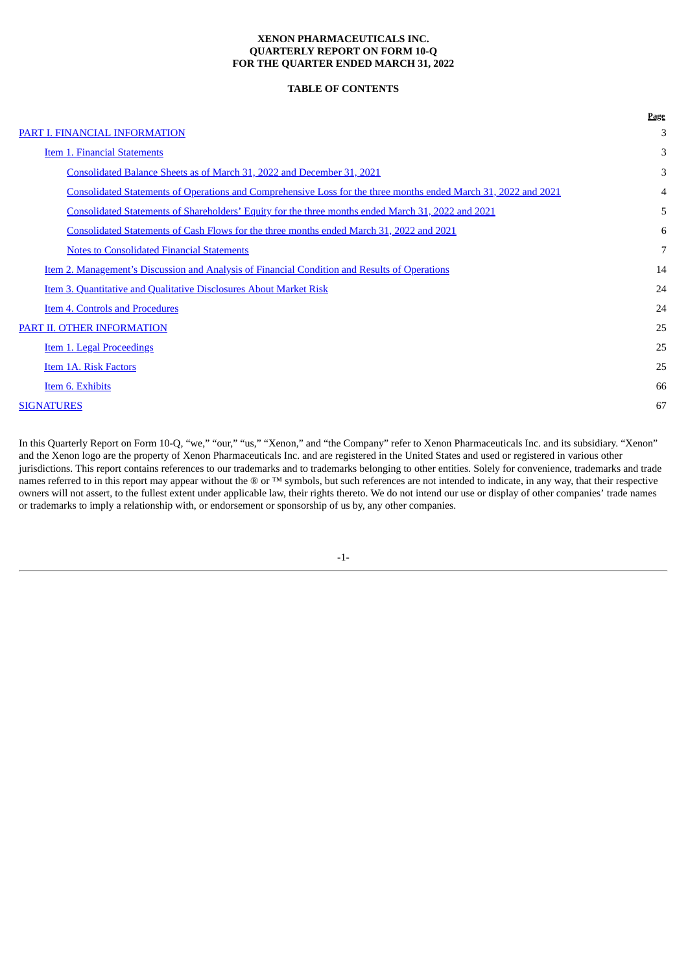## **XENON PHARMACEUTICALS INC. QUARTERLY REPORT ON FORM 10-Q FOR THE QUARTER ENDED MARCH 31, 2022**

## **TABLE OF CONTENTS**

|                                                                                                                 | Page |
|-----------------------------------------------------------------------------------------------------------------|------|
| PART I. FINANCIAL INFORMATION                                                                                   | 3    |
| <b>Item 1. Financial Statements</b>                                                                             | 3    |
| Consolidated Balance Sheets as of March 31, 2022 and December 31, 2021                                          | 3    |
| Consolidated Statements of Operations and Comprehensive Loss for the three months ended March 31, 2022 and 2021 | 4    |
| Consolidated Statements of Shareholders' Equity for the three months ended March 31, 2022 and 2021              | 5    |
| Consolidated Statements of Cash Flows for the three months ended March 31, 2022 and 2021                        | 6    |
| <b>Notes to Consolidated Financial Statements</b>                                                               | 7    |
| Item 2. Management's Discussion and Analysis of Financial Condition and Results of Operations                   | 14   |
| <b>Item 3. Quantitative and Qualitative Disclosures About Market Risk</b>                                       | 24   |
| <b>Item 4. Controls and Procedures</b>                                                                          | 24   |
| PART II. OTHER INFORMATION                                                                                      | 25   |
| Item 1. Legal Proceedings                                                                                       | 25   |
| Item 1A. Risk Factors                                                                                           | 25   |
| Item 6. Exhibits                                                                                                | 66   |
| <b>SIGNATURES</b>                                                                                               | 67   |
|                                                                                                                 |      |

In this Quarterly Report on Form 10-Q, "we," "our," "us," "Xenon," and "the Company" refer to Xenon Pharmaceuticals Inc. and its subsidiary. "Xenon" and the Xenon logo are the property of Xenon Pharmaceuticals Inc. and are registered in the United States and used or registered in various other jurisdictions. This report contains references to our trademarks and to trademarks belonging to other entities. Solely for convenience, trademarks and trade names referred to in this report may appear without the ® or ™ symbols, but such references are not intended to indicate, in any way, that their respective owners will not assert, to the fullest extent under applicable law, their rights thereto. We do not intend our use or display of other companies' trade names or trademarks to imply a relationship with, or endorsement or sponsorship of us by, any other companies.

-1-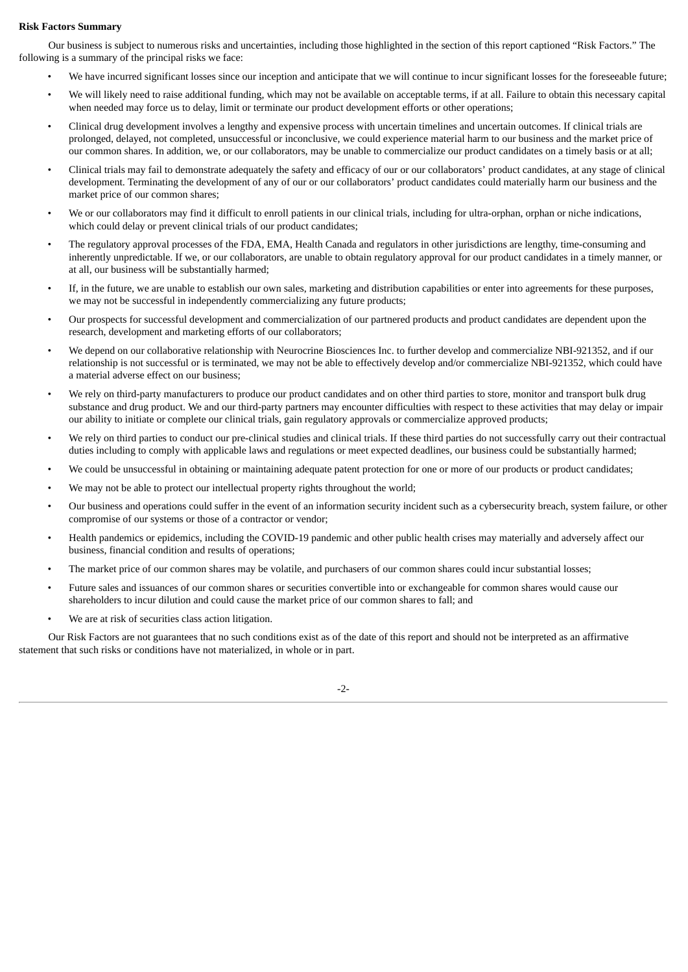## **Risk Factors Summary**

Our business is subject to numerous risks and uncertainties, including those highlighted in the section of this report captioned "Risk Factors." The following is a summary of the principal risks we face:

- We have incurred significant losses since our inception and anticipate that we will continue to incur significant losses for the foreseeable future;
- We will likely need to raise additional funding, which may not be available on acceptable terms, if at all. Failure to obtain this necessary capital when needed may force us to delay, limit or terminate our product development efforts or other operations;
- Clinical drug development involves a lengthy and expensive process with uncertain timelines and uncertain outcomes. If clinical trials are prolonged, delayed, not completed, unsuccessful or inconclusive, we could experience material harm to our business and the market price of our common shares. In addition, we, or our collaborators, may be unable to commercialize our product candidates on a timely basis or at all;
- Clinical trials may fail to demonstrate adequately the safety and efficacy of our or our collaborators' product candidates, at any stage of clinical development. Terminating the development of any of our or our collaborators' product candidates could materially harm our business and the market price of our common shares;
- We or our collaborators may find it difficult to enroll patients in our clinical trials, including for ultra-orphan, orphan or niche indications, which could delay or prevent clinical trials of our product candidates;
- The regulatory approval processes of the FDA, EMA, Health Canada and regulators in other jurisdictions are lengthy, time-consuming and inherently unpredictable. If we, or our collaborators, are unable to obtain regulatory approval for our product candidates in a timely manner, or at all, our business will be substantially harmed;
- If, in the future, we are unable to establish our own sales, marketing and distribution capabilities or enter into agreements for these purposes, we may not be successful in independently commercializing any future products;
- Our prospects for successful development and commercialization of our partnered products and product candidates are dependent upon the research, development and marketing efforts of our collaborators;
- We depend on our collaborative relationship with Neurocrine Biosciences Inc. to further develop and commercialize NBI-921352, and if our relationship is not successful or is terminated, we may not be able to effectively develop and/or commercialize NBI-921352, which could have a material adverse effect on our business;
- We rely on third-party manufacturers to produce our product candidates and on other third parties to store, monitor and transport bulk drug substance and drug product. We and our third-party partners may encounter difficulties with respect to these activities that may delay or impair our ability to initiate or complete our clinical trials, gain regulatory approvals or commercialize approved products;
- We rely on third parties to conduct our pre-clinical studies and clinical trials. If these third parties do not successfully carry out their contractual duties including to comply with applicable laws and regulations or meet expected deadlines, our business could be substantially harmed;
- We could be unsuccessful in obtaining or maintaining adequate patent protection for one or more of our products or product candidates;
- We may not be able to protect our intellectual property rights throughout the world;
- Our business and operations could suffer in the event of an information security incident such as a cybersecurity breach, system failure, or other compromise of our systems or those of a contractor or vendor;
- Health pandemics or epidemics, including the COVID-19 pandemic and other public health crises may materially and adversely affect our business, financial condition and results of operations;
- The market price of our common shares may be volatile, and purchasers of our common shares could incur substantial losses;
- Future sales and issuances of our common shares or securities convertible into or exchangeable for common shares would cause our shareholders to incur dilution and could cause the market price of our common shares to fall; and
- We are at risk of securities class action litigation.

Our Risk Factors are not guarantees that no such conditions exist as of the date of this report and should not be interpreted as an affirmative statement that such risks or conditions have not materialized, in whole or in part.

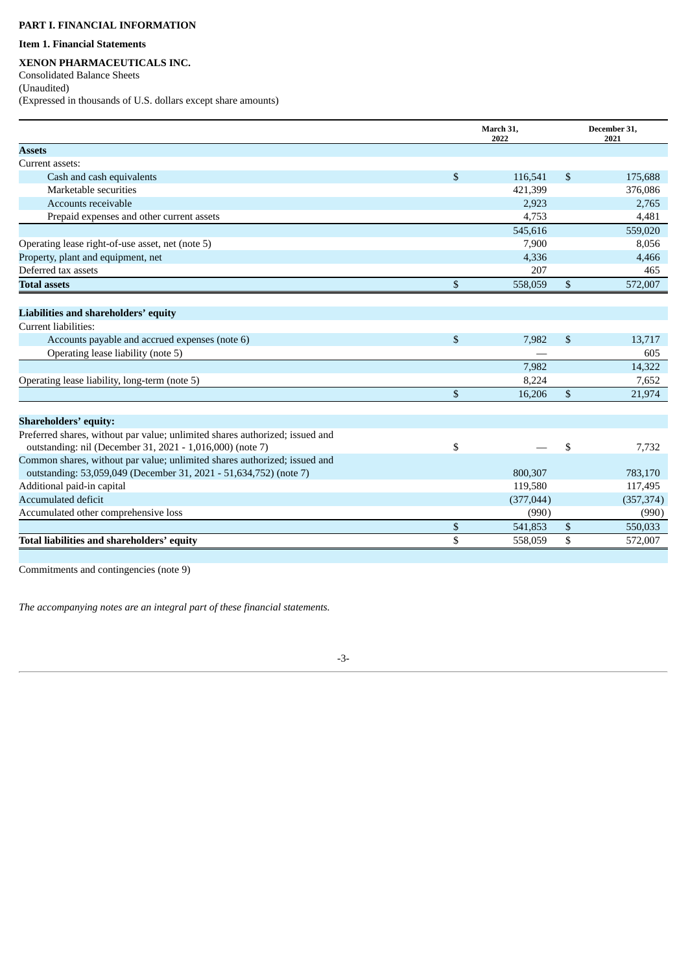## <span id="page-3-0"></span>**PART I. FINANCIAL INFORMATION**

## <span id="page-3-1"></span>**Item 1. Financial Statements**

## **XENON PHARMACEUTICALS INC.**

<span id="page-3-2"></span>Consolidated Balance Sheets (Unaudited)

(Expressed in thousands of U.S. dollars except share amounts)

|                                                                                                                                           | March 31,<br>2022 |            | December 31,<br>2021 |
|-------------------------------------------------------------------------------------------------------------------------------------------|-------------------|------------|----------------------|
| <b>Assets</b>                                                                                                                             |                   |            |                      |
| Current assets:                                                                                                                           |                   |            |                      |
| Cash and cash equivalents                                                                                                                 | \$                | 116,541    | \$<br>175,688        |
| Marketable securities                                                                                                                     |                   | 421,399    | 376,086              |
| Accounts receivable                                                                                                                       |                   | 2,923      | 2,765                |
| Prepaid expenses and other current assets                                                                                                 |                   | 4,753      | 4,481                |
|                                                                                                                                           |                   | 545,616    | 559,020              |
| Operating lease right-of-use asset, net (note 5)                                                                                          |                   | 7,900      | 8,056                |
| Property, plant and equipment, net                                                                                                        |                   | 4,336      | 4,466                |
| Deferred tax assets                                                                                                                       |                   | 207        | 465                  |
| <b>Total assets</b>                                                                                                                       | \$                | 558,059    | \$<br>572,007        |
|                                                                                                                                           |                   |            |                      |
| Liabilities and shareholders' equity                                                                                                      |                   |            |                      |
| Current liabilities:                                                                                                                      |                   |            |                      |
| Accounts payable and accrued expenses (note 6)                                                                                            | \$                | 7,982      | \$<br>13,717         |
| Operating lease liability (note 5)                                                                                                        |                   |            | 605                  |
|                                                                                                                                           |                   | 7,982      | 14,322               |
| Operating lease liability, long-term (note 5)                                                                                             |                   | 8,224      | 7,652                |
|                                                                                                                                           | \$                | 16,206     | \$<br>21,974         |
|                                                                                                                                           |                   |            |                      |
| <b>Shareholders' equity:</b>                                                                                                              |                   |            |                      |
| Preferred shares, without par value; unlimited shares authorized; issued and<br>outstanding: nil (December 31, 2021 - 1,016,000) (note 7) | \$                |            | \$<br>7,732          |
| Common shares, without par value; unlimited shares authorized; issued and                                                                 |                   |            |                      |
| outstanding: 53,059,049 (December 31, 2021 - 51,634,752) (note 7)                                                                         |                   | 800,307    | 783,170              |
| Additional paid-in capital                                                                                                                |                   | 119,580    | 117,495              |
| <b>Accumulated deficit</b>                                                                                                                |                   | (377, 044) | (357, 374)           |
| Accumulated other comprehensive loss                                                                                                      |                   | (990)      | (990)                |
|                                                                                                                                           | \$                | 541,853    | \$<br>550,033        |
| Total liabilities and shareholders' equity                                                                                                | \$                | 558,059    | \$<br>572,007        |

Commitments and contingencies (note 9)

*The accompanying notes are an integral part of these financial statements.*

-3-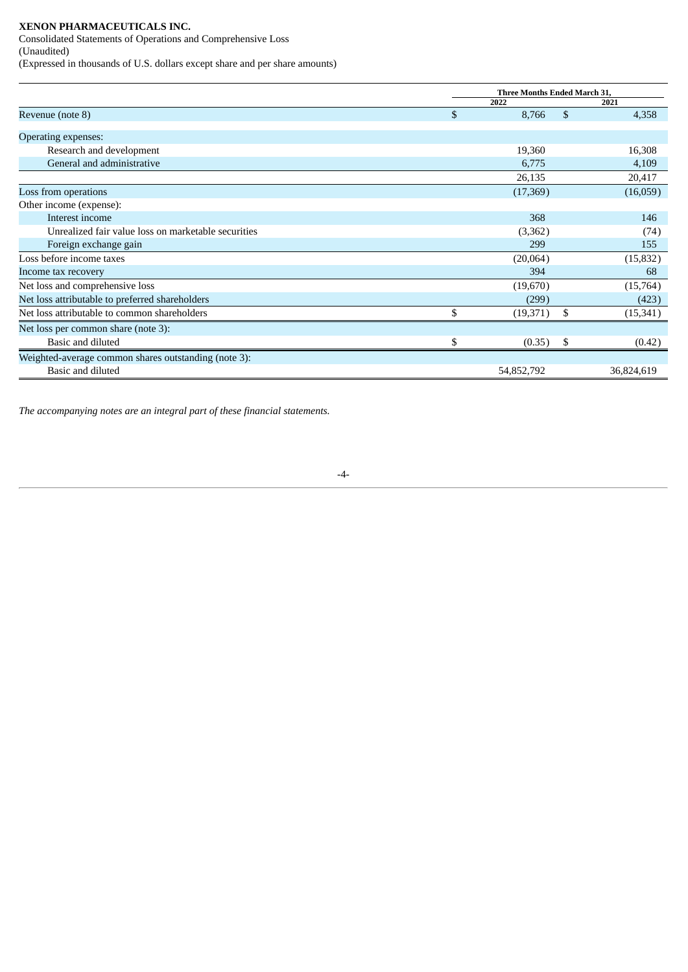## **XENON PHARMACEUTICALS INC.**

<span id="page-4-0"></span>Consolidated Statements of Operations and Comprehensive Loss (Unaudited)

(Expressed in thousands of U.S. dollars except share and per share amounts)

|                                                      | <b>Three Months Ended March 31,</b> |            |    |            |
|------------------------------------------------------|-------------------------------------|------------|----|------------|
|                                                      |                                     | 2022       |    | 2021       |
| Revenue (note 8)                                     | \$                                  | 8,766      | \$ | 4,358      |
| <b>Operating expenses:</b>                           |                                     |            |    |            |
| Research and development                             |                                     | 19,360     |    | 16,308     |
| General and administrative                           |                                     | 6,775      |    | 4,109      |
|                                                      |                                     | 26,135     |    | 20,417     |
| Loss from operations                                 |                                     | (17, 369)  |    | (16,059)   |
| Other income (expense):                              |                                     |            |    |            |
| Interest income                                      |                                     | 368        |    | 146        |
| Unrealized fair value loss on marketable securities  |                                     | (3,362)    |    | (74)       |
| Foreign exchange gain                                |                                     | 299        |    | 155        |
| Loss before income taxes                             |                                     | (20,064)   |    | (15, 832)  |
| Income tax recovery                                  |                                     | 394        |    | 68         |
| Net loss and comprehensive loss                      |                                     | (19,670)   |    | (15,764)   |
| Net loss attributable to preferred shareholders      |                                     | (299)      |    | (423)      |
| Net loss attributable to common shareholders         | \$                                  | (19,371)   | \$ | (15, 341)  |
| Net loss per common share (note 3):                  |                                     |            |    |            |
| Basic and diluted                                    | \$                                  | (0.35)     | \$ | (0.42)     |
| Weighted-average common shares outstanding (note 3): |                                     |            |    |            |
| Basic and diluted                                    |                                     | 54,852,792 |    | 36,824,619 |

*The accompanying notes are an integral part of these financial statements.*

-4-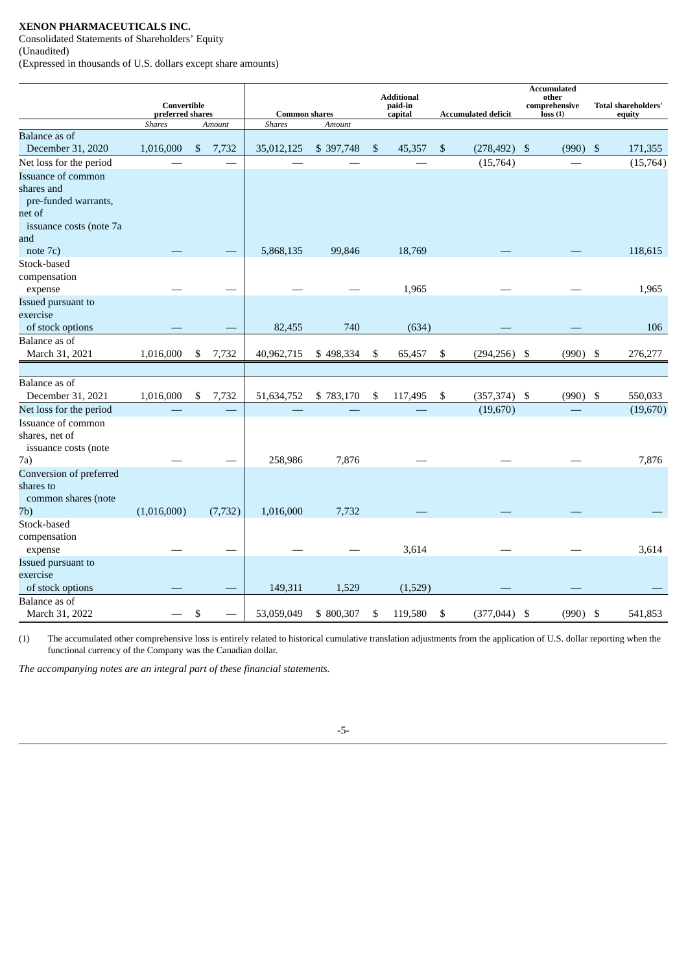## **XENON PHARMACEUTICALS INC.**

<span id="page-5-0"></span>Consolidated Statements of Shareholders' Equity

(Unaudited)

(Expressed in thousands of U.S. dollars except share amounts)

|                                                                     | Convertible<br>preferred shares |             | <b>Common shares</b> |           | <b>Additional</b><br>paid-in<br>capital |    |            |    | <b>Accumulated deficit</b> |     | <b>Accumulated</b><br>other<br>comprehensive<br>loss(1) |  | <b>Total shareholders'</b><br>equity |
|---------------------------------------------------------------------|---------------------------------|-------------|----------------------|-----------|-----------------------------------------|----|------------|----|----------------------------|-----|---------------------------------------------------------|--|--------------------------------------|
|                                                                     | <b>Shares</b>                   | Amount      | <b>Shares</b>        | Amount    |                                         |    |            |    |                            |     |                                                         |  |                                      |
| <b>Balance</b> as of                                                |                                 |             |                      |           |                                         |    |            |    |                            |     |                                                         |  |                                      |
| December 31, 2020                                                   | 1,016,000                       | \$<br>7,732 | 35,012,125           | \$397,748 | \$<br>45,357                            | \$ | (278, 492) | \$ | (990)                      | -\$ | 171,355                                                 |  |                                      |
| Net loss for the period                                             |                                 |             |                      |           |                                         |    | (15,764)   |    |                            |     | (15,764)                                                |  |                                      |
| <b>Issuance of common</b>                                           |                                 |             |                      |           |                                         |    |            |    |                            |     |                                                         |  |                                      |
| shares and<br>pre-funded warrants,<br>net of                        |                                 |             |                      |           |                                         |    |            |    |                            |     |                                                         |  |                                      |
| issuance costs (note 7a<br>and                                      |                                 |             |                      |           |                                         |    |            |    |                            |     |                                                         |  |                                      |
| note 7c)                                                            |                                 |             | 5,868,135            | 99,846    | 18,769                                  |    |            |    |                            |     | 118,615                                                 |  |                                      |
| Stock-based<br>compensation                                         |                                 |             |                      |           |                                         |    |            |    |                            |     |                                                         |  |                                      |
| expense                                                             |                                 |             |                      |           | 1,965                                   |    |            |    |                            |     | 1,965                                                   |  |                                      |
| Issued pursuant to<br>exercise                                      |                                 |             |                      |           |                                         |    |            |    |                            |     |                                                         |  |                                      |
| of stock options                                                    |                                 |             | 82,455               | 740       | (634)                                   |    |            |    |                            |     | 106                                                     |  |                                      |
| Balance as of<br>March 31, 2021                                     | 1,016,000                       | 7,732<br>\$ | 40,962,715           | \$498,334 | \$<br>65,457                            | \$ | (294, 256) | \$ | (990)                      | -\$ | 276,277                                                 |  |                                      |
|                                                                     |                                 |             |                      |           |                                         |    |            |    |                            |     |                                                         |  |                                      |
| Balance as of                                                       |                                 |             |                      |           |                                         |    |            |    |                            |     |                                                         |  |                                      |
| December 31, 2021                                                   | 1,016,000                       | 7,732<br>\$ | 51,634,752           | \$783,170 | \$<br>117,495                           | \$ | (357, 374) | \$ | (990)                      | -\$ | 550,033                                                 |  |                                      |
| Net loss for the period                                             |                                 |             |                      |           |                                         |    | (19,670)   |    |                            |     | (19,670)                                                |  |                                      |
| Issuance of common<br>shares, net of<br>issuance costs (note<br>7a) |                                 |             | 258,986              | 7,876     |                                         |    |            |    |                            |     | 7,876                                                   |  |                                      |
| Conversion of preferred                                             |                                 |             |                      |           |                                         |    |            |    |                            |     |                                                         |  |                                      |
| shares to<br>common shares (note<br>7b)                             | (1,016,000)                     | (7, 732)    | 1,016,000            | 7,732     |                                         |    |            |    |                            |     |                                                         |  |                                      |
| Stock-based                                                         |                                 |             |                      |           |                                         |    |            |    |                            |     |                                                         |  |                                      |
| compensation<br>expense                                             |                                 |             |                      |           | 3,614                                   |    |            |    |                            |     | 3,614                                                   |  |                                      |
| Issued pursuant to<br>exercise                                      |                                 |             |                      |           |                                         |    |            |    |                            |     |                                                         |  |                                      |
| of stock options                                                    |                                 |             | 149,311              | 1,529     | (1,529)                                 |    |            |    |                            |     |                                                         |  |                                      |
| Balance as of<br>March 31, 2022                                     |                                 | \$          | 53,059,049           | \$800,307 | \$<br>119,580                           | \$ | (377,044)  | \$ | (990)                      | \$  | 541,853                                                 |  |                                      |

(1) The accumulated other comprehensive loss is entirely related to historical cumulative translation adjustments from the application of U.S. dollar reporting when the functional currency of the Company was the Canadian dollar.

*The accompanying notes are an integral part of these financial statements.*

-5-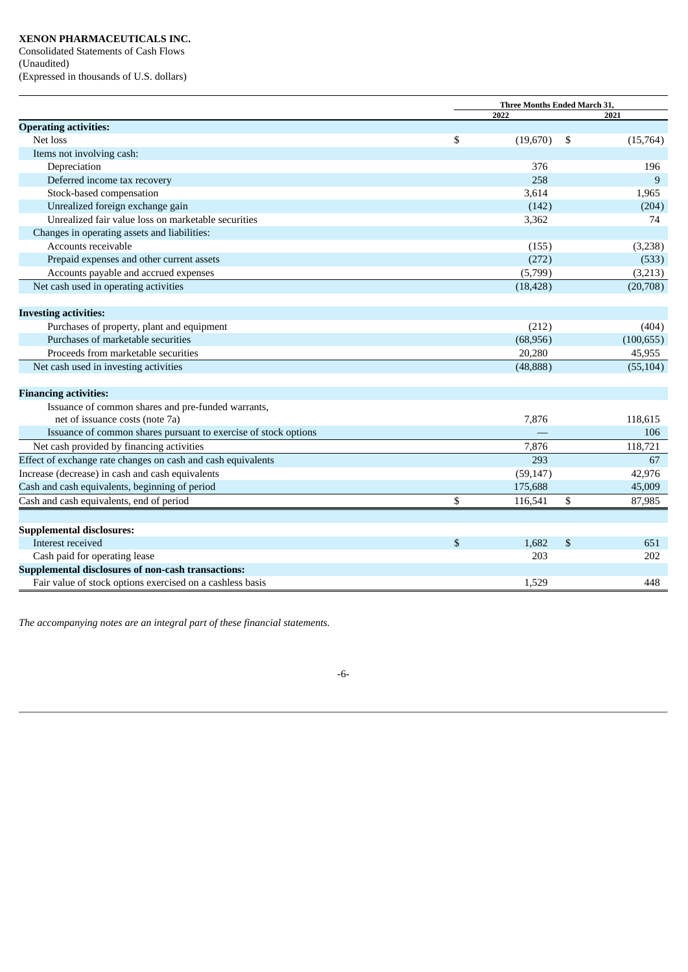## **XENON PHARMACEUTICALS INC.**

<span id="page-6-0"></span>Consolidated Statements of Cash Flows

(Unaudited) (Expressed in thousands of U.S. dollars)

|                                                                 | <b>Three Months Ended March 31,</b><br>2021 |    |            |  |  |
|-----------------------------------------------------------------|---------------------------------------------|----|------------|--|--|
| <b>Operating activities:</b>                                    | 2022                                        |    |            |  |  |
| Net loss                                                        | \$<br>(19,670)                              | \$ | (15,764)   |  |  |
| Items not involving cash:                                       |                                             |    |            |  |  |
| Depreciation                                                    | 376                                         |    | 196        |  |  |
| Deferred income tax recovery                                    | 258                                         |    | 9          |  |  |
| Stock-based compensation                                        | 3,614                                       |    | 1,965      |  |  |
| Unrealized foreign exchange gain                                | (142)                                       |    | (204)      |  |  |
| Unrealized fair value loss on marketable securities             | 3,362                                       |    | 74         |  |  |
| Changes in operating assets and liabilities:                    |                                             |    |            |  |  |
| Accounts receivable                                             | (155)                                       |    | (3,238)    |  |  |
| Prepaid expenses and other current assets                       | (272)                                       |    | (533)      |  |  |
| Accounts payable and accrued expenses                           | (5,799)                                     |    | (3,213)    |  |  |
| Net cash used in operating activities                           | (18, 428)                                   |    | (20, 708)  |  |  |
|                                                                 |                                             |    |            |  |  |
| <b>Investing activities:</b>                                    |                                             |    |            |  |  |
| Purchases of property, plant and equipment                      | (212)                                       |    | (404)      |  |  |
| Purchases of marketable securities                              | (68,956)                                    |    | (100, 655) |  |  |
| Proceeds from marketable securities                             | 20,280                                      |    | 45,955     |  |  |
| Net cash used in investing activities                           | (48, 888)                                   |    | (55, 104)  |  |  |
|                                                                 |                                             |    |            |  |  |
| <b>Financing activities:</b>                                    |                                             |    |            |  |  |
| Issuance of common shares and pre-funded warrants,              |                                             |    |            |  |  |
| net of issuance costs (note 7a)                                 | 7,876                                       |    | 118,615    |  |  |
| Issuance of common shares pursuant to exercise of stock options |                                             |    | 106        |  |  |
| Net cash provided by financing activities                       | 7,876                                       |    | 118,721    |  |  |
| Effect of exchange rate changes on cash and cash equivalents    | 293                                         |    | 67         |  |  |
| Increase (decrease) in cash and cash equivalents                | (59, 147)                                   |    | 42,976     |  |  |
| Cash and cash equivalents, beginning of period                  | 175,688                                     |    | 45,009     |  |  |
| Cash and cash equivalents, end of period                        | \$<br>116,541                               | \$ | 87,985     |  |  |
|                                                                 |                                             |    |            |  |  |
| <b>Supplemental disclosures:</b>                                |                                             |    |            |  |  |
| Interest received                                               | \$<br>1,682                                 | \$ | 651        |  |  |
| Cash paid for operating lease                                   | 203                                         |    | 202        |  |  |
| Supplemental disclosures of non-cash transactions:              |                                             |    |            |  |  |
| Fair value of stock options exercised on a cashless basis       | 1,529                                       |    | 448        |  |  |

*The accompanying notes are an integral part of these financial statements.*

-6-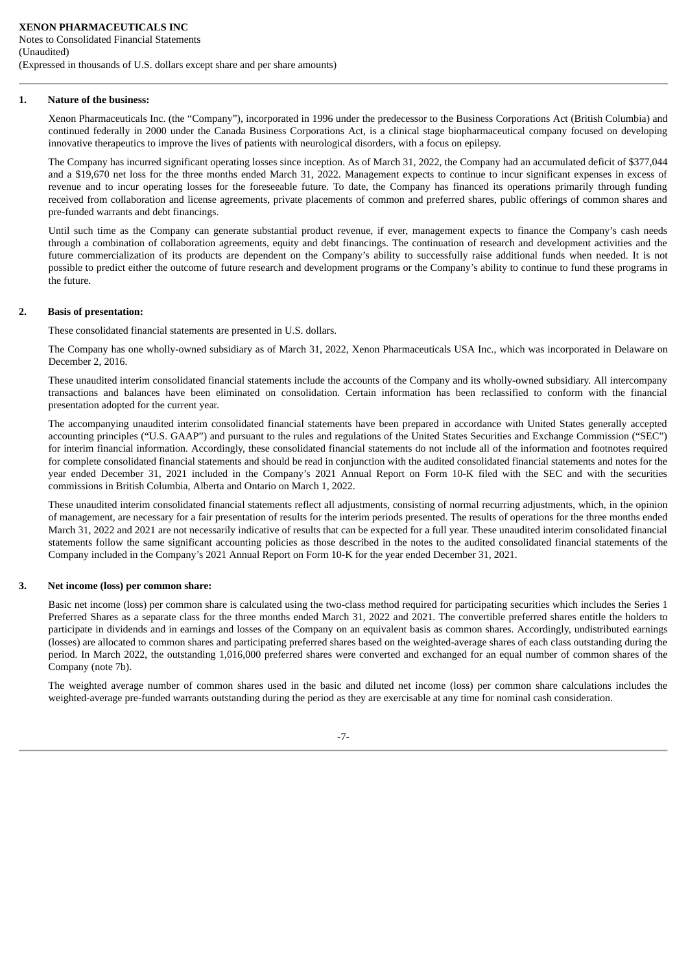## <span id="page-7-0"></span>**1. Nature of the business:**

Xenon Pharmaceuticals Inc. (the "Company"), incorporated in 1996 under the predecessor to the Business Corporations Act (British Columbia) and continued federally in 2000 under the Canada Business Corporations Act, is a clinical stage biopharmaceutical company focused on developing innovative therapeutics to improve the lives of patients with neurological disorders, with a focus on epilepsy.

The Company has incurred significant operating losses since inception. As of March 31, 2022, the Company had an accumulated deficit of \$377,044 and a \$19,670 net loss for the three months ended March 31, 2022. Management expects to continue to incur significant expenses in excess of revenue and to incur operating losses for the foreseeable future. To date, the Company has financed its operations primarily through funding received from collaboration and license agreements, private placements of common and preferred shares, public offerings of common shares and pre-funded warrants and debt financings.

Until such time as the Company can generate substantial product revenue, if ever, management expects to finance the Company's cash needs through a combination of collaboration agreements, equity and debt financings. The continuation of research and development activities and the future commercialization of its products are dependent on the Company's ability to successfully raise additional funds when needed. It is not possible to predict either the outcome of future research and development programs or the Company's ability to continue to fund these programs in the future.

## **2. Basis of presentation:**

These consolidated financial statements are presented in U.S. dollars.

The Company has one wholly-owned subsidiary as of March 31, 2022, Xenon Pharmaceuticals USA Inc., which was incorporated in Delaware on December 2, 2016.

These unaudited interim consolidated financial statements include the accounts of the Company and its wholly-owned subsidiary. All intercompany transactions and balances have been eliminated on consolidation. Certain information has been reclassified to conform with the financial presentation adopted for the current year.

The accompanying unaudited interim consolidated financial statements have been prepared in accordance with United States generally accepted accounting principles ("U.S. GAAP") and pursuant to the rules and regulations of the United States Securities and Exchange Commission ("SEC") for interim financial information. Accordingly, these consolidated financial statements do not include all of the information and footnotes required for complete consolidated financial statements and should be read in conjunction with the audited consolidated financial statements and notes for the year ended December 31, 2021 included in the Company's 2021 Annual Report on Form 10-K filed with the SEC and with the securities commissions in British Columbia, Alberta and Ontario on March 1, 2022.

These unaudited interim consolidated financial statements reflect all adjustments, consisting of normal recurring adjustments, which, in the opinion of management, are necessary for a fair presentation of results for the interim periods presented. The results of operations for the three months ended March 31, 2022 and 2021 are not necessarily indicative of results that can be expected for a full year. These unaudited interim consolidated financial statements follow the same significant accounting policies as those described in the notes to the audited consolidated financial statements of the Company included in the Company's 2021 Annual Report on Form 10-K for the year ended December 31, 2021.

## **3. Net income (loss) per common share:**

Basic net income (loss) per common share is calculated using the two-class method required for participating securities which includes the Series 1 Preferred Shares as a separate class for the three months ended March 31, 2022 and 2021. The convertible preferred shares entitle the holders to participate in dividends and in earnings and losses of the Company on an equivalent basis as common shares. Accordingly, undistributed earnings (losses) are allocated to common shares and participating preferred shares based on the weighted-average shares of each class outstanding during the period. In March 2022, the outstanding 1,016,000 preferred shares were converted and exchanged for an equal number of common shares of the Company (note 7b).

The weighted average number of common shares used in the basic and diluted net income (loss) per common share calculations includes the weighted-average pre-funded warrants outstanding during the period as they are exercisable at any time for nominal cash consideration.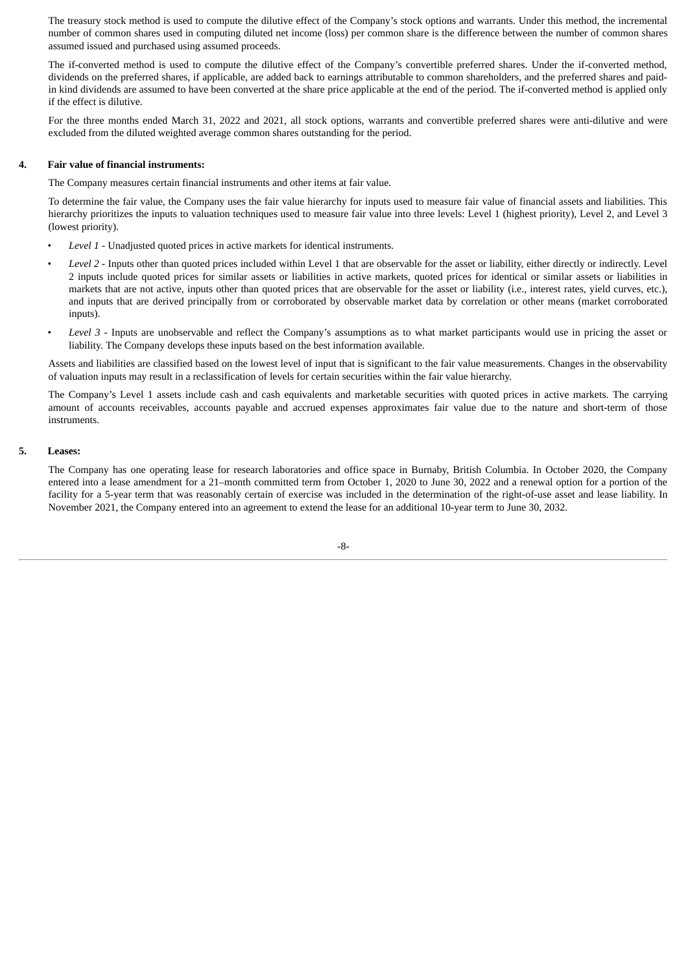The treasury stock method is used to compute the dilutive effect of the Company's stock options and warrants. Under this method, the incremental number of common shares used in computing diluted net income (loss) per common share is the difference between the number of common shares assumed issued and purchased using assumed proceeds.

The if-converted method is used to compute the dilutive effect of the Company's convertible preferred shares. Under the if-converted method, dividends on the preferred shares, if applicable, are added back to earnings attributable to common shareholders, and the preferred shares and paidin kind dividends are assumed to have been converted at the share price applicable at the end of the period. The if-converted method is applied only if the effect is dilutive.

For the three months ended March 31, 2022 and 2021, all stock options, warrants and convertible preferred shares were anti-dilutive and were excluded from the diluted weighted average common shares outstanding for the period.

## **4. Fair value of financial instruments:**

The Company measures certain financial instruments and other items at fair value.

To determine the fair value, the Company uses the fair value hierarchy for inputs used to measure fair value of financial assets and liabilities. This hierarchy prioritizes the inputs to valuation techniques used to measure fair value into three levels: Level 1 (highest priority), Level 2, and Level 3 (lowest priority).

- *Level 1 -* Unadjusted quoted prices in active markets for identical instruments.
- Level 2 Inputs other than quoted prices included within Level 1 that are observable for the asset or liability, either directly or indirectly. Level 2 inputs include quoted prices for similar assets or liabilities in active markets, quoted prices for identical or similar assets or liabilities in markets that are not active, inputs other than quoted prices that are observable for the asset or liability (i.e., interest rates, yield curves, etc.), and inputs that are derived principally from or corroborated by observable market data by correlation or other means (market corroborated inputs).
- *Level 3 -* Inputs are unobservable and reflect the Company's assumptions as to what market participants would use in pricing the asset or liability. The Company develops these inputs based on the best information available.

Assets and liabilities are classified based on the lowest level of input that is significant to the fair value measurements. Changes in the observability of valuation inputs may result in a reclassification of levels for certain securities within the fair value hierarchy.

The Company's Level 1 assets include cash and cash equivalents and marketable securities with quoted prices in active markets. The carrying amount of accounts receivables, accounts payable and accrued expenses approximates fair value due to the nature and short-term of those instruments.

## **5. Leases:**

The Company has one operating lease for research laboratories and office space in Burnaby, British Columbia. In October 2020, the Company entered into a lease amendment for a 21–month committed term from October 1, 2020 to June 30, 2022 and a renewal option for a portion of the facility for a 5-year term that was reasonably certain of exercise was included in the determination of the right-of-use asset and lease liability. In November 2021, the Company entered into an agreement to extend the lease for an additional 10-year term to June 30, 2032.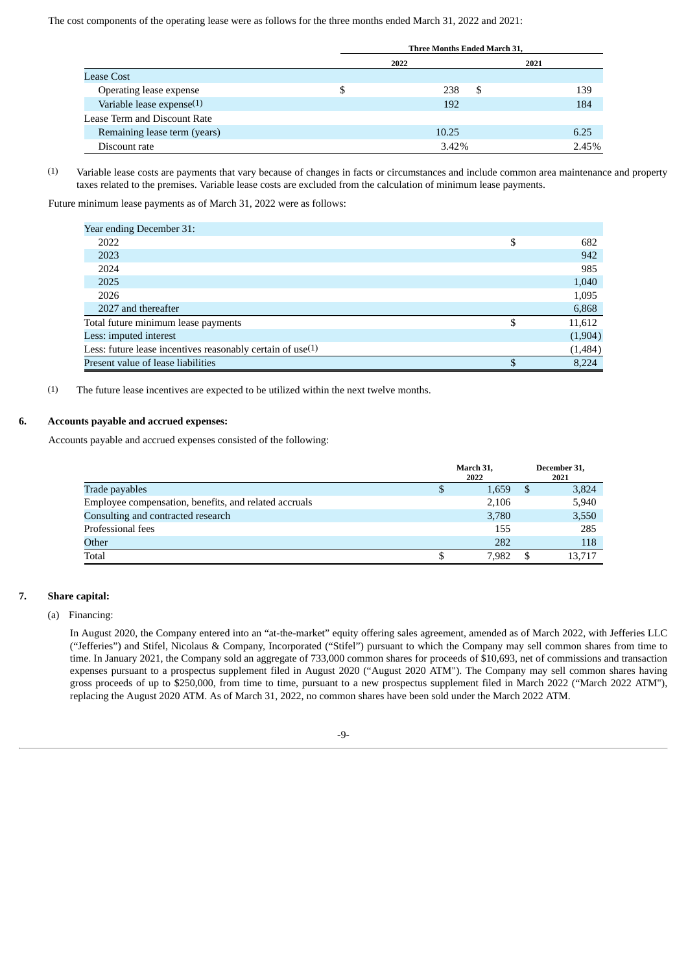The cost components of the operating lease were as follows for the three months ended March 31, 2022 and 2021:

|                              |   | Three Months Ended March 31, |       |  |  |  |  |
|------------------------------|---|------------------------------|-------|--|--|--|--|
|                              |   | 2022                         | 2021  |  |  |  |  |
| Lease Cost                   |   |                              |       |  |  |  |  |
| Operating lease expense      | C | S<br>238                     | 139   |  |  |  |  |
| Variable lease expense(1)    |   | 192                          | 184   |  |  |  |  |
| Lease Term and Discount Rate |   |                              |       |  |  |  |  |
| Remaining lease term (years) |   | 10.25                        | 6.25  |  |  |  |  |
| Discount rate                |   | $3.42\%$                     | 2.45% |  |  |  |  |

(1) Variable lease costs are payments that vary because of changes in facts or circumstances and include common area maintenance and property taxes related to the premises. Variable lease costs are excluded from the calculation of minimum lease payments.

Future minimum lease payments as of March 31, 2022 were as follows:

| Year ending December 31:                                     |    |         |
|--------------------------------------------------------------|----|---------|
| 2022                                                         | \$ | 682     |
| 2023                                                         |    | 942     |
| 2024                                                         |    | 985     |
| 2025                                                         |    | 1,040   |
| 2026                                                         |    | 1,095   |
| 2027 and thereafter                                          |    | 6,868   |
| Total future minimum lease payments                          | S  | 11,612  |
| Less: imputed interest                                       |    | (1,904) |
| Less: future lease incentives reasonably certain of $use(1)$ |    | (1,484) |
| Present value of lease liabilities                           | \$ | 8,224   |

(1) The future lease incentives are expected to be utilized within the next twelve months.

## **6. Accounts payable and accrued expenses:**

Accounts payable and accrued expenses consisted of the following:

|                                                       |   | March 31,<br>2022 | December 31,<br>2021 |
|-------------------------------------------------------|---|-------------------|----------------------|
| Trade payables                                        | S | 1,659             | 3,824                |
| Employee compensation, benefits, and related accruals |   | 2,106             | 5,940                |
| Consulting and contracted research                    |   | 3,780             | 3,550                |
| Professional fees                                     |   | 155               | 285                  |
| Other                                                 |   | 282               | 118                  |
| Total                                                 |   | 7.982             | 13.717               |

## **7. Share capital:**

## (a) Financing:

In August 2020, the Company entered into an "at-the-market" equity offering sales agreement, amended as of March 2022, with Jefferies LLC ("Jefferies") and Stifel, Nicolaus & Company, Incorporated ("Stifel") pursuant to which the Company may sell common shares from time to time. In January 2021, the Company sold an aggregate of 733,000 common shares for proceeds of \$10,693, net of commissions and transaction expenses pursuant to a prospectus supplement filed in August 2020 ("August 2020 ATM"). The Company may sell common shares having gross proceeds of up to \$250,000, from time to time, pursuant to a new prospectus supplement filed in March 2022 ("March 2022 ATM"), replacing the August 2020 ATM. As of March 31, 2022, no common shares have been sold under the March 2022 ATM.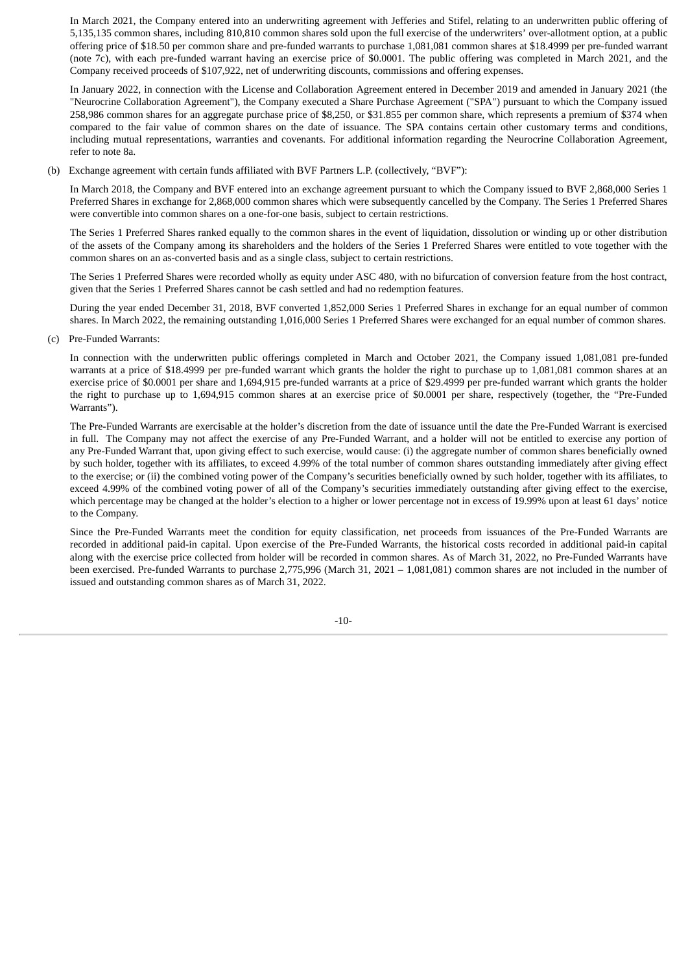In March 2021, the Company entered into an underwriting agreement with Jefferies and Stifel, relating to an underwritten public offering of 5,135,135 common shares, including 810,810 common shares sold upon the full exercise of the underwriters' over-allotment option, at a public offering price of \$18.50 per common share and pre-funded warrants to purchase 1,081,081 common shares at \$18.4999 per pre-funded warrant (note 7c), with each pre-funded warrant having an exercise price of \$0.0001. The public offering was completed in March 2021, and the Company received proceeds of \$107,922, net of underwriting discounts, commissions and offering expenses.

In January 2022, in connection with the License and Collaboration Agreement entered in December 2019 and amended in January 2021 (the "Neurocrine Collaboration Agreement"), the Company executed a Share Purchase Agreement ("SPA") pursuant to which the Company issued 258,986 common shares for an aggregate purchase price of \$8,250, or \$31.855 per common share, which represents a premium of \$374 when compared to the fair value of common shares on the date of issuance. The SPA contains certain other customary terms and conditions, including mutual representations, warranties and covenants. For additional information regarding the Neurocrine Collaboration Agreement, refer to note 8a.

(b) Exchange agreement with certain funds affiliated with BVF Partners L.P. (collectively, "BVF"):

In March 2018, the Company and BVF entered into an exchange agreement pursuant to which the Company issued to BVF 2,868,000 Series 1 Preferred Shares in exchange for 2,868,000 common shares which were subsequently cancelled by the Company. The Series 1 Preferred Shares were convertible into common shares on a one-for-one basis, subject to certain restrictions.

The Series 1 Preferred Shares ranked equally to the common shares in the event of liquidation, dissolution or winding up or other distribution of the assets of the Company among its shareholders and the holders of the Series 1 Preferred Shares were entitled to vote together with the common shares on an as-converted basis and as a single class, subject to certain restrictions.

The Series 1 Preferred Shares were recorded wholly as equity under ASC 480, with no bifurcation of conversion feature from the host contract, given that the Series 1 Preferred Shares cannot be cash settled and had no redemption features.

During the year ended December 31, 2018, BVF converted 1,852,000 Series 1 Preferred Shares in exchange for an equal number of common shares. In March 2022, the remaining outstanding 1,016,000 Series 1 Preferred Shares were exchanged for an equal number of common shares.

(c) Pre-Funded Warrants:

In connection with the underwritten public offerings completed in March and October 2021, the Company issued 1,081,081 pre-funded warrants at a price of \$18.4999 per pre-funded warrant which grants the holder the right to purchase up to 1,081,081 common shares at an exercise price of \$0.0001 per share and 1,694,915 pre-funded warrants at a price of \$29.4999 per pre-funded warrant which grants the holder the right to purchase up to 1,694,915 common shares at an exercise price of \$0.0001 per share, respectively (together, the "Pre-Funded Warrants").

The Pre-Funded Warrants are exercisable at the holder's discretion from the date of issuance until the date the Pre-Funded Warrant is exercised in full. The Company may not affect the exercise of any Pre-Funded Warrant, and a holder will not be entitled to exercise any portion of any Pre-Funded Warrant that, upon giving effect to such exercise, would cause: (i) the aggregate number of common shares beneficially owned by such holder, together with its affiliates, to exceed 4.99% of the total number of common shares outstanding immediately after giving effect to the exercise; or (ii) the combined voting power of the Company's securities beneficially owned by such holder, together with its affiliates, to exceed 4.99% of the combined voting power of all of the Company's securities immediately outstanding after giving effect to the exercise, which percentage may be changed at the holder's election to a higher or lower percentage not in excess of 19.99% upon at least 61 days' notice to the Company.

Since the Pre-Funded Warrants meet the condition for equity classification, net proceeds from issuances of the Pre-Funded Warrants are recorded in additional paid-in capital. Upon exercise of the Pre-Funded Warrants, the historical costs recorded in additional paid-in capital along with the exercise price collected from holder will be recorded in common shares. As of March 31, 2022, no Pre-Funded Warrants have been exercised. Pre-funded Warrants to purchase 2,775,996 (March 31, 2021 – 1,081,081) common shares are not included in the number of issued and outstanding common shares as of March 31, 2022.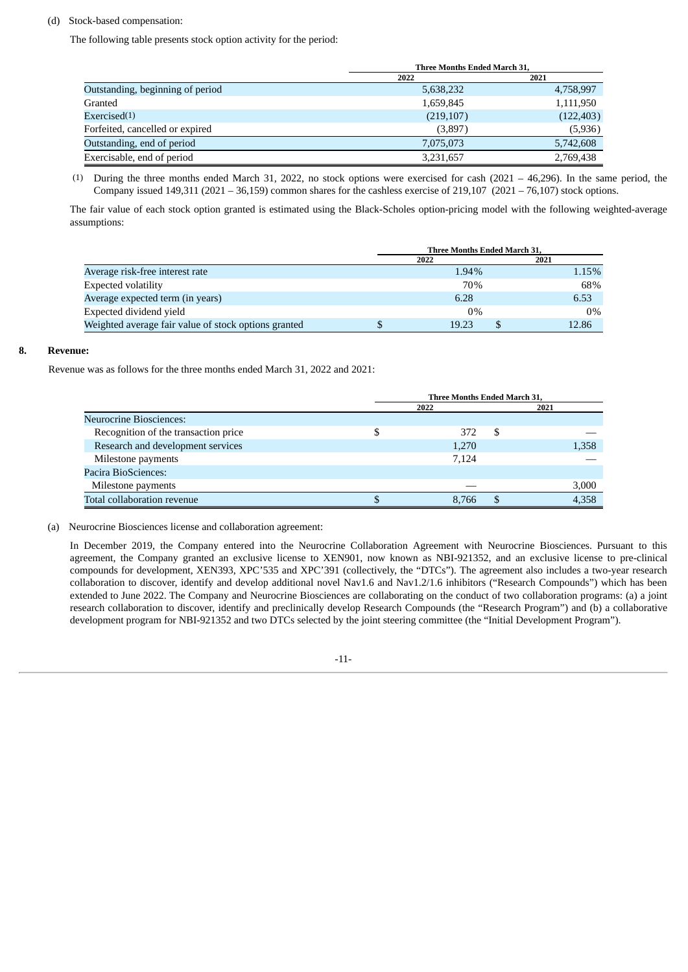## (d) Stock-based compensation:

The following table presents stock option activity for the period:

|                                  | Three Months Ended March 31, |            |  |  |
|----------------------------------|------------------------------|------------|--|--|
|                                  | 2022                         | 2021       |  |  |
| Outstanding, beginning of period | 5,638,232                    | 4,758,997  |  |  |
| Granted                          | 1,659,845                    | 1,111,950  |  |  |
| Exercised(1)                     | (219, 107)                   | (122, 403) |  |  |
| Forfeited, cancelled or expired  | (3,897)                      | (5,936)    |  |  |
| Outstanding, end of period       | 7,075,073                    | 5,742,608  |  |  |
| Exercisable, end of period       | 3,231,657                    | 2,769,438  |  |  |

(1) During the three months ended March 31, 2022, no stock options were exercised for cash (2021 – 46,296). In the same period, the Company issued 149,311 (2021 – 36,159) common shares for the cashless exercise of 219,107 (2021 – 76,107) stock options.

The fair value of each stock option granted is estimated using the Black-Scholes option-pricing model with the following weighted-average assumptions:

|                                                      | <b>Three Months Ended March 31.</b> |  |       |  |  |
|------------------------------------------------------|-------------------------------------|--|-------|--|--|
|                                                      | 2022                                |  | 2021  |  |  |
| Average risk-free interest rate                      | 1.94%                               |  | 1.15% |  |  |
| <b>Expected volatility</b>                           | 70%                                 |  | 68%   |  |  |
| Average expected term (in years)                     | 6.28                                |  | 6.53  |  |  |
| Expected dividend yield                              | 0%                                  |  | $0\%$ |  |  |
| Weighted average fair value of stock options granted | 19.23                               |  | 12.86 |  |  |

## **8. Revenue:**

Revenue was as follows for the three months ended March 31, 2022 and 2021:

|                                      | Three Months Ended March 31, |       |   |       |  |  |  |  |
|--------------------------------------|------------------------------|-------|---|-------|--|--|--|--|
|                                      |                              | 2022  |   | 2021  |  |  |  |  |
| Neurocrine Biosciences:              |                              |       |   |       |  |  |  |  |
| Recognition of the transaction price | S                            | 372   | S |       |  |  |  |  |
| Research and development services    |                              | 1,270 |   | 1,358 |  |  |  |  |
| Milestone payments                   |                              | 7.124 |   |       |  |  |  |  |
| Pacira BioSciences:                  |                              |       |   |       |  |  |  |  |
| Milestone payments                   |                              |       |   | 3,000 |  |  |  |  |
| Total collaboration revenue          |                              | 8.766 |   | 4,358 |  |  |  |  |

#### (a) Neurocrine Biosciences license and collaboration agreement:

In December 2019, the Company entered into the Neurocrine Collaboration Agreement with Neurocrine Biosciences. Pursuant to this agreement, the Company granted an exclusive license to XEN901, now known as NBI-921352, and an exclusive license to pre-clinical compounds for development, XEN393, XPC'535 and XPC'391 (collectively, the "DTCs"). The agreement also includes a two-year research collaboration to discover, identify and develop additional novel Nav1.6 and Nav1.2/1.6 inhibitors ("Research Compounds") which has been extended to June 2022. The Company and Neurocrine Biosciences are collaborating on the conduct of two collaboration programs: (a) a joint research collaboration to discover, identify and preclinically develop Research Compounds (the "Research Program") and (b) a collaborative development program for NBI-921352 and two DTCs selected by the joint steering committee (the "Initial Development Program").

-11-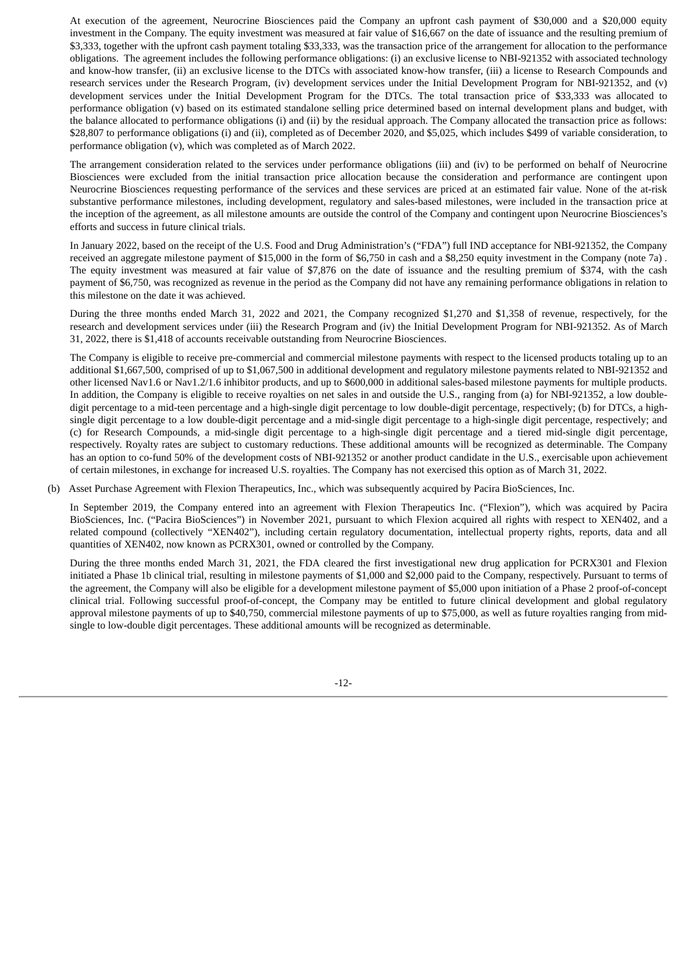At execution of the agreement, Neurocrine Biosciences paid the Company an upfront cash payment of \$30,000 and a \$20,000 equity investment in the Company. The equity investment was measured at fair value of \$16,667 on the date of issuance and the resulting premium of \$3,333, together with the upfront cash payment totaling \$33,333, was the transaction price of the arrangement for allocation to the performance obligations. The agreement includes the following performance obligations: (i) an exclusive license to NBI-921352 with associated technology and know-how transfer, (ii) an exclusive license to the DTCs with associated know-how transfer, (iii) a license to Research Compounds and research services under the Research Program, (iv) development services under the Initial Development Program for NBI-921352, and (v) development services under the Initial Development Program for the DTCs. The total transaction price of \$33,333 was allocated to performance obligation (v) based on its estimated standalone selling price determined based on internal development plans and budget, with the balance allocated to performance obligations (i) and (ii) by the residual approach. The Company allocated the transaction price as follows: \$28,807 to performance obligations (i) and (ii), completed as of December 2020, and \$5,025, which includes \$499 of variable consideration, to performance obligation (v), which was completed as of March 2022.

The arrangement consideration related to the services under performance obligations (iii) and (iv) to be performed on behalf of Neurocrine Biosciences were excluded from the initial transaction price allocation because the consideration and performance are contingent upon Neurocrine Biosciences requesting performance of the services and these services are priced at an estimated fair value. None of the at-risk substantive performance milestones, including development, regulatory and sales-based milestones, were included in the transaction price at the inception of the agreement, as all milestone amounts are outside the control of the Company and contingent upon Neurocrine Biosciences's efforts and success in future clinical trials.

In January 2022, based on the receipt of the U.S. Food and Drug Administration's ("FDA") full IND acceptance for NBI-921352, the Company received an aggregate milestone payment of \$15,000 in the form of \$6,750 in cash and a \$8,250 equity investment in the Company (note 7a) . The equity investment was measured at fair value of \$7,876 on the date of issuance and the resulting premium of \$374, with the cash payment of \$6,750, was recognized as revenue in the period as the Company did not have any remaining performance obligations in relation to this milestone on the date it was achieved.

During the three months ended March 31, 2022 and 2021, the Company recognized \$1,270 and \$1,358 of revenue, respectively, for the research and development services under (iii) the Research Program and (iv) the Initial Development Program for NBI-921352. As of March 31, 2022, there is \$1,418 of accounts receivable outstanding from Neurocrine Biosciences.

The Company is eligible to receive pre-commercial and commercial milestone payments with respect to the licensed products totaling up to an additional \$1,667,500, comprised of up to \$1,067,500 in additional development and regulatory milestone payments related to NBI-921352 and other licensed Nav1.6 or Nav1.2/1.6 inhibitor products, and up to \$600,000 in additional sales-based milestone payments for multiple products. In addition, the Company is eligible to receive royalties on net sales in and outside the U.S., ranging from (a) for NBI-921352, a low doubledigit percentage to a mid-teen percentage and a high-single digit percentage to low double-digit percentage, respectively; (b) for DTCs, a highsingle digit percentage to a low double-digit percentage and a mid-single digit percentage to a high-single digit percentage, respectively; and (c) for Research Compounds, a mid-single digit percentage to a high-single digit percentage and a tiered mid-single digit percentage, respectively. Royalty rates are subject to customary reductions. These additional amounts will be recognized as determinable. The Company has an option to co-fund 50% of the development costs of NBI-921352 or another product candidate in the U.S., exercisable upon achievement of certain milestones, in exchange for increased U.S. royalties. The Company has not exercised this option as of March 31, 2022.

(b) Asset Purchase Agreement with Flexion Therapeutics, Inc., which was subsequently acquired by Pacira BioSciences, Inc.

In September 2019, the Company entered into an agreement with Flexion Therapeutics Inc. ("Flexion"), which was acquired by Pacira BioSciences, Inc. ("Pacira BioSciences") in November 2021, pursuant to which Flexion acquired all rights with respect to XEN402, and a related compound (collectively "XEN402"), including certain regulatory documentation, intellectual property rights, reports, data and all quantities of XEN402, now known as PCRX301, owned or controlled by the Company.

During the three months ended March 31, 2021, the FDA cleared the first investigational new drug application for PCRX301 and Flexion initiated a Phase 1b clinical trial, resulting in milestone payments of \$1,000 and \$2,000 paid to the Company, respectively. Pursuant to terms of the agreement, the Company will also be eligible for a development milestone payment of \$5,000 upon initiation of a Phase 2 proof-of-concept clinical trial. Following successful proof-of-concept, the Company may be entitled to future clinical development and global regulatory approval milestone payments of up to \$40,750, commercial milestone payments of up to \$75,000, as well as future royalties ranging from midsingle to low-double digit percentages. These additional amounts will be recognized as determinable.

-12-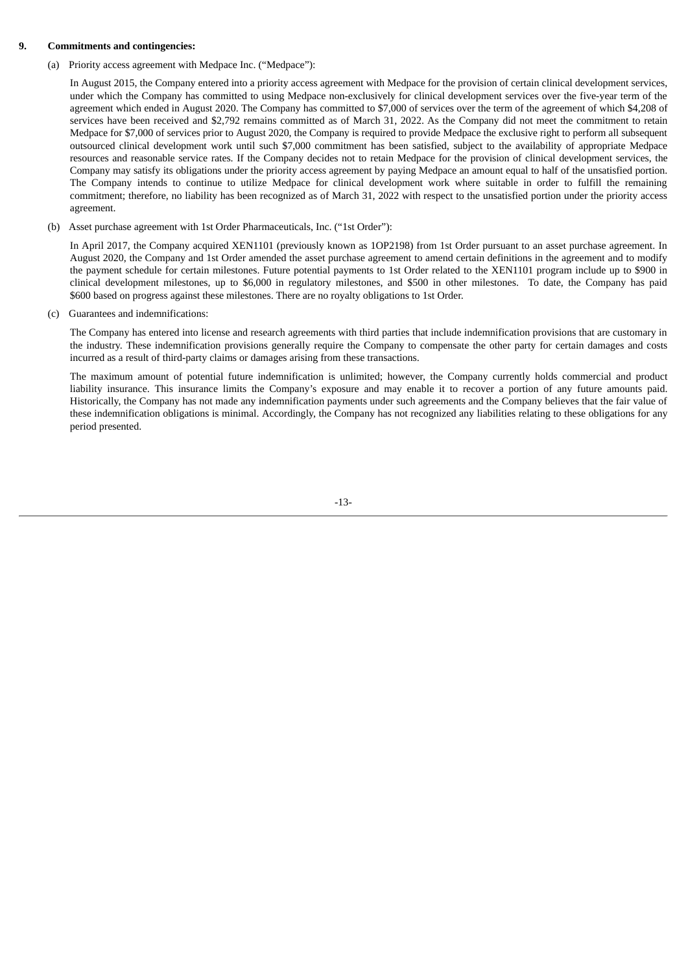## **9. Commitments and contingencies:**

(a) Priority access agreement with Medpace Inc. ("Medpace"):

In August 2015, the Company entered into a priority access agreement with Medpace for the provision of certain clinical development services, under which the Company has committed to using Medpace non-exclusively for clinical development services over the five-year term of the agreement which ended in August 2020. The Company has committed to \$7,000 of services over the term of the agreement of which \$4,208 of services have been received and \$2,792 remains committed as of March 31, 2022. As the Company did not meet the commitment to retain Medpace for \$7,000 of services prior to August 2020, the Company is required to provide Medpace the exclusive right to perform all subsequent outsourced clinical development work until such \$7,000 commitment has been satisfied, subject to the availability of appropriate Medpace resources and reasonable service rates. If the Company decides not to retain Medpace for the provision of clinical development services, the Company may satisfy its obligations under the priority access agreement by paying Medpace an amount equal to half of the unsatisfied portion. The Company intends to continue to utilize Medpace for clinical development work where suitable in order to fulfill the remaining commitment; therefore, no liability has been recognized as of March 31, 2022 with respect to the unsatisfied portion under the priority access agreement.

(b) Asset purchase agreement with 1st Order Pharmaceuticals, Inc. ("1st Order"):

In April 2017, the Company acquired XEN1101 (previously known as 1OP2198) from 1st Order pursuant to an asset purchase agreement. In August 2020, the Company and 1st Order amended the asset purchase agreement to amend certain definitions in the agreement and to modify the payment schedule for certain milestones. Future potential payments to 1st Order related to the XEN1101 program include up to \$900 in clinical development milestones, up to \$6,000 in regulatory milestones, and \$500 in other milestones. To date, the Company has paid \$600 based on progress against these milestones. There are no royalty obligations to 1st Order.

(c) Guarantees and indemnifications:

The Company has entered into license and research agreements with third parties that include indemnification provisions that are customary in the industry. These indemnification provisions generally require the Company to compensate the other party for certain damages and costs incurred as a result of third-party claims or damages arising from these transactions.

<span id="page-13-0"></span>The maximum amount of potential future indemnification is unlimited; however, the Company currently holds commercial and product liability insurance. This insurance limits the Company's exposure and may enable it to recover a portion of any future amounts paid. Historically, the Company has not made any indemnification payments under such agreements and the Company believes that the fair value of these indemnification obligations is minimal. Accordingly, the Company has not recognized any liabilities relating to these obligations for any period presented.

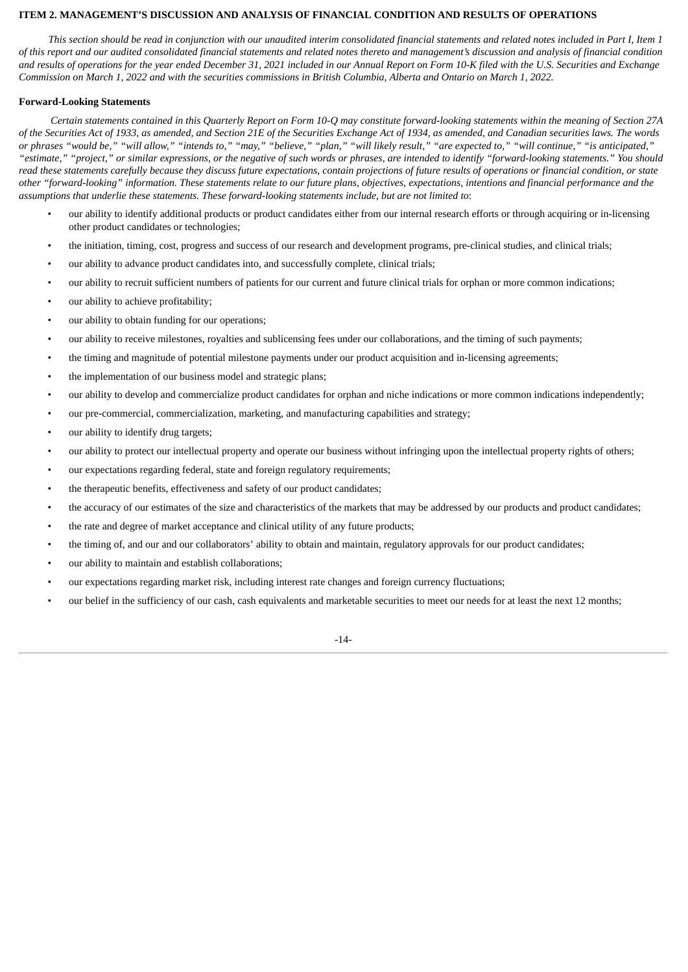#### **ITEM 2. MANAGEMENT'S DISCUSSION AND ANALYSIS OF FINANCIAL CONDITION AND RESULTS OF OPERATIONS**

This section should be read in conjunction with our unaudited interim consolidated financial statements and related notes included in Part I, Item 1 of this report and our audited consolidated financial statements and related notes thereto and management's discussion and analysis of financial condition and results of operations for the year ended December 31, 2021 included in our Annual Report on Form 10-K filed with the U.S. Securities and Exchange Commission on March 1, 2022 and with the securities commissions in British Columbia, Alberta and Ontario on March 1, 2022.

#### **Forward-Looking Statements**

Certain statements contained in this Quarterly Report on Form 10-Q may constitute forward-looking statements within the meaning of Section 27A of the Securities Act of 1933, as amended, and Section 21E of the Securities Exchange Act of 1934, as amended, and Canadian securities laws. The words or phrases "would be," "will allow," "intends to," "may," "believe," "plan," "will likely result," "are expected to," "will continue," "is anticipated," "estimate," "project," or similar expressions, or the negative of such words or phrases, are intended to identify "forward-looking statements." You should read these statements carefully because they discuss future expectations, contain projections of future results of operations or financial condition, or state other "forward-looking" information. These statements relate to our future plans, objectives, expectations, intentions and financial performance and the *assumptions that underlie these statements. These forward-looking statements include, but are not limited to*:

- our ability to identify additional products or product candidates either from our internal research efforts or through acquiring or in-licensing other product candidates or technologies;
- the initiation, timing, cost, progress and success of our research and development programs, pre-clinical studies, and clinical trials;
- our ability to advance product candidates into, and successfully complete, clinical trials;
- our ability to recruit sufficient numbers of patients for our current and future clinical trials for orphan or more common indications;
- our ability to achieve profitability;
- our ability to obtain funding for our operations;
- our ability to receive milestones, royalties and sublicensing fees under our collaborations, and the timing of such payments;
- the timing and magnitude of potential milestone payments under our product acquisition and in-licensing agreements;
- the implementation of our business model and strategic plans;
- our ability to develop and commercialize product candidates for orphan and niche indications or more common indications independently;
- our pre-commercial, commercialization, marketing, and manufacturing capabilities and strategy;
- our ability to identify drug targets;
- our ability to protect our intellectual property and operate our business without infringing upon the intellectual property rights of others;
- our expectations regarding federal, state and foreign regulatory requirements;
- the therapeutic benefits, effectiveness and safety of our product candidates;
- the accuracy of our estimates of the size and characteristics of the markets that may be addressed by our products and product candidates;
- the rate and degree of market acceptance and clinical utility of any future products;
- the timing of, and our and our collaborators' ability to obtain and maintain, regulatory approvals for our product candidates;
- our ability to maintain and establish collaborations;
- our expectations regarding market risk, including interest rate changes and foreign currency fluctuations;
- our belief in the sufficiency of our cash, cash equivalents and marketable securities to meet our needs for at least the next 12 months;

-14-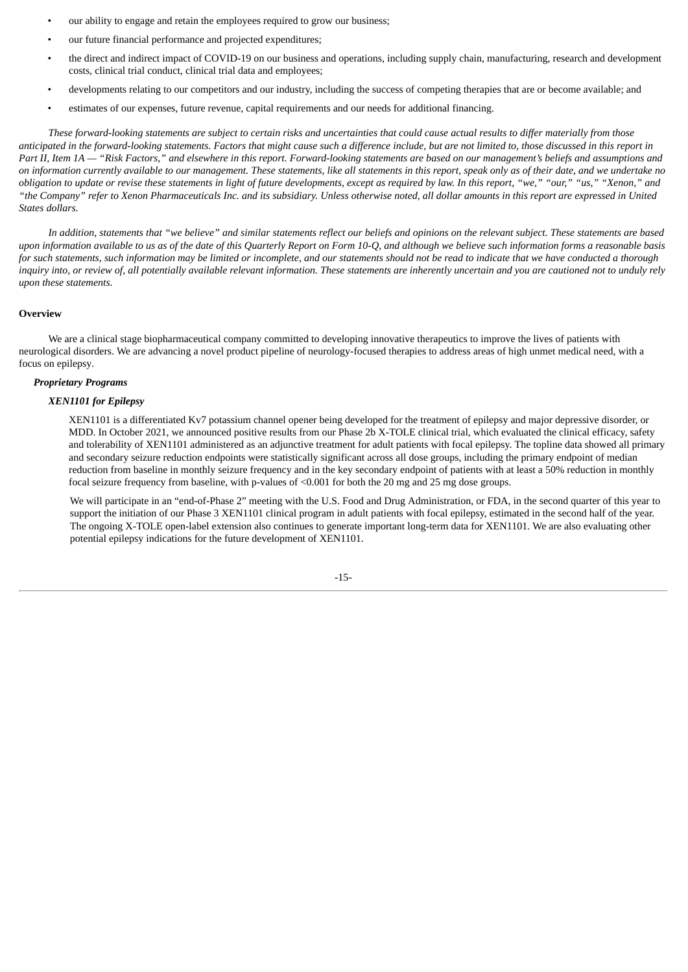- our ability to engage and retain the employees required to grow our business;
- our future financial performance and projected expenditures;
- the direct and indirect impact of COVID-19 on our business and operations, including supply chain, manufacturing, research and development costs, clinical trial conduct, clinical trial data and employees;
- developments relating to our competitors and our industry, including the success of competing therapies that are or become available; and
- estimates of our expenses, future revenue, capital requirements and our needs for additional financing.

These forward-looking statements are subject to certain risks and uncertainties that could cause actual results to differ materially from those anticipated in the forward-looking statements. Factors that might cause such a difference include, but are not limited to, those discussed in this report in Part II, Item 1A - "Risk Factors," and elsewhere in this report. Forward-looking statements are based on our management's beliefs and assumptions and on information currently available to our management. These statements, like all statements in this report, speak only as of their date, and we undertake no obligation to update or revise these statements in light of future developments, except as required by law. In this report, "we," "our," "us," "Xenon," and "the Company" refer to Xenon Pharmaceuticals Inc. and its subsidiary. Unless otherwise noted, all dollar amounts in this report are expressed in United *States dollars.*

In addition, statements that "we believe" and similar statements reflect our beliefs and opinions on the relevant subject. These statements are based upon information available to us as of the date of this Quarterly Report on Form 10-Q, and although we believe such information forms a reasonable basis for such statements, such information may be limited or incomplete, and our statements should not be read to indicate that we have conducted a thorough inquiry into, or review of, all potentially available relevant information. These statements are inherently uncertain and you are cautioned not to unduly rely *upon these statements.*

#### **Overview**

We are a clinical stage biopharmaceutical company committed to developing innovative therapeutics to improve the lives of patients with neurological disorders. We are advancing a novel product pipeline of neurology-focused therapies to address areas of high unmet medical need, with a focus on epilepsy.

#### *Proprietary Programs*

## *XEN1101 for Epilepsy*

XEN1101 is a differentiated Kv7 potassium channel opener being developed for the treatment of epilepsy and major depressive disorder, or MDD. In October 2021, we announced positive results from our Phase 2b X-TOLE clinical trial, which evaluated the clinical efficacy, safety and tolerability of XEN1101 administered as an adjunctive treatment for adult patients with focal epilepsy. The topline data showed all primary and secondary seizure reduction endpoints were statistically significant across all dose groups, including the primary endpoint of median reduction from baseline in monthly seizure frequency and in the key secondary endpoint of patients with at least a 50% reduction in monthly focal seizure frequency from baseline, with p-values of <0.001 for both the 20 mg and 25 mg dose groups.

We will participate in an "end-of-Phase 2" meeting with the U.S. Food and Drug Administration, or FDA, in the second quarter of this year to support the initiation of our Phase 3 XEN1101 clinical program in adult patients with focal epilepsy, estimated in the second half of the year. The ongoing X-TOLE open-label extension also continues to generate important long-term data for XEN1101. We are also evaluating other potential epilepsy indications for the future development of XEN1101.

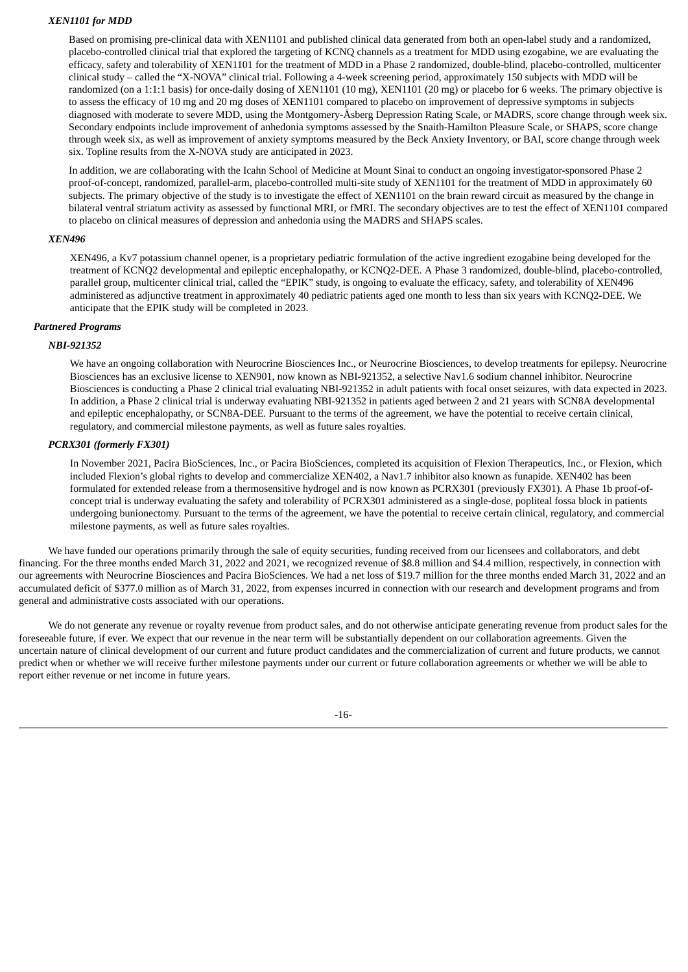## *XEN1101 for MDD*

Based on promising pre-clinical data with XEN1101 and published clinical data generated from both an open-label study and a randomized, placebo-controlled clinical trial that explored the targeting of KCNQ channels as a treatment for MDD using ezogabine, we are evaluating the efficacy, safety and tolerability of XEN1101 for the treatment of MDD in a Phase 2 randomized, double-blind, placebo-controlled, multicenter clinical study – called the "X-NOVA" clinical trial. Following a 4-week screening period, approximately 150 subjects with MDD will be randomized (on a 1:1:1 basis) for once-daily dosing of XEN1101 (10 mg), XEN1101 (20 mg) or placebo for 6 weeks. The primary objective is to assess the efficacy of 10 mg and 20 mg doses of XEN1101 compared to placebo on improvement of depressive symptoms in subjects diagnosed with moderate to severe MDD, using the Montgomery-Åsberg Depression Rating Scale, or MADRS, score change through week six. Secondary endpoints include improvement of anhedonia symptoms assessed by the Snaith-Hamilton Pleasure Scale, or SHAPS, score change through week six, as well as improvement of anxiety symptoms measured by the Beck Anxiety Inventory, or BAI, score change through week six. Topline results from the X-NOVA study are anticipated in 2023.

In addition, we are collaborating with the Icahn School of Medicine at Mount Sinai to conduct an ongoing investigator-sponsored Phase 2 proof-of-concept, randomized, parallel-arm, placebo-controlled multi-site study of XEN1101 for the treatment of MDD in approximately 60 subjects. The primary objective of the study is to investigate the effect of XEN1101 on the brain reward circuit as measured by the change in bilateral ventral striatum activity as assessed by functional MRI, or fMRI. The secondary objectives are to test the effect of XEN1101 compared to placebo on clinical measures of depression and anhedonia using the MADRS and SHAPS scales.

#### *XEN496*

XEN496, a Kv7 potassium channel opener, is a proprietary pediatric formulation of the active ingredient ezogabine being developed for the treatment of KCNQ2 developmental and epileptic encephalopathy, or KCNQ2-DEE. A Phase 3 randomized, double-blind, placebo-controlled, parallel group, multicenter clinical trial, called the "EPIK" study, is ongoing to evaluate the efficacy, safety, and tolerability of XEN496 administered as adjunctive treatment in approximately 40 pediatric patients aged one month to less than six years with KCNQ2-DEE. We anticipate that the EPIK study will be completed in 2023.

## *Partnered Programs*

## *NBI-921352*

We have an ongoing collaboration with Neurocrine Biosciences Inc., or Neurocrine Biosciences, to develop treatments for epilepsy. Neurocrine Biosciences has an exclusive license to XEN901, now known as NBI-921352, a selective Nav1.6 sodium channel inhibitor. Neurocrine Biosciences is conducting a Phase 2 clinical trial evaluating NBI-921352 in adult patients with focal onset seizures, with data expected in 2023. In addition, a Phase 2 clinical trial is underway evaluating NBI-921352 in patients aged between 2 and 21 years with SCN8A developmental and epileptic encephalopathy, or SCN8A-DEE. Pursuant to the terms of the agreement, we have the potential to receive certain clinical, regulatory, and commercial milestone payments, as well as future sales royalties.

## *PCRX301 (formerly FX301)*

In November 2021, Pacira BioSciences, Inc., or Pacira BioSciences, completed its acquisition of Flexion Therapeutics, Inc., or Flexion, which included Flexion's global rights to develop and commercialize XEN402, a Nav1.7 inhibitor also known as funapide. XEN402 has been formulated for extended release from a thermosensitive hydrogel and is now known as PCRX301 (previously FX301). A Phase 1b proof-ofconcept trial is underway evaluating the safety and tolerability of PCRX301 administered as a single-dose, popliteal fossa block in patients undergoing bunionectomy. Pursuant to the terms of the agreement, we have the potential to receive certain clinical, regulatory, and commercial milestone payments, as well as future sales royalties.

We have funded our operations primarily through the sale of equity securities, funding received from our licensees and collaborators, and debt financing. For the three months ended March 31, 2022 and 2021, we recognized revenue of \$8.8 million and \$4.4 million, respectively, in connection with our agreements with Neurocrine Biosciences and Pacira BioSciences. We had a net loss of \$19.7 million for the three months ended March 31, 2022 and an accumulated deficit of \$377.0 million as of March 31, 2022, from expenses incurred in connection with our research and development programs and from general and administrative costs associated with our operations.

We do not generate any revenue or royalty revenue from product sales, and do not otherwise anticipate generating revenue from product sales for the foreseeable future, if ever. We expect that our revenue in the near term will be substantially dependent on our collaboration agreements. Given the uncertain nature of clinical development of our current and future product candidates and the commercialization of current and future products, we cannot predict when or whether we will receive further milestone payments under our current or future collaboration agreements or whether we will be able to report either revenue or net income in future years.

#### -16-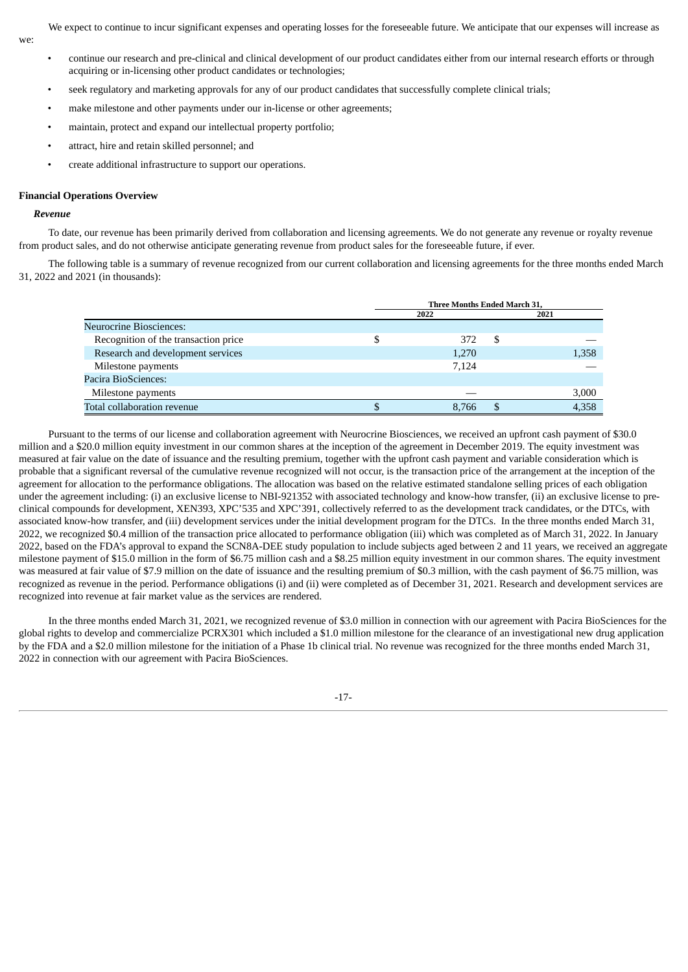We expect to continue to incur significant expenses and operating losses for the foreseeable future. We anticipate that our expenses will increase as

we:

- continue our research and pre-clinical and clinical development of our product candidates either from our internal research efforts or through acquiring or in-licensing other product candidates or technologies;
- seek regulatory and marketing approvals for any of our product candidates that successfully complete clinical trials;
- make milestone and other payments under our in-license or other agreements;
- maintain, protect and expand our intellectual property portfolio;
- attract, hire and retain skilled personnel; and
- create additional infrastructure to support our operations.

## **Financial Operations Overview**

## *Revenue*

To date, our revenue has been primarily derived from collaboration and licensing agreements. We do not generate any revenue or royalty revenue from product sales, and do not otherwise anticipate generating revenue from product sales for the foreseeable future, if ever.

The following table is a summary of revenue recognized from our current collaboration and licensing agreements for the three months ended March 31, 2022 and 2021 (in thousands):

|                                      | Three Months Ended March 31, |       |   |      |       |  |  |  |
|--------------------------------------|------------------------------|-------|---|------|-------|--|--|--|
|                                      |                              | 2022  |   | 2021 |       |  |  |  |
| Neurocrine Biosciences:              |                              |       |   |      |       |  |  |  |
| Recognition of the transaction price | \$                           | 372   | S |      |       |  |  |  |
| Research and development services    |                              | 1,270 |   |      | 1,358 |  |  |  |
| Milestone payments                   |                              | 7.124 |   |      |       |  |  |  |
| Pacira BioSciences:                  |                              |       |   |      |       |  |  |  |
| Milestone payments                   |                              |       |   |      | 3,000 |  |  |  |
| Total collaboration revenue          |                              | 8.766 |   |      | 4,358 |  |  |  |

Pursuant to the terms of our license and collaboration agreement with Neurocrine Biosciences, we received an upfront cash payment of \$30.0 million and a \$20.0 million equity investment in our common shares at the inception of the agreement in December 2019. The equity investment was measured at fair value on the date of issuance and the resulting premium, together with the upfront cash payment and variable consideration which is probable that a significant reversal of the cumulative revenue recognized will not occur, is the transaction price of the arrangement at the inception of the agreement for allocation to the performance obligations. The allocation was based on the relative estimated standalone selling prices of each obligation under the agreement including: (i) an exclusive license to NBI-921352 with associated technology and know-how transfer, (ii) an exclusive license to preclinical compounds for development, XEN393, XPC'535 and XPC'391, collectively referred to as the development track candidates, or the DTCs, with associated know-how transfer, and (iii) development services under the initial development program for the DTCs. In the three months ended March 31, 2022, we recognized \$0.4 million of the transaction price allocated to performance obligation (iii) which was completed as of March 31, 2022. In January 2022, based on the FDA's approval to expand the SCN8A-DEE study population to include subjects aged between 2 and 11 years, we received an aggregate milestone payment of \$15.0 million in the form of \$6.75 million cash and a \$8.25 million equity investment in our common shares. The equity investment was measured at fair value of \$7.9 million on the date of issuance and the resulting premium of \$0.3 million, with the cash payment of \$6.75 million, was recognized as revenue in the period. Performance obligations (i) and (ii) were completed as of December 31, 2021. Research and development services are recognized into revenue at fair market value as the services are rendered.

In the three months ended March 31, 2021, we recognized revenue of \$3.0 million in connection with our agreement with Pacira BioSciences for the global rights to develop and commercialize PCRX301 which included a \$1.0 million milestone for the clearance of an investigational new drug application by the FDA and a \$2.0 million milestone for the initiation of a Phase 1b clinical trial. No revenue was recognized for the three months ended March 31, 2022 in connection with our agreement with Pacira BioSciences.

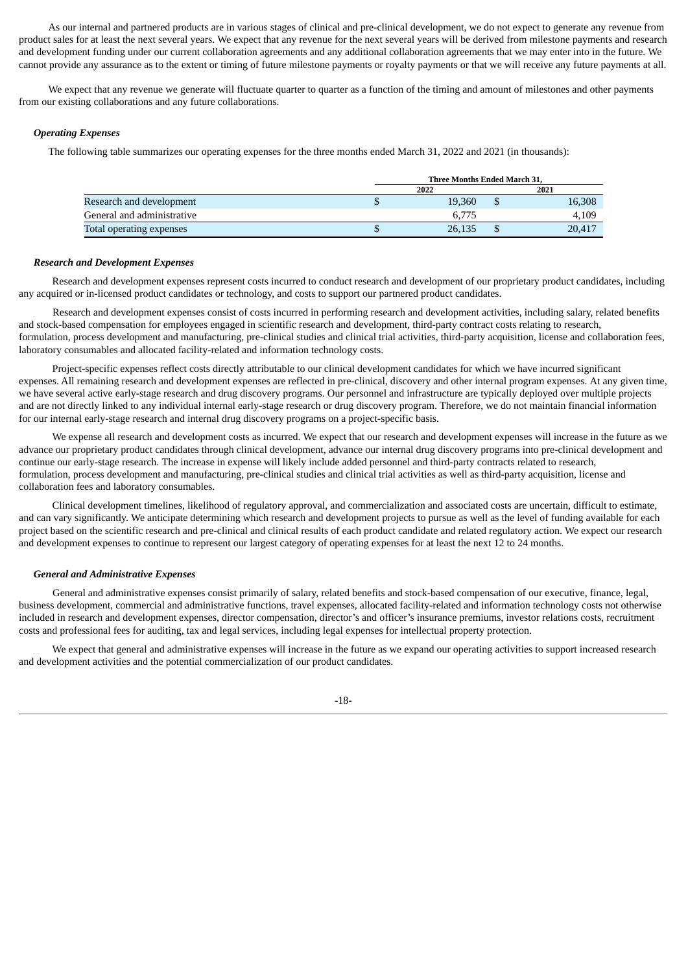As our internal and partnered products are in various stages of clinical and pre-clinical development, we do not expect to generate any revenue from product sales for at least the next several years. We expect that any revenue for the next several years will be derived from milestone payments and research and development funding under our current collaboration agreements and any additional collaboration agreements that we may enter into in the future. We cannot provide any assurance as to the extent or timing of future milestone payments or royalty payments or that we will receive any future payments at all.

We expect that any revenue we generate will fluctuate quarter to quarter as a function of the timing and amount of milestones and other payments from our existing collaborations and any future collaborations.

## *Operating Expenses*

The following table summarizes our operating expenses for the three months ended March 31, 2022 and 2021 (in thousands):

|                            | Three Months Ended March 31. |        |  |        |  |  |  |  |
|----------------------------|------------------------------|--------|--|--------|--|--|--|--|
|                            |                              | 2022   |  | 2021   |  |  |  |  |
| Research and development   |                              | 19.360 |  | 16,308 |  |  |  |  |
| General and administrative |                              | 6.775  |  | 4.109  |  |  |  |  |
| Total operating expenses   |                              | 26.135 |  | 20.417 |  |  |  |  |

#### *Research and Development Expenses*

Research and development expenses represent costs incurred to conduct research and development of our proprietary product candidates, including any acquired or in-licensed product candidates or technology, and costs to support our partnered product candidates.

Research and development expenses consist of costs incurred in performing research and development activities, including salary, related benefits and stock-based compensation for employees engaged in scientific research and development, third-party contract costs relating to research, formulation, process development and manufacturing, pre-clinical studies and clinical trial activities, third-party acquisition, license and collaboration fees, laboratory consumables and allocated facility-related and information technology costs.

Project-specific expenses reflect costs directly attributable to our clinical development candidates for which we have incurred significant expenses. All remaining research and development expenses are reflected in pre-clinical, discovery and other internal program expenses. At any given time, we have several active early-stage research and drug discovery programs. Our personnel and infrastructure are typically deployed over multiple projects and are not directly linked to any individual internal early-stage research or drug discovery program. Therefore, we do not maintain financial information for our internal early-stage research and internal drug discovery programs on a project-specific basis.

We expense all research and development costs as incurred. We expect that our research and development expenses will increase in the future as we advance our proprietary product candidates through clinical development, advance our internal drug discovery programs into pre-clinical development and continue our early-stage research. The increase in expense will likely include added personnel and third-party contracts related to research, formulation, process development and manufacturing, pre-clinical studies and clinical trial activities as well as third-party acquisition, license and collaboration fees and laboratory consumables.

Clinical development timelines, likelihood of regulatory approval, and commercialization and associated costs are uncertain, difficult to estimate, and can vary significantly. We anticipate determining which research and development projects to pursue as well as the level of funding available for each project based on the scientific research and pre-clinical and clinical results of each product candidate and related regulatory action. We expect our research and development expenses to continue to represent our largest category of operating expenses for at least the next 12 to 24 months.

### *General and Administrative Expenses*

General and administrative expenses consist primarily of salary, related benefits and stock-based compensation of our executive, finance, legal, business development, commercial and administrative functions, travel expenses, allocated facility-related and information technology costs not otherwise included in research and development expenses, director compensation, director's and officer's insurance premiums, investor relations costs, recruitment costs and professional fees for auditing, tax and legal services, including legal expenses for intellectual property protection.

We expect that general and administrative expenses will increase in the future as we expand our operating activities to support increased research and development activities and the potential commercialization of our product candidates.

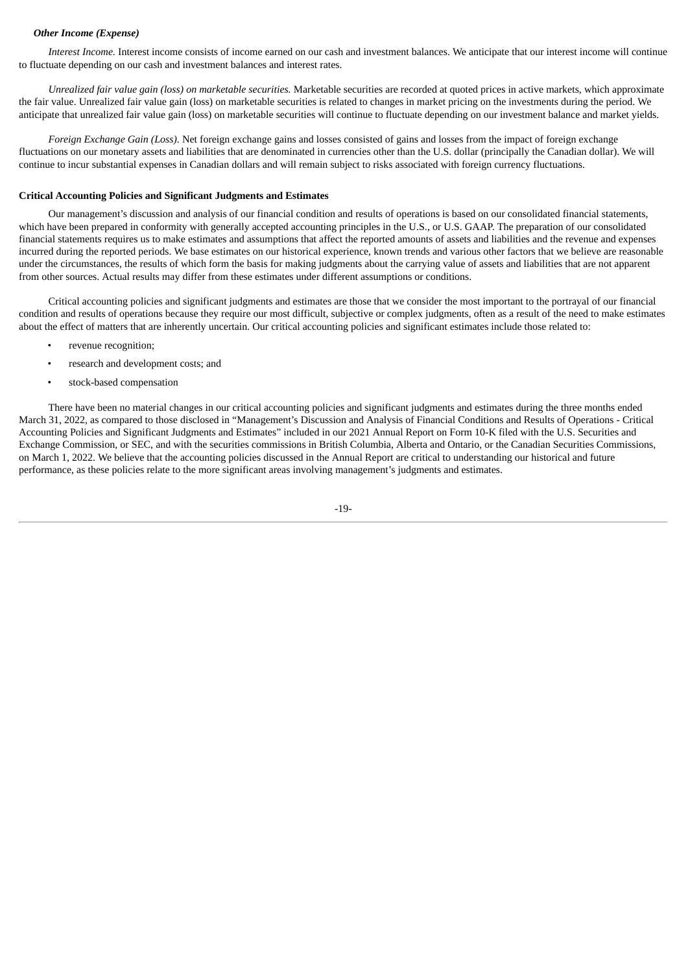#### *Other Income (Expense)*

*Interest Income.* Interest income consists of income earned on our cash and investment balances. We anticipate that our interest income will continue to fluctuate depending on our cash and investment balances and interest rates.

*Unrealized fair value gain (loss) on marketable securities.* Marketable securities are recorded at quoted prices in active markets, which approximate the fair value. Unrealized fair value gain (loss) on marketable securities is related to changes in market pricing on the investments during the period. We anticipate that unrealized fair value gain (loss) on marketable securities will continue to fluctuate depending on our investment balance and market yields.

*Foreign Exchange Gain (Loss).* Net foreign exchange gains and losses consisted of gains and losses from the impact of foreign exchange fluctuations on our monetary assets and liabilities that are denominated in currencies other than the U.S. dollar (principally the Canadian dollar). We will continue to incur substantial expenses in Canadian dollars and will remain subject to risks associated with foreign currency fluctuations.

#### **Critical Accounting Policies and Significant Judgments and Estimates**

Our management's discussion and analysis of our financial condition and results of operations is based on our consolidated financial statements, which have been prepared in conformity with generally accepted accounting principles in the U.S., or U.S. GAAP. The preparation of our consolidated financial statements requires us to make estimates and assumptions that affect the reported amounts of assets and liabilities and the revenue and expenses incurred during the reported periods. We base estimates on our historical experience, known trends and various other factors that we believe are reasonable under the circumstances, the results of which form the basis for making judgments about the carrying value of assets and liabilities that are not apparent from other sources. Actual results may differ from these estimates under different assumptions or conditions.

Critical accounting policies and significant judgments and estimates are those that we consider the most important to the portrayal of our financial condition and results of operations because they require our most difficult, subjective or complex judgments, often as a result of the need to make estimates about the effect of matters that are inherently uncertain. Our critical accounting policies and significant estimates include those related to:

- revenue recognition;
- research and development costs; and
- stock-based compensation

There have been no material changes in our critical accounting policies and significant judgments and estimates during the three months ended March 31, 2022, as compared to those disclosed in "Management's Discussion and Analysis of Financial Conditions and Results of Operations - Critical Accounting Policies and Significant Judgments and Estimates" included in our 2021 Annual Report on Form 10-K filed with the U.S. Securities and Exchange Commission, or SEC, and with the securities commissions in British Columbia, Alberta and Ontario, or the Canadian Securities Commissions, on March 1, 2022. We believe that the accounting policies discussed in the Annual Report are critical to understanding our historical and future performance, as these policies relate to the more significant areas involving management's judgments and estimates.

-19-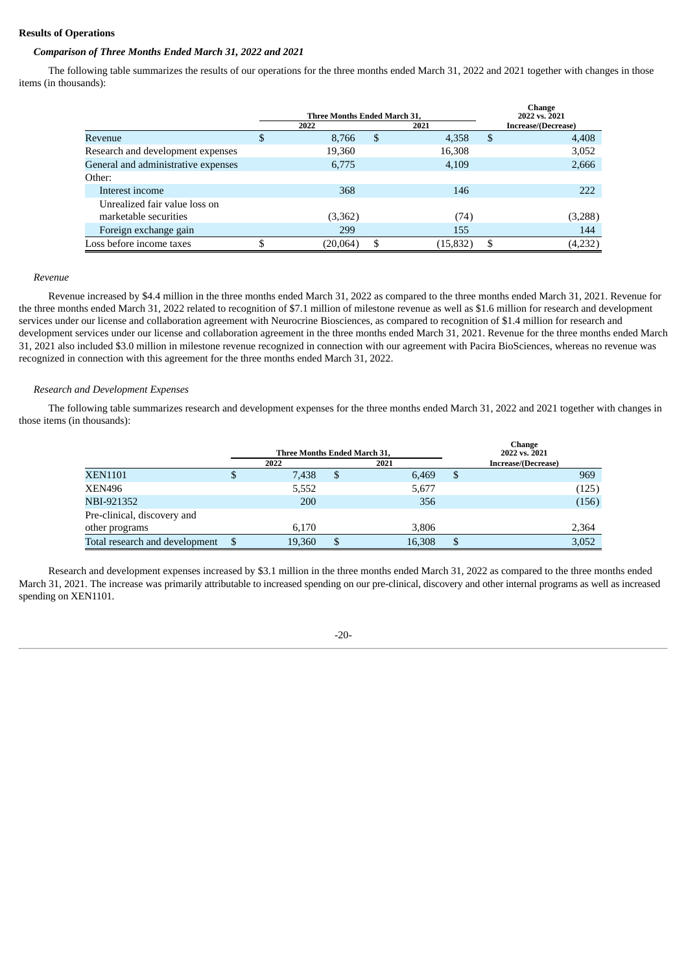## **Results of Operations**

## *Comparison of Three Months Ended March 31, 2022 and 2021*

The following table summarizes the results of our operations for the three months ended March 31, 2022 and 2021 together with changes in those items (in thousands):

|                                                        |    | <b>Three Months Ended March 31.</b> |                 |    | <b>Change</b><br>2022 vs. 2021 |
|--------------------------------------------------------|----|-------------------------------------|-----------------|----|--------------------------------|
|                                                        |    | 2022                                | 2021            |    | Increase/(Decrease)            |
| Revenue                                                | \$ | 8.766                               | \$<br>4,358     | \$ | 4,408                          |
| Research and development expenses                      |    | 19,360                              | 16,308          |    | 3,052                          |
| General and administrative expenses                    |    | 6,775                               | 4,109           |    | 2,666                          |
| Other:                                                 |    |                                     |                 |    |                                |
| Interest income                                        |    | 368                                 | 146             |    | 222                            |
| Unrealized fair value loss on<br>marketable securities |    | (3,362)                             | (74)            |    | (3,288)                        |
| Foreign exchange gain                                  |    | 299                                 | 155             |    | 144                            |
| Loss before income taxes                               | J  | (20,064)                            | \$<br>(15, 832) | S  | (4,232)                        |

#### *Revenue*

Revenue increased by \$4.4 million in the three months ended March 31, 2022 as compared to the three months ended March 31, 2021. Revenue for the three months ended March 31, 2022 related to recognition of \$7.1 million of milestone revenue as well as \$1.6 million for research and development services under our license and collaboration agreement with Neurocrine Biosciences, as compared to recognition of \$1.4 million for research and development services under our license and collaboration agreement in the three months ended March 31, 2021. Revenue for the three months ended March 31, 2021 also included \$3.0 million in milestone revenue recognized in connection with our agreement with Pacira BioSciences, whereas no revenue was recognized in connection with this agreement for the three months ended March 31, 2022.

## *Research and Development Expenses*

The following table summarizes research and development expenses for the three months ended March 31, 2022 and 2021 together with changes in those items (in thousands):

|                                |   | <b>Three Months Ended March 31.</b> |    |        | <b>Change</b><br>2022 vs. 2021 |                     |
|--------------------------------|---|-------------------------------------|----|--------|--------------------------------|---------------------|
|                                |   | 2022                                |    | 2021   |                                | Increase/(Decrease) |
| <b>XEN1101</b>                 | Φ | 7,438                               | \$ | 6,469  | $\mathfrak{s}$                 | 969                 |
| <b>XEN496</b>                  |   | 5,552                               |    | 5,677  |                                | (125)               |
| NBI-921352                     |   | 200                                 |    | 356    |                                | (156)               |
| Pre-clinical, discovery and    |   |                                     |    |        |                                |                     |
| other programs                 |   | 6.170                               |    | 3,806  |                                | 2,364               |
| Total research and development |   | 19,360                              | \$ | 16,308 | \$                             | 3,052               |

Research and development expenses increased by \$3.1 million in the three months ended March 31, 2022 as compared to the three months ended March 31, 2021. The increase was primarily attributable to increased spending on our pre-clinical, discovery and other internal programs as well as increased spending on XEN1101.

#### -20-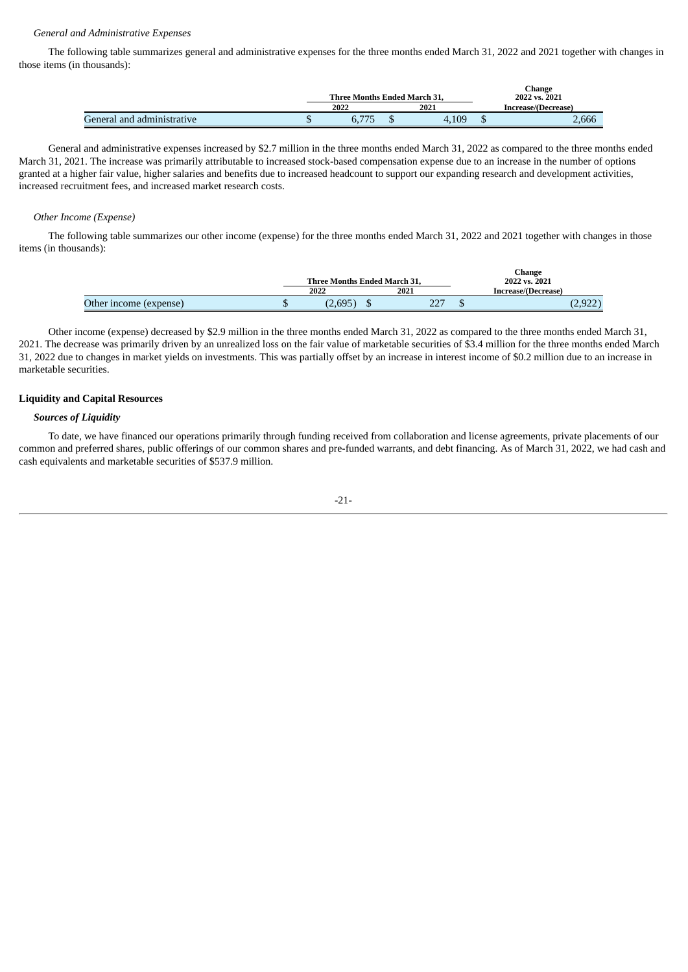#### *General and Administrative Expenses*

The following table summarizes general and administrative expenses for the three months ended March 31, 2022 and 2021 together with changes in those items (in thousands):

|                            | Three Months Ended March 31, |       | Change<br>2022 vs. 2021 |
|----------------------------|------------------------------|-------|-------------------------|
|                            | 2022                         | 2021  | Increase/(Decrease)     |
| General and administrative | <b>775</b>                   | 4.109 | 2.666                   |

General and administrative expenses increased by \$2.7 million in the three months ended March 31, 2022 as compared to the three months ended March 31, 2021. The increase was primarily attributable to increased stock-based compensation expense due to an increase in the number of options granted at a higher fair value, higher salaries and benefits due to increased headcount to support our expanding research and development activities, increased recruitment fees, and increased market research costs.

## *Other Income (Expense)*

The following table summarizes our other income (expense) for the three months ended March 31, 2022 and 2021 together with changes in those items (in thousands):

|                        | <b>Three Months Ended March 31.</b> |  |      |           | Change<br>2022 vs. 2021 |                     |         |  |
|------------------------|-------------------------------------|--|------|-----------|-------------------------|---------------------|---------|--|
|                        | 2022                                |  | 2021 |           |                         | Increase/(Decrease) |         |  |
| Other income (expense) | 2,695                               |  |      | דרר<br>22 |                         |                     | (2,922) |  |

Other income (expense) decreased by \$2.9 million in the three months ended March 31, 2022 as compared to the three months ended March 31, 2021. The decrease was primarily driven by an unrealized loss on the fair value of marketable securities of \$3.4 million for the three months ended March 31, 2022 due to changes in market yields on investments. This was partially offset by an increase in interest income of \$0.2 million due to an increase in marketable securities.

## **Liquidity and Capital Resources**

## *Sources of Liquidity*

To date, we have financed our operations primarily through funding received from collaboration and license agreements, private placements of our common and preferred shares, public offerings of our common shares and pre-funded warrants, and debt financing. As of March 31, 2022, we had cash and cash equivalents and marketable securities of \$537.9 million.

$$
-21-
$$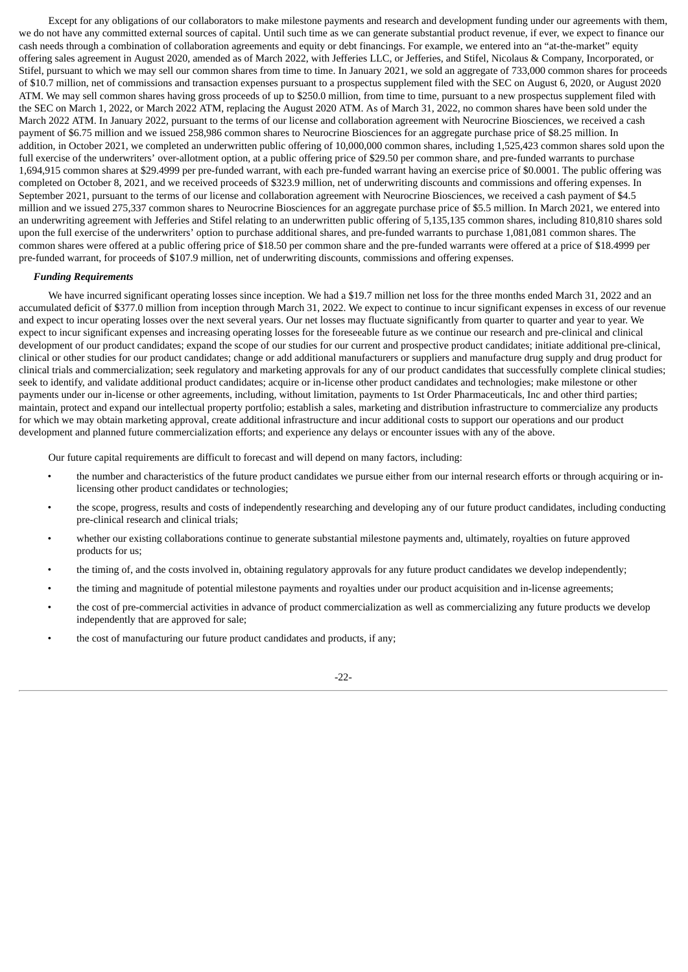Except for any obligations of our collaborators to make milestone payments and research and development funding under our agreements with them, we do not have any committed external sources of capital. Until such time as we can generate substantial product revenue, if ever, we expect to finance our cash needs through a combination of collaboration agreements and equity or debt financings. For example, we entered into an "at-the-market" equity offering sales agreement in August 2020, amended as of March 2022, with Jefferies LLC, or Jefferies, and Stifel, Nicolaus & Company, Incorporated, or Stifel, pursuant to which we may sell our common shares from time to time. In January 2021, we sold an aggregate of 733,000 common shares for proceeds of \$10.7 million, net of commissions and transaction expenses pursuant to a prospectus supplement filed with the SEC on August 6, 2020, or August 2020 ATM. We may sell common shares having gross proceeds of up to \$250.0 million, from time to time, pursuant to a new prospectus supplement filed with the SEC on March 1, 2022, or March 2022 ATM, replacing the August 2020 ATM. As of March 31, 2022, no common shares have been sold under the March 2022 ATM. In January 2022, pursuant to the terms of our license and collaboration agreement with Neurocrine Biosciences, we received a cash payment of \$6.75 million and we issued 258,986 common shares to Neurocrine Biosciences for an aggregate purchase price of \$8.25 million. In addition, in October 2021, we completed an underwritten public offering of 10,000,000 common shares, including 1,525,423 common shares sold upon the full exercise of the underwriters' over-allotment option, at a public offering price of \$29.50 per common share, and pre-funded warrants to purchase 1,694,915 common shares at \$29.4999 per pre-funded warrant, with each pre-funded warrant having an exercise price of \$0.0001. The public offering was completed on October 8, 2021, and we received proceeds of \$323.9 million, net of underwriting discounts and commissions and offering expenses. In September 2021, pursuant to the terms of our license and collaboration agreement with Neurocrine Biosciences, we received a cash payment of \$4.5 million and we issued 275,337 common shares to Neurocrine Biosciences for an aggregate purchase price of \$5.5 million. In March 2021, we entered into an underwriting agreement with Jefferies and Stifel relating to an underwritten public offering of 5,135,135 common shares, including 810,810 shares sold upon the full exercise of the underwriters' option to purchase additional shares, and pre-funded warrants to purchase 1,081,081 common shares. The common shares were offered at a public offering price of \$18.50 per common share and the pre-funded warrants were offered at a price of \$18.4999 per pre-funded warrant, for proceeds of \$107.9 million, net of underwriting discounts, commissions and offering expenses.

#### *Funding Requirements*

We have incurred significant operating losses since inception. We had a \$19.7 million net loss for the three months ended March 31, 2022 and an accumulated deficit of \$377.0 million from inception through March 31, 2022. We expect to continue to incur significant expenses in excess of our revenue and expect to incur operating losses over the next several years. Our net losses may fluctuate significantly from quarter to quarter and year to year. We expect to incur significant expenses and increasing operating losses for the foreseeable future as we continue our research and pre-clinical and clinical development of our product candidates; expand the scope of our studies for our current and prospective product candidates; initiate additional pre-clinical, clinical or other studies for our product candidates; change or add additional manufacturers or suppliers and manufacture drug supply and drug product for clinical trials and commercialization; seek regulatory and marketing approvals for any of our product candidates that successfully complete clinical studies; seek to identify, and validate additional product candidates; acquire or in-license other product candidates and technologies; make milestone or other payments under our in-license or other agreements, including, without limitation, payments to 1st Order Pharmaceuticals, Inc and other third parties; maintain, protect and expand our intellectual property portfolio; establish a sales, marketing and distribution infrastructure to commercialize any products for which we may obtain marketing approval, create additional infrastructure and incur additional costs to support our operations and our product development and planned future commercialization efforts; and experience any delays or encounter issues with any of the above.

Our future capital requirements are difficult to forecast and will depend on many factors, including:

- the number and characteristics of the future product candidates we pursue either from our internal research efforts or through acquiring or inlicensing other product candidates or technologies;
- the scope, progress, results and costs of independently researching and developing any of our future product candidates, including conducting pre-clinical research and clinical trials;
- whether our existing collaborations continue to generate substantial milestone payments and, ultimately, royalties on future approved products for us;
- the timing of, and the costs involved in, obtaining regulatory approvals for any future product candidates we develop independently;
- the timing and magnitude of potential milestone payments and royalties under our product acquisition and in-license agreements;
- the cost of pre-commercial activities in advance of product commercialization as well as commercializing any future products we develop independently that are approved for sale;
- the cost of manufacturing our future product candidates and products, if any;

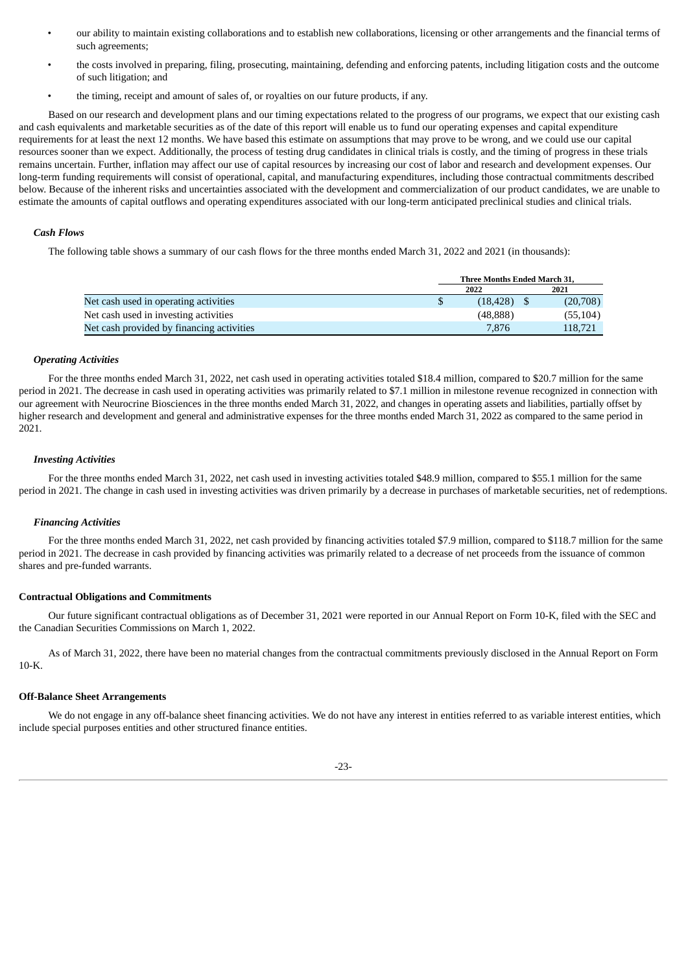- our ability to maintain existing collaborations and to establish new collaborations, licensing or other arrangements and the financial terms of such agreements;
- the costs involved in preparing, filing, prosecuting, maintaining, defending and enforcing patents, including litigation costs and the outcome of such litigation; and
- the timing, receipt and amount of sales of, or royalties on our future products, if any.

Based on our research and development plans and our timing expectations related to the progress of our programs, we expect that our existing cash and cash equivalents and marketable securities as of the date of this report will enable us to fund our operating expenses and capital expenditure requirements for at least the next 12 months. We have based this estimate on assumptions that may prove to be wrong, and we could use our capital resources sooner than we expect. Additionally, the process of testing drug candidates in clinical trials is costly, and the timing of progress in these trials remains uncertain. Further, inflation may affect our use of capital resources by increasing our cost of labor and research and development expenses. Our long-term funding requirements will consist of operational, capital, and manufacturing expenditures, including those contractual commitments described below. Because of the inherent risks and uncertainties associated with the development and commercialization of our product candidates, we are unable to estimate the amounts of capital outflows and operating expenditures associated with our long-term anticipated preclinical studies and clinical trials.

## *Cash Flows*

The following table shows a summary of our cash flows for the three months ended March 31, 2022 and 2021 (in thousands):

|                                           | <b>Three Months Ended March 31.</b> |  |           |  |  |
|-------------------------------------------|-------------------------------------|--|-----------|--|--|
|                                           | 2022                                |  | 2021      |  |  |
| Net cash used in operating activities     | (18.428)                            |  | (20,708)  |  |  |
| Net cash used in investing activities     | (48.888)                            |  | (55, 104) |  |  |
| Net cash provided by financing activities | 7.876                               |  | 118,721   |  |  |

#### *Operating Activities*

For the three months ended March 31, 2022, net cash used in operating activities totaled \$18.4 million, compared to \$20.7 million for the same period in 2021. The decrease in cash used in operating activities was primarily related to \$7.1 million in milestone revenue recognized in connection with our agreement with Neurocrine Biosciences in the three months ended March 31, 2022, and changes in operating assets and liabilities, partially offset by higher research and development and general and administrative expenses for the three months ended March 31, 2022 as compared to the same period in 2021.

#### *Investing Activities*

For the three months ended March 31, 2022, net cash used in investing activities totaled \$48.9 million, compared to \$55.1 million for the same period in 2021. The change in cash used in investing activities was driven primarily by a decrease in purchases of marketable securities, net of redemptions.

#### *Financing Activities*

For the three months ended March 31, 2022, net cash provided by financing activities totaled \$7.9 million, compared to \$118.7 million for the same period in 2021. The decrease in cash provided by financing activities was primarily related to a decrease of net proceeds from the issuance of common shares and pre-funded warrants.

#### **Contractual Obligations and Commitments**

Our future significant contractual obligations as of December 31, 2021 were reported in our Annual Report on Form 10-K, filed with the SEC and the Canadian Securities Commissions on March 1, 2022.

As of March 31, 2022, there have been no material changes from the contractual commitments previously disclosed in the Annual Report on Form 10-K.

#### **Off-Balance Sheet Arrangements**

We do not engage in any off-balance sheet financing activities. We do not have any interest in entities referred to as variable interest entities, which include special purposes entities and other structured finance entities.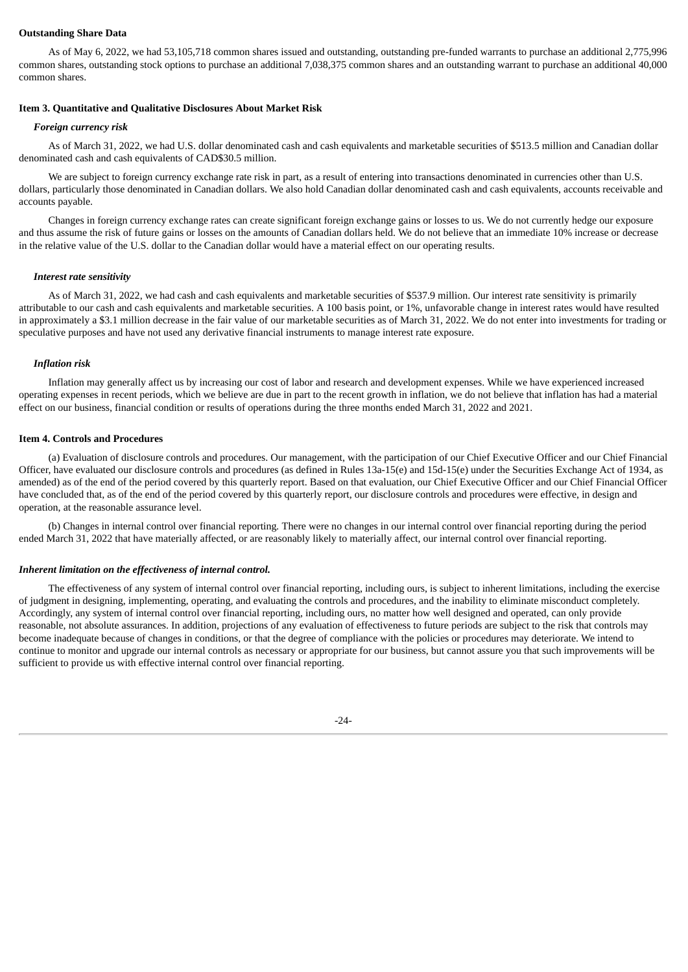#### **Outstanding Share Data**

As of May 6, 2022, we had 53,105,718 common shares issued and outstanding, outstanding pre-funded warrants to purchase an additional 2,775,996 common shares, outstanding stock options to purchase an additional 7,038,375 common shares and an outstanding warrant to purchase an additional 40,000 common shares.

## <span id="page-24-0"></span>**Item 3. Quantitative and Qualitative Disclosures About Market Risk**

#### *Foreign currency risk*

As of March 31, 2022, we had U.S. dollar denominated cash and cash equivalents and marketable securities of \$513.5 million and Canadian dollar denominated cash and cash equivalents of CAD\$30.5 million.

We are subject to foreign currency exchange rate risk in part, as a result of entering into transactions denominated in currencies other than U.S. dollars, particularly those denominated in Canadian dollars. We also hold Canadian dollar denominated cash and cash equivalents, accounts receivable and accounts payable.

Changes in foreign currency exchange rates can create significant foreign exchange gains or losses to us. We do not currently hedge our exposure and thus assume the risk of future gains or losses on the amounts of Canadian dollars held. We do not believe that an immediate 10% increase or decrease in the relative value of the U.S. dollar to the Canadian dollar would have a material effect on our operating results.

#### *Interest rate sensitivity*

As of March 31, 2022, we had cash and cash equivalents and marketable securities of \$537.9 million. Our interest rate sensitivity is primarily attributable to our cash and cash equivalents and marketable securities. A 100 basis point, or 1%, unfavorable change in interest rates would have resulted in approximately a \$3.1 million decrease in the fair value of our marketable securities as of March 31, 2022. We do not enter into investments for trading or speculative purposes and have not used any derivative financial instruments to manage interest rate exposure.

#### *Inflation risk*

Inflation may generally affect us by increasing our cost of labor and research and development expenses. While we have experienced increased operating expenses in recent periods, which we believe are due in part to the recent growth in inflation, we do not believe that inflation has had a material effect on our business, financial condition or results of operations during the three months ended March 31, 2022 and 2021.

#### <span id="page-24-1"></span>**Item 4. Controls and Procedures**

(a) Evaluation of disclosure controls and procedures. Our management, with the participation of our Chief Executive Officer and our Chief Financial Officer, have evaluated our disclosure controls and procedures (as defined in Rules 13a-15(e) and 15d-15(e) under the Securities Exchange Act of 1934, as amended) as of the end of the period covered by this quarterly report. Based on that evaluation, our Chief Executive Officer and our Chief Financial Officer have concluded that, as of the end of the period covered by this quarterly report, our disclosure controls and procedures were effective, in design and operation, at the reasonable assurance level.

(b) Changes in internal control over financial reporting*.* There were no changes in our internal control over financial reporting during the period ended March 31, 2022 that have materially affected, or are reasonably likely to materially affect, our internal control over financial reporting.

#### *Inherent limitation on the effectiveness of internal control.*

The effectiveness of any system of internal control over financial reporting, including ours, is subject to inherent limitations, including the exercise of judgment in designing, implementing, operating, and evaluating the controls and procedures, and the inability to eliminate misconduct completely. Accordingly, any system of internal control over financial reporting, including ours, no matter how well designed and operated, can only provide reasonable, not absolute assurances. In addition, projections of any evaluation of effectiveness to future periods are subject to the risk that controls may become inadequate because of changes in conditions, or that the degree of compliance with the policies or procedures may deteriorate. We intend to continue to monitor and upgrade our internal controls as necessary or appropriate for our business, but cannot assure you that such improvements will be sufficient to provide us with effective internal control over financial reporting.

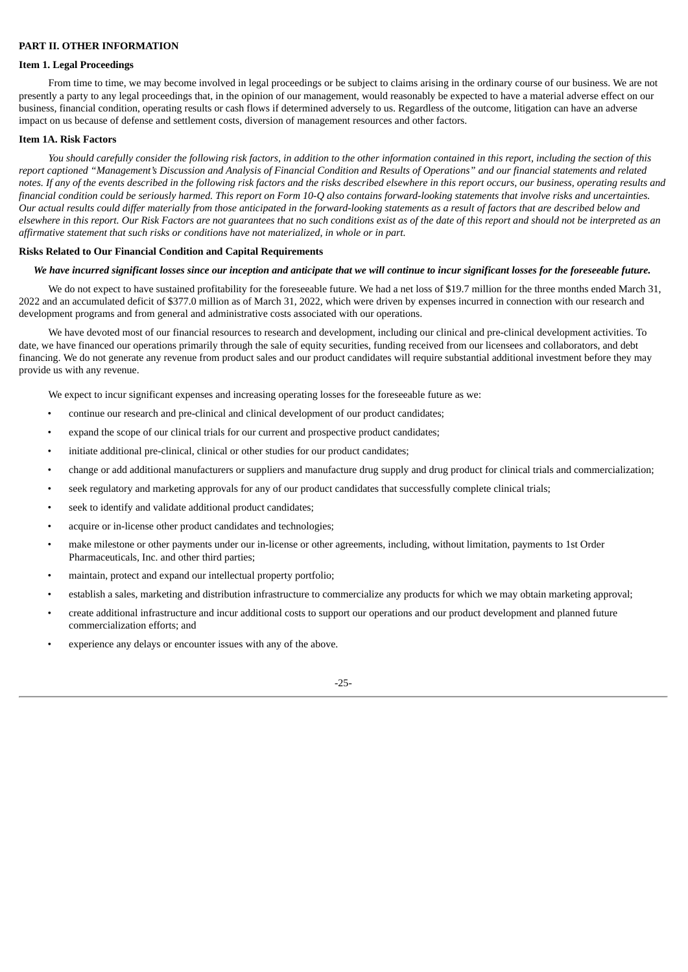## <span id="page-25-0"></span>**PART II. OTHER INFORMATION**

#### <span id="page-25-1"></span>**Item 1. Legal Proceedings**

From time to time, we may become involved in legal proceedings or be subject to claims arising in the ordinary course of our business. We are not presently a party to any legal proceedings that, in the opinion of our management, would reasonably be expected to have a material adverse effect on our business, financial condition, operating results or cash flows if determined adversely to us. Regardless of the outcome, litigation can have an adverse impact on us because of defense and settlement costs, diversion of management resources and other factors.

#### <span id="page-25-2"></span>**Item 1A. Risk Factors**

You should carefully consider the following risk factors, in addition to the other information contained in this report, including the section of this report captioned "Management's Discussion and Analysis of Financial Condition and Results of Operations" and our financial statements and related notes. If any of the events described in the following risk factors and the risks described elsewhere in this report occurs, our business, operating results and financial condition could be seriously harmed. This report on Form 10-Q also contains forward-looking statements that involve risks and uncertainties. Our actual results could differ materially from those anticipated in the forward-looking statements as a result of factors that are described below and elsewhere in this report. Our Risk Factors are not quarantees that no such conditions exist as of the date of this report and should not be interpreted as an *affirmative statement that such risks or conditions have not materialized, in whole or in part.*

#### **Risks Related to Our Financial Condition and Capital Requirements**

## We have incurred significant losses since our inception and anticipate that we will continue to incur significant losses for the foreseeable future.

We do not expect to have sustained profitability for the foreseeable future. We had a net loss of \$19.7 million for the three months ended March 31, 2022 and an accumulated deficit of \$377.0 million as of March 31, 2022, which were driven by expenses incurred in connection with our research and development programs and from general and administrative costs associated with our operations.

We have devoted most of our financial resources to research and development, including our clinical and pre-clinical development activities. To date, we have financed our operations primarily through the sale of equity securities, funding received from our licensees and collaborators, and debt financing. We do not generate any revenue from product sales and our product candidates will require substantial additional investment before they may provide us with any revenue.

We expect to incur significant expenses and increasing operating losses for the foreseeable future as we:

- continue our research and pre-clinical and clinical development of our product candidates;
- expand the scope of our clinical trials for our current and prospective product candidates;
- initiate additional pre-clinical, clinical or other studies for our product candidates;
- change or add additional manufacturers or suppliers and manufacture drug supply and drug product for clinical trials and commercialization;
- seek regulatory and marketing approvals for any of our product candidates that successfully complete clinical trials;
- seek to identify and validate additional product candidates;
- acquire or in-license other product candidates and technologies;
- make milestone or other payments under our in-license or other agreements, including, without limitation, payments to 1st Order Pharmaceuticals, Inc. and other third parties;
- maintain, protect and expand our intellectual property portfolio;
- establish a sales, marketing and distribution infrastructure to commercialize any products for which we may obtain marketing approval;
- create additional infrastructure and incur additional costs to support our operations and our product development and planned future commercialization efforts; and
- experience any delays or encounter issues with any of the above.

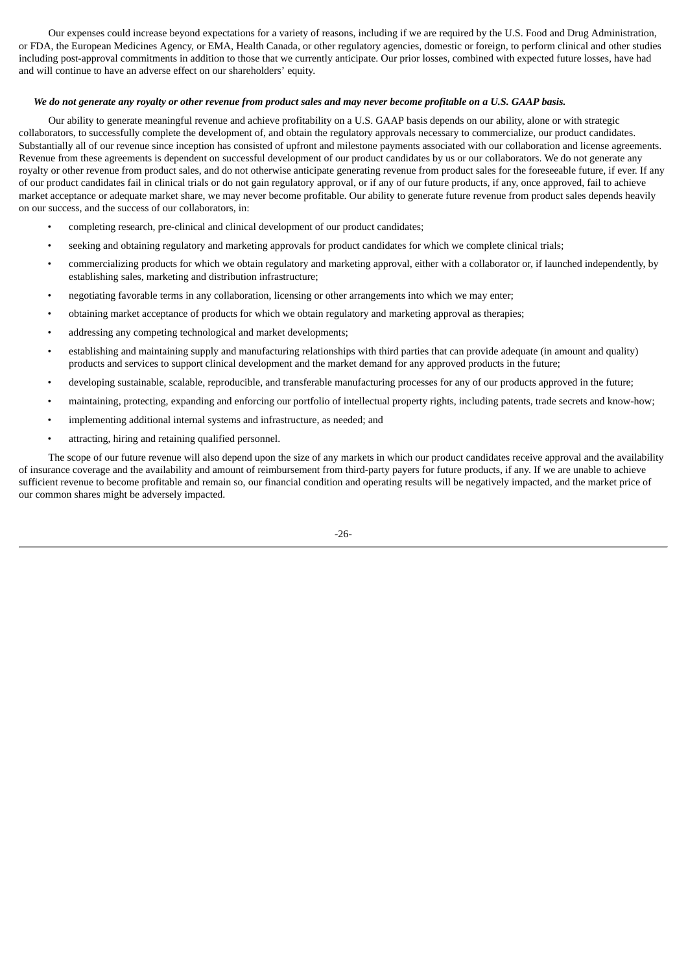Our expenses could increase beyond expectations for a variety of reasons, including if we are required by the U.S. Food and Drug Administration, or FDA, the European Medicines Agency, or EMA, Health Canada, or other regulatory agencies, domestic or foreign, to perform clinical and other studies including post-approval commitments in addition to those that we currently anticipate. Our prior losses, combined with expected future losses, have had and will continue to have an adverse effect on our shareholders' equity.

#### We do not generate any royalty or other revenue from product sales and may never become profitable on a U.S. GAAP basis.

Our ability to generate meaningful revenue and achieve profitability on a U.S. GAAP basis depends on our ability, alone or with strategic collaborators, to successfully complete the development of, and obtain the regulatory approvals necessary to commercialize, our product candidates. Substantially all of our revenue since inception has consisted of upfront and milestone payments associated with our collaboration and license agreements. Revenue from these agreements is dependent on successful development of our product candidates by us or our collaborators. We do not generate any royalty or other revenue from product sales, and do not otherwise anticipate generating revenue from product sales for the foreseeable future, if ever. If any of our product candidates fail in clinical trials or do not gain regulatory approval, or if any of our future products, if any, once approved, fail to achieve market acceptance or adequate market share, we may never become profitable. Our ability to generate future revenue from product sales depends heavily on our success, and the success of our collaborators, in:

- completing research, pre-clinical and clinical development of our product candidates;
- seeking and obtaining regulatory and marketing approvals for product candidates for which we complete clinical trials;
- commercializing products for which we obtain regulatory and marketing approval, either with a collaborator or, if launched independently, by establishing sales, marketing and distribution infrastructure;
- negotiating favorable terms in any collaboration, licensing or other arrangements into which we may enter;
- obtaining market acceptance of products for which we obtain regulatory and marketing approval as therapies;
- addressing any competing technological and market developments;
- establishing and maintaining supply and manufacturing relationships with third parties that can provide adequate (in amount and quality) products and services to support clinical development and the market demand for any approved products in the future;
- developing sustainable, scalable, reproducible, and transferable manufacturing processes for any of our products approved in the future;
- maintaining, protecting, expanding and enforcing our portfolio of intellectual property rights, including patents, trade secrets and know-how;
- implementing additional internal systems and infrastructure, as needed; and
- attracting, hiring and retaining qualified personnel.

The scope of our future revenue will also depend upon the size of any markets in which our product candidates receive approval and the availability of insurance coverage and the availability and amount of reimbursement from third-party payers for future products, if any. If we are unable to achieve sufficient revenue to become profitable and remain so, our financial condition and operating results will be negatively impacted, and the market price of our common shares might be adversely impacted.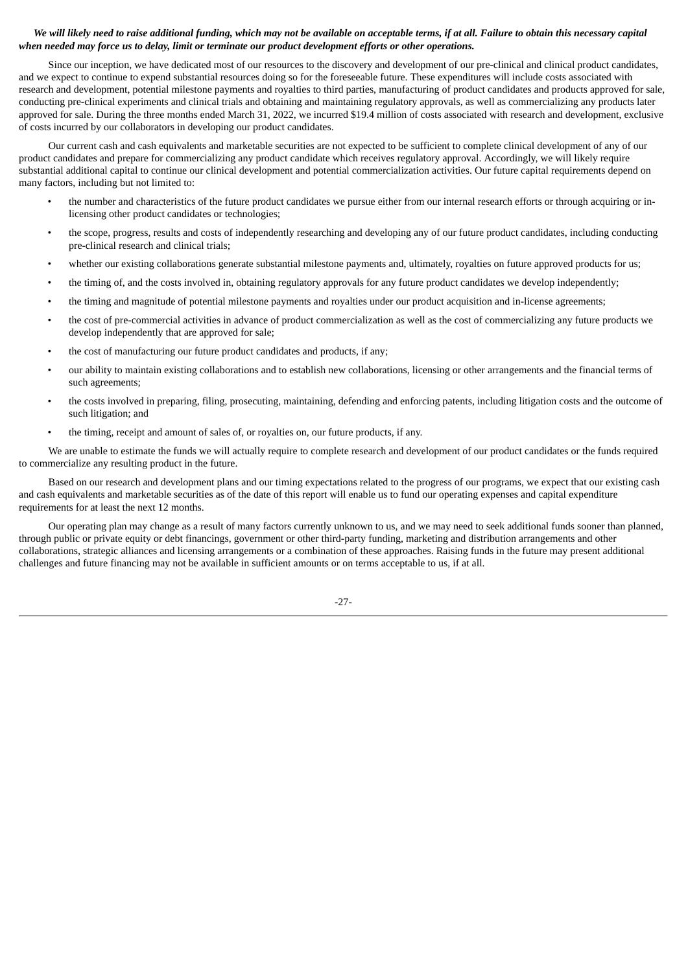## We will likely need to raise additional funding, which may not be available on acceptable terms, if at all. Failure to obtain this necessary capital when needed may force us to delay, limit or terminate our product development efforts or other operations.

Since our inception, we have dedicated most of our resources to the discovery and development of our pre-clinical and clinical product candidates, and we expect to continue to expend substantial resources doing so for the foreseeable future. These expenditures will include costs associated with research and development, potential milestone payments and royalties to third parties, manufacturing of product candidates and products approved for sale, conducting pre-clinical experiments and clinical trials and obtaining and maintaining regulatory approvals, as well as commercializing any products later approved for sale. During the three months ended March 31, 2022, we incurred \$19.4 million of costs associated with research and development, exclusive of costs incurred by our collaborators in developing our product candidates.

Our current cash and cash equivalents and marketable securities are not expected to be sufficient to complete clinical development of any of our product candidates and prepare for commercializing any product candidate which receives regulatory approval. Accordingly, we will likely require substantial additional capital to continue our clinical development and potential commercialization activities. Our future capital requirements depend on many factors, including but not limited to:

- the number and characteristics of the future product candidates we pursue either from our internal research efforts or through acquiring or inlicensing other product candidates or technologies;
- the scope, progress, results and costs of independently researching and developing any of our future product candidates, including conducting pre-clinical research and clinical trials;
- whether our existing collaborations generate substantial milestone payments and, ultimately, royalties on future approved products for us;
- the timing of, and the costs involved in, obtaining regulatory approvals for any future product candidates we develop independently;
- the timing and magnitude of potential milestone payments and royalties under our product acquisition and in-license agreements;
- the cost of pre-commercial activities in advance of product commercialization as well as the cost of commercializing any future products we develop independently that are approved for sale;
- the cost of manufacturing our future product candidates and products, if any;
- our ability to maintain existing collaborations and to establish new collaborations, licensing or other arrangements and the financial terms of such agreements;
- the costs involved in preparing, filing, prosecuting, maintaining, defending and enforcing patents, including litigation costs and the outcome of such litigation; and
- the timing, receipt and amount of sales of, or royalties on, our future products, if any.

We are unable to estimate the funds we will actually require to complete research and development of our product candidates or the funds required to commercialize any resulting product in the future.

Based on our research and development plans and our timing expectations related to the progress of our programs, we expect that our existing cash and cash equivalents and marketable securities as of the date of this report will enable us to fund our operating expenses and capital expenditure requirements for at least the next 12 months.

Our operating plan may change as a result of many factors currently unknown to us, and we may need to seek additional funds sooner than planned, through public or private equity or debt financings, government or other third-party funding, marketing and distribution arrangements and other collaborations, strategic alliances and licensing arrangements or a combination of these approaches. Raising funds in the future may present additional challenges and future financing may not be available in sufficient amounts or on terms acceptable to us, if at all.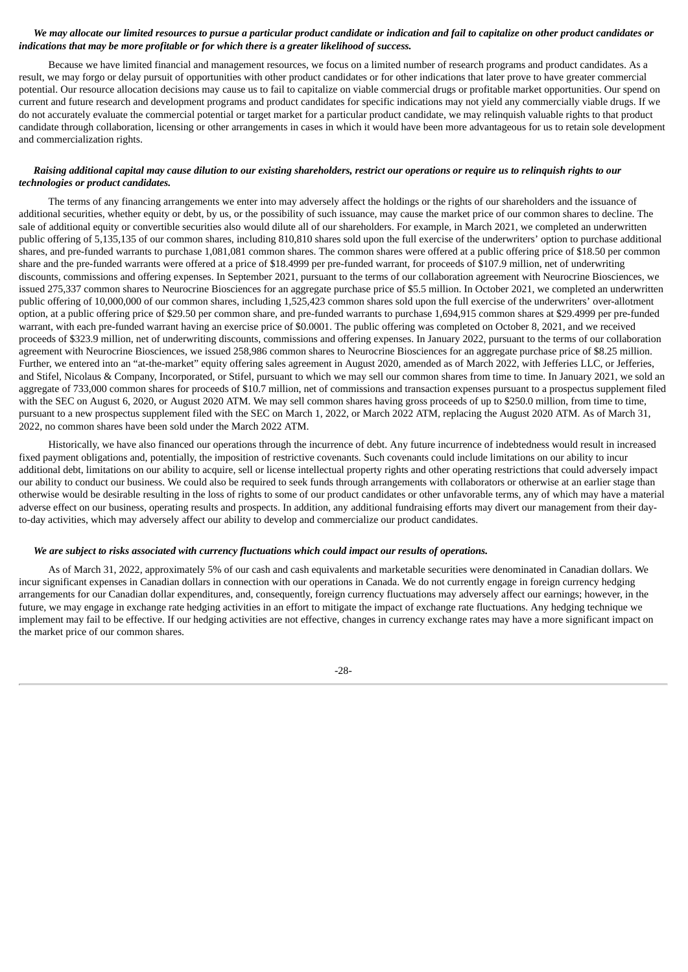## We may allocate our limited resources to pursue a particular product candidate or indication and fail to capitalize on other product candidates or *indications that may be more profitable or for which there is a greater likelihood of success.*

Because we have limited financial and management resources, we focus on a limited number of research programs and product candidates. As a result, we may forgo or delay pursuit of opportunities with other product candidates or for other indications that later prove to have greater commercial potential. Our resource allocation decisions may cause us to fail to capitalize on viable commercial drugs or profitable market opportunities. Our spend on current and future research and development programs and product candidates for specific indications may not yield any commercially viable drugs. If we do not accurately evaluate the commercial potential or target market for a particular product candidate, we may relinquish valuable rights to that product candidate through collaboration, licensing or other arrangements in cases in which it would have been more advantageous for us to retain sole development and commercialization rights.

## Raising additional capital may cause dilution to our existing shareholders, restrict our operations or require us to relinquish rights to our *technologies or product candidates.*

The terms of any financing arrangements we enter into may adversely affect the holdings or the rights of our shareholders and the issuance of additional securities, whether equity or debt, by us, or the possibility of such issuance, may cause the market price of our common shares to decline. The sale of additional equity or convertible securities also would dilute all of our shareholders. For example, in March 2021, we completed an underwritten public offering of 5,135,135 of our common shares, including 810,810 shares sold upon the full exercise of the underwriters' option to purchase additional shares, and pre-funded warrants to purchase 1,081,081 common shares. The common shares were offered at a public offering price of \$18.50 per common share and the pre-funded warrants were offered at a price of \$18.4999 per pre-funded warrant, for proceeds of \$107.9 million, net of underwriting discounts, commissions and offering expenses. In September 2021, pursuant to the terms of our collaboration agreement with Neurocrine Biosciences, we issued 275,337 common shares to Neurocrine Biosciences for an aggregate purchase price of \$5.5 million. In October 2021, we completed an underwritten public offering of 10,000,000 of our common shares, including 1,525,423 common shares sold upon the full exercise of the underwriters' over-allotment option, at a public offering price of \$29.50 per common share, and pre-funded warrants to purchase 1,694,915 common shares at \$29.4999 per pre-funded warrant, with each pre-funded warrant having an exercise price of \$0.0001. The public offering was completed on October 8, 2021, and we received proceeds of \$323.9 million, net of underwriting discounts, commissions and offering expenses. In January 2022, pursuant to the terms of our collaboration agreement with Neurocrine Biosciences, we issued 258,986 common shares to Neurocrine Biosciences for an aggregate purchase price of \$8.25 million. Further, we entered into an "at-the-market" equity offering sales agreement in August 2020, amended as of March 2022, with Jefferies LLC, or Jefferies, and Stifel, Nicolaus & Company, Incorporated, or Stifel, pursuant to which we may sell our common shares from time to time. In January 2021, we sold an aggregate of 733,000 common shares for proceeds of \$10.7 million, net of commissions and transaction expenses pursuant to a prospectus supplement filed with the SEC on August 6, 2020, or August 2020 ATM. We may sell common shares having gross proceeds of up to \$250.0 million, from time to time, pursuant to a new prospectus supplement filed with the SEC on March 1, 2022, or March 2022 ATM, replacing the August 2020 ATM. As of March 31, 2022, no common shares have been sold under the March 2022 ATM.

Historically, we have also financed our operations through the incurrence of debt. Any future incurrence of indebtedness would result in increased fixed payment obligations and, potentially, the imposition of restrictive covenants. Such covenants could include limitations on our ability to incur additional debt, limitations on our ability to acquire, sell or license intellectual property rights and other operating restrictions that could adversely impact our ability to conduct our business. We could also be required to seek funds through arrangements with collaborators or otherwise at an earlier stage than otherwise would be desirable resulting in the loss of rights to some of our product candidates or other unfavorable terms, any of which may have a material adverse effect on our business, operating results and prospects. In addition, any additional fundraising efforts may divert our management from their dayto-day activities, which may adversely affect our ability to develop and commercialize our product candidates.

## *We are subject to risks associated with currency fluctuations which could impact our results of operations.*

As of March 31, 2022, approximately 5% of our cash and cash equivalents and marketable securities were denominated in Canadian dollars. We incur significant expenses in Canadian dollars in connection with our operations in Canada. We do not currently engage in foreign currency hedging arrangements for our Canadian dollar expenditures, and, consequently, foreign currency fluctuations may adversely affect our earnings; however, in the future, we may engage in exchange rate hedging activities in an effort to mitigate the impact of exchange rate fluctuations. Any hedging technique we implement may fail to be effective. If our hedging activities are not effective, changes in currency exchange rates may have a more significant impact on the market price of our common shares.

-28-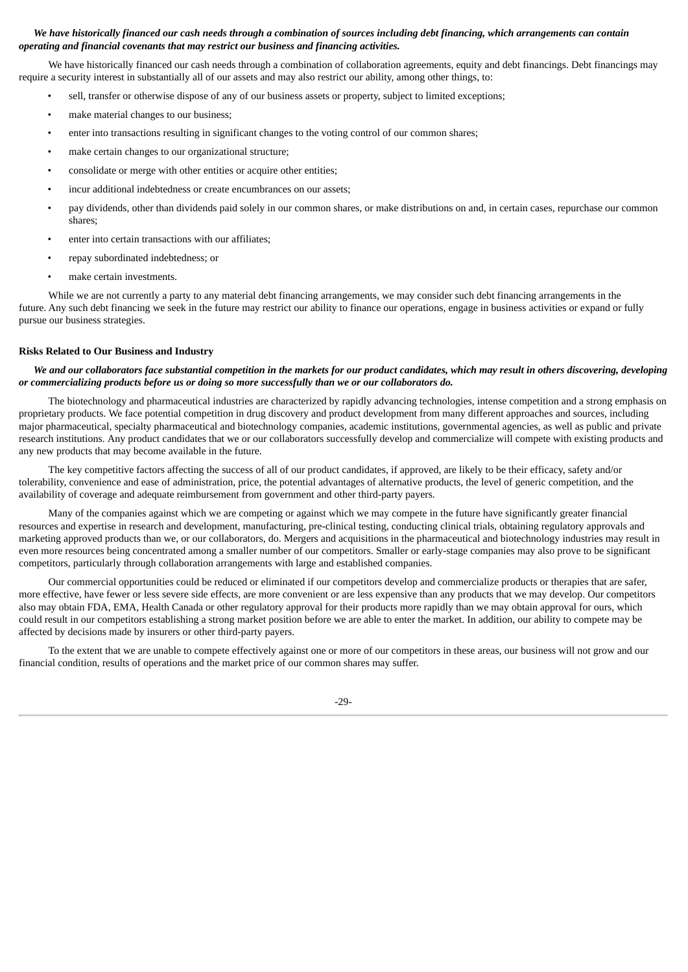## We have historically financed our cash needs through a combination of sources including debt financing, which arrangements can contain *operating and financial covenants that may restrict our business and financing activities.*

We have historically financed our cash needs through a combination of collaboration agreements, equity and debt financings. Debt financings may require a security interest in substantially all of our assets and may also restrict our ability, among other things, to:

- sell, transfer or otherwise dispose of any of our business assets or property, subject to limited exceptions;
- make material changes to our business;
- enter into transactions resulting in significant changes to the voting control of our common shares;
- make certain changes to our organizational structure;
- consolidate or merge with other entities or acquire other entities;
- incur additional indebtedness or create encumbrances on our assets;
- pay dividends, other than dividends paid solely in our common shares, or make distributions on and, in certain cases, repurchase our common shares;
- enter into certain transactions with our affiliates:
- repay subordinated indebtedness; or
- make certain investments.

While we are not currently a party to any material debt financing arrangements, we may consider such debt financing arrangements in the future. Any such debt financing we seek in the future may restrict our ability to finance our operations, engage in business activities or expand or fully pursue our business strategies.

#### **Risks Related to Our Business and Industry**

## We and our collaborators face substantial competition in the markets for our product candidates, which may result in others discovering, developing *or commercializing products before us or doing so more successfully than we or our collaborators do.*

The biotechnology and pharmaceutical industries are characterized by rapidly advancing technologies, intense competition and a strong emphasis on proprietary products. We face potential competition in drug discovery and product development from many different approaches and sources, including major pharmaceutical, specialty pharmaceutical and biotechnology companies, academic institutions, governmental agencies, as well as public and private research institutions. Any product candidates that we or our collaborators successfully develop and commercialize will compete with existing products and any new products that may become available in the future.

The key competitive factors affecting the success of all of our product candidates, if approved, are likely to be their efficacy, safety and/or tolerability, convenience and ease of administration, price, the potential advantages of alternative products, the level of generic competition, and the availability of coverage and adequate reimbursement from government and other third-party payers.

Many of the companies against which we are competing or against which we may compete in the future have significantly greater financial resources and expertise in research and development, manufacturing, pre-clinical testing, conducting clinical trials, obtaining regulatory approvals and marketing approved products than we, or our collaborators, do. Mergers and acquisitions in the pharmaceutical and biotechnology industries may result in even more resources being concentrated among a smaller number of our competitors. Smaller or early-stage companies may also prove to be significant competitors, particularly through collaboration arrangements with large and established companies.

Our commercial opportunities could be reduced or eliminated if our competitors develop and commercialize products or therapies that are safer, more effective, have fewer or less severe side effects, are more convenient or are less expensive than any products that we may develop. Our competitors also may obtain FDA, EMA, Health Canada or other regulatory approval for their products more rapidly than we may obtain approval for ours, which could result in our competitors establishing a strong market position before we are able to enter the market. In addition, our ability to compete may be affected by decisions made by insurers or other third-party payers.

To the extent that we are unable to compete effectively against one or more of our competitors in these areas, our business will not grow and our financial condition, results of operations and the market price of our common shares may suffer.

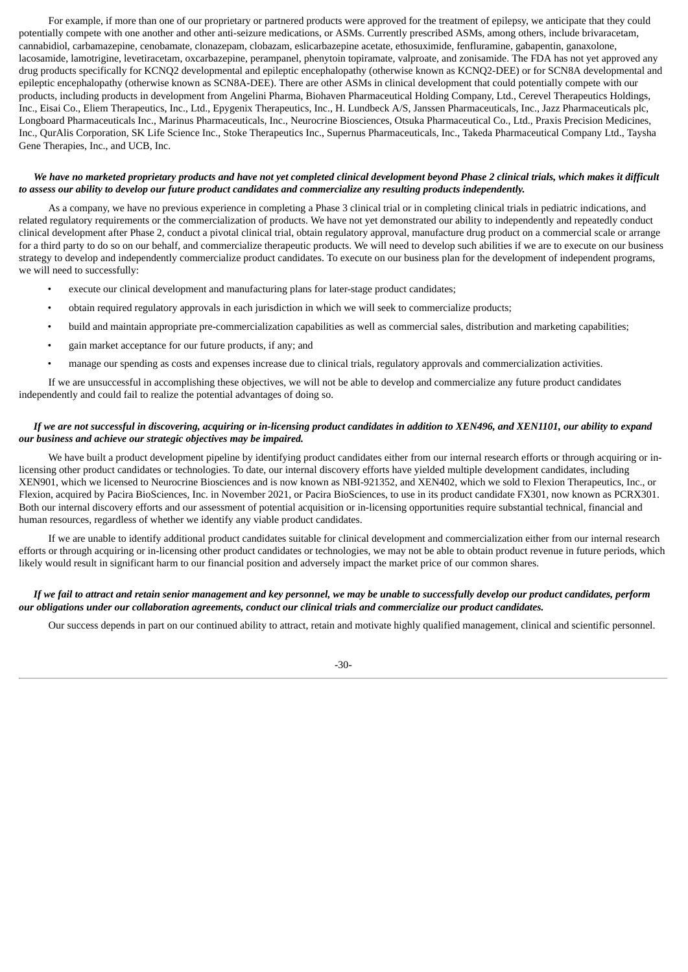For example, if more than one of our proprietary or partnered products were approved for the treatment of epilepsy, we anticipate that they could potentially compete with one another and other anti-seizure medications, or ASMs. Currently prescribed ASMs, among others, include brivaracetam, cannabidiol, carbamazepine, cenobamate, clonazepam, clobazam, eslicarbazepine acetate, ethosuximide, fenfluramine, gabapentin, ganaxolone, lacosamide, lamotrigine, levetiracetam, oxcarbazepine, perampanel, phenytoin topiramate, valproate, and zonisamide. The FDA has not yet approved any drug products specifically for KCNQ2 developmental and epileptic encephalopathy (otherwise known as KCNQ2-DEE) or for SCN8A developmental and epileptic encephalopathy (otherwise known as SCN8A-DEE). There are other ASMs in clinical development that could potentially compete with our products, including products in development from Angelini Pharma, Biohaven Pharmaceutical Holding Company, Ltd., Cerevel Therapeutics Holdings, Inc., Eisai Co., Eliem Therapeutics, Inc., Ltd., Epygenix Therapeutics, Inc., H. Lundbeck A/S, Janssen Pharmaceuticals, Inc., Jazz Pharmaceuticals plc, Longboard Pharmaceuticals Inc., Marinus Pharmaceuticals, Inc., Neurocrine Biosciences, Otsuka Pharmaceutical Co., Ltd., Praxis Precision Medicines, Inc., QurAlis Corporation, SK Life Science Inc., Stoke Therapeutics Inc., Supernus Pharmaceuticals, Inc., Takeda Pharmaceutical Company Ltd., Taysha Gene Therapies, Inc., and UCB, Inc.

## We have no marketed proprietary products and have not yet completed clinical development beyond Phase 2 clinical trials, which makes it difficult to assess our ability to develop our future product candidates and commercialize any resulting products independently.

As a company, we have no previous experience in completing a Phase 3 clinical trial or in completing clinical trials in pediatric indications, and related regulatory requirements or the commercialization of products. We have not yet demonstrated our ability to independently and repeatedly conduct clinical development after Phase 2, conduct a pivotal clinical trial, obtain regulatory approval, manufacture drug product on a commercial scale or arrange for a third party to do so on our behalf, and commercialize therapeutic products. We will need to develop such abilities if we are to execute on our business strategy to develop and independently commercialize product candidates. To execute on our business plan for the development of independent programs, we will need to successfully:

- execute our clinical development and manufacturing plans for later-stage product candidates;
- obtain required regulatory approvals in each jurisdiction in which we will seek to commercialize products;
- build and maintain appropriate pre-commercialization capabilities as well as commercial sales, distribution and marketing capabilities;
- gain market acceptance for our future products, if any; and
- manage our spending as costs and expenses increase due to clinical trials, regulatory approvals and commercialization activities.

If we are unsuccessful in accomplishing these objectives, we will not be able to develop and commercialize any future product candidates independently and could fail to realize the potential advantages of doing so.

## If we are not successful in discovering, acquiring or in-licensing product candidates in addition to XEN496, and XEN1101, our ability to expand *our business and achieve our strategic objectives may be impaired.*

We have built a product development pipeline by identifying product candidates either from our internal research efforts or through acquiring or inlicensing other product candidates or technologies. To date, our internal discovery efforts have yielded multiple development candidates, including XEN901, which we licensed to Neurocrine Biosciences and is now known as NBI-921352, and XEN402, which we sold to Flexion Therapeutics, Inc., or Flexion, acquired by Pacira BioSciences, Inc. in November 2021, or Pacira BioSciences, to use in its product candidate FX301, now known as PCRX301. Both our internal discovery efforts and our assessment of potential acquisition or in-licensing opportunities require substantial technical, financial and human resources, regardless of whether we identify any viable product candidates.

If we are unable to identify additional product candidates suitable for clinical development and commercialization either from our internal research efforts or through acquiring or in-licensing other product candidates or technologies, we may not be able to obtain product revenue in future periods, which likely would result in significant harm to our financial position and adversely impact the market price of our common shares.

## If we fail to attract and retain senior management and key personnel, we may be unable to successfully develop our product candidates, perform our obligations under our collaboration agreements, conduct our clinical trials and commercialize our product candidates.

Our success depends in part on our continued ability to attract, retain and motivate highly qualified management, clinical and scientific personnel.

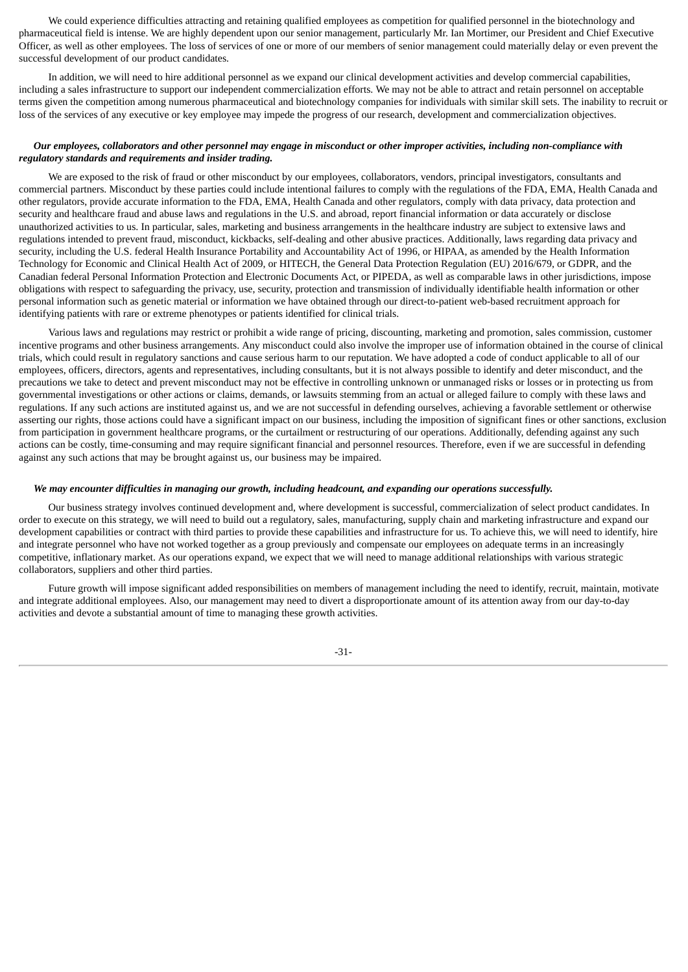We could experience difficulties attracting and retaining qualified employees as competition for qualified personnel in the biotechnology and pharmaceutical field is intense. We are highly dependent upon our senior management, particularly Mr. Ian Mortimer, our President and Chief Executive Officer, as well as other employees. The loss of services of one or more of our members of senior management could materially delay or even prevent the successful development of our product candidates.

In addition, we will need to hire additional personnel as we expand our clinical development activities and develop commercial capabilities, including a sales infrastructure to support our independent commercialization efforts. We may not be able to attract and retain personnel on acceptable terms given the competition among numerous pharmaceutical and biotechnology companies for individuals with similar skill sets. The inability to recruit or loss of the services of any executive or key employee may impede the progress of our research, development and commercialization objectives.

## Our employees, collaborators and other personnel may engage in misconduct or other improper activities, including non-compliance with *regulatory standards and requirements and insider trading.*

We are exposed to the risk of fraud or other misconduct by our employees, collaborators, vendors, principal investigators, consultants and commercial partners. Misconduct by these parties could include intentional failures to comply with the regulations of the FDA, EMA, Health Canada and other regulators, provide accurate information to the FDA, EMA, Health Canada and other regulators, comply with data privacy, data protection and security and healthcare fraud and abuse laws and regulations in the U.S. and abroad, report financial information or data accurately or disclose unauthorized activities to us. In particular, sales, marketing and business arrangements in the healthcare industry are subject to extensive laws and regulations intended to prevent fraud, misconduct, kickbacks, self-dealing and other abusive practices. Additionally, laws regarding data privacy and security, including the U.S. federal Health Insurance Portability and Accountability Act of 1996, or HIPAA, as amended by the Health Information Technology for Economic and Clinical Health Act of 2009, or HITECH, the General Data Protection Regulation (EU) 2016/679, or GDPR, and the Canadian federal Personal Information Protection and Electronic Documents Act, or PIPEDA, as well as comparable laws in other jurisdictions, impose obligations with respect to safeguarding the privacy, use, security, protection and transmission of individually identifiable health information or other personal information such as genetic material or information we have obtained through our direct-to-patient web-based recruitment approach for identifying patients with rare or extreme phenotypes or patients identified for clinical trials.

Various laws and regulations may restrict or prohibit a wide range of pricing, discounting, marketing and promotion, sales commission, customer incentive programs and other business arrangements. Any misconduct could also involve the improper use of information obtained in the course of clinical trials, which could result in regulatory sanctions and cause serious harm to our reputation. We have adopted a code of conduct applicable to all of our employees, officers, directors, agents and representatives, including consultants, but it is not always possible to identify and deter misconduct, and the precautions we take to detect and prevent misconduct may not be effective in controlling unknown or unmanaged risks or losses or in protecting us from governmental investigations or other actions or claims, demands, or lawsuits stemming from an actual or alleged failure to comply with these laws and regulations. If any such actions are instituted against us, and we are not successful in defending ourselves, achieving a favorable settlement or otherwise asserting our rights, those actions could have a significant impact on our business, including the imposition of significant fines or other sanctions, exclusion from participation in government healthcare programs, or the curtailment or restructuring of our operations. Additionally, defending against any such actions can be costly, time-consuming and may require significant financial and personnel resources. Therefore, even if we are successful in defending against any such actions that may be brought against us, our business may be impaired.

#### *We may encounter difficulties in managing our growth, including headcount, and expanding our operations successfully.*

Our business strategy involves continued development and, where development is successful, commercialization of select product candidates. In order to execute on this strategy, we will need to build out a regulatory, sales, manufacturing, supply chain and marketing infrastructure and expand our development capabilities or contract with third parties to provide these capabilities and infrastructure for us. To achieve this, we will need to identify, hire and integrate personnel who have not worked together as a group previously and compensate our employees on adequate terms in an increasingly competitive, inflationary market. As our operations expand, we expect that we will need to manage additional relationships with various strategic collaborators, suppliers and other third parties.

Future growth will impose significant added responsibilities on members of management including the need to identify, recruit, maintain, motivate and integrate additional employees. Also, our management may need to divert a disproportionate amount of its attention away from our day-to-day activities and devote a substantial amount of time to managing these growth activities.

-31-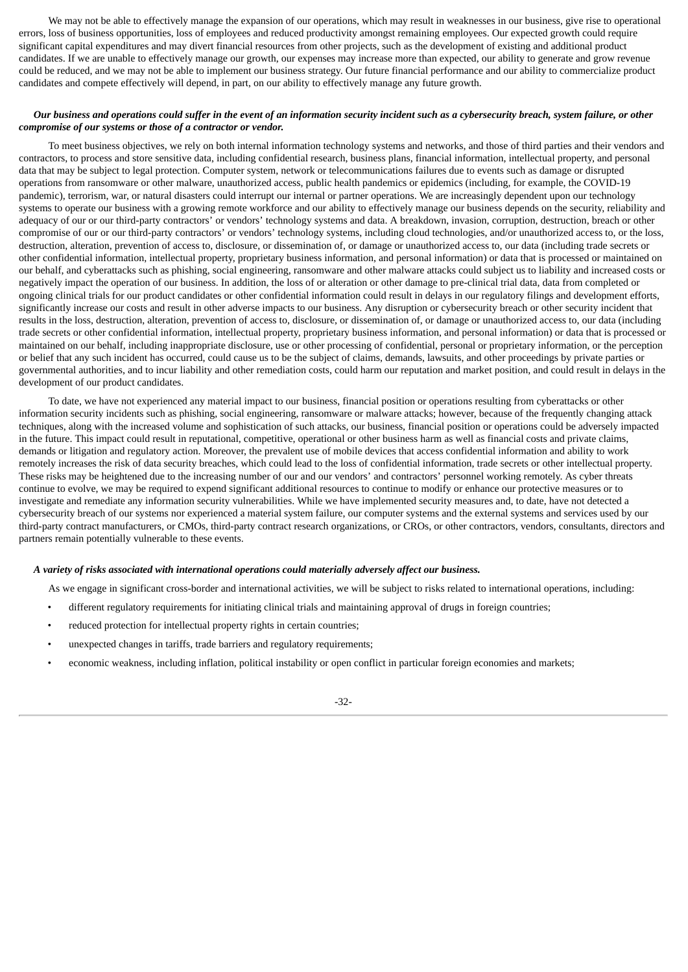We may not be able to effectively manage the expansion of our operations, which may result in weaknesses in our business, give rise to operational errors, loss of business opportunities, loss of employees and reduced productivity amongst remaining employees. Our expected growth could require significant capital expenditures and may divert financial resources from other projects, such as the development of existing and additional product candidates. If we are unable to effectively manage our growth, our expenses may increase more than expected, our ability to generate and grow revenue could be reduced, and we may not be able to implement our business strategy. Our future financial performance and our ability to commercialize product candidates and compete effectively will depend, in part, on our ability to effectively manage any future growth.

## Our business and operations could suffer in the event of an information security incident such as a cybersecurity breach, system failure, or other *compromise of our systems or those of a contractor or vendor.*

To meet business objectives, we rely on both internal information technology systems and networks, and those of third parties and their vendors and contractors, to process and store sensitive data, including confidential research, business plans, financial information, intellectual property, and personal data that may be subject to legal protection. Computer system, network or telecommunications failures due to events such as damage or disrupted operations from ransomware or other malware, unauthorized access, public health pandemics or epidemics (including, for example, the COVID-19 pandemic), terrorism, war, or natural disasters could interrupt our internal or partner operations. We are increasingly dependent upon our technology systems to operate our business with a growing remote workforce and our ability to effectively manage our business depends on the security, reliability and adequacy of our or our third-party contractors' or vendors' technology systems and data. A breakdown, invasion, corruption, destruction, breach or other compromise of our or our third-party contractors' or vendors' technology systems, including cloud technologies, and/or unauthorized access to, or the loss, destruction, alteration, prevention of access to, disclosure, or dissemination of, or damage or unauthorized access to, our data (including trade secrets or other confidential information, intellectual property, proprietary business information, and personal information) or data that is processed or maintained on our behalf, and cyberattacks such as phishing, social engineering, ransomware and other malware attacks could subject us to liability and increased costs or negatively impact the operation of our business. In addition, the loss of or alteration or other damage to pre-clinical trial data, data from completed or ongoing clinical trials for our product candidates or other confidential information could result in delays in our regulatory filings and development efforts, significantly increase our costs and result in other adverse impacts to our business. Any disruption or cybersecurity breach or other security incident that results in the loss, destruction, alteration, prevention of access to, disclosure, or dissemination of, or damage or unauthorized access to, our data (including trade secrets or other confidential information, intellectual property, proprietary business information, and personal information) or data that is processed or maintained on our behalf, including inappropriate disclosure, use or other processing of confidential, personal or proprietary information, or the perception or belief that any such incident has occurred, could cause us to be the subject of claims, demands, lawsuits, and other proceedings by private parties or governmental authorities, and to incur liability and other remediation costs, could harm our reputation and market position, and could result in delays in the development of our product candidates.

To date, we have not experienced any material impact to our business, financial position or operations resulting from cyberattacks or other information security incidents such as phishing, social engineering, ransomware or malware attacks; however, because of the frequently changing attack techniques, along with the increased volume and sophistication of such attacks, our business, financial position or operations could be adversely impacted in the future. This impact could result in reputational, competitive, operational or other business harm as well as financial costs and private claims, demands or litigation and regulatory action. Moreover, the prevalent use of mobile devices that access confidential information and ability to work remotely increases the risk of data security breaches, which could lead to the loss of confidential information, trade secrets or other intellectual property. These risks may be heightened due to the increasing number of our and our vendors' and contractors' personnel working remotely. As cyber threats continue to evolve, we may be required to expend significant additional resources to continue to modify or enhance our protective measures or to investigate and remediate any information security vulnerabilities. While we have implemented security measures and, to date, have not detected a cybersecurity breach of our systems nor experienced a material system failure, our computer systems and the external systems and services used by our third-party contract manufacturers, or CMOs, third-party contract research organizations, or CROs, or other contractors, vendors, consultants, directors and partners remain potentially vulnerable to these events.

#### *A variety of risks associated with international operations could materially adversely affect our business.*

As we engage in significant cross-border and international activities, we will be subject to risks related to international operations, including:

- different regulatory requirements for initiating clinical trials and maintaining approval of drugs in foreign countries;
- reduced protection for intellectual property rights in certain countries;
- unexpected changes in tariffs, trade barriers and regulatory requirements;
- economic weakness, including inflation, political instability or open conflict in particular foreign economies and markets;

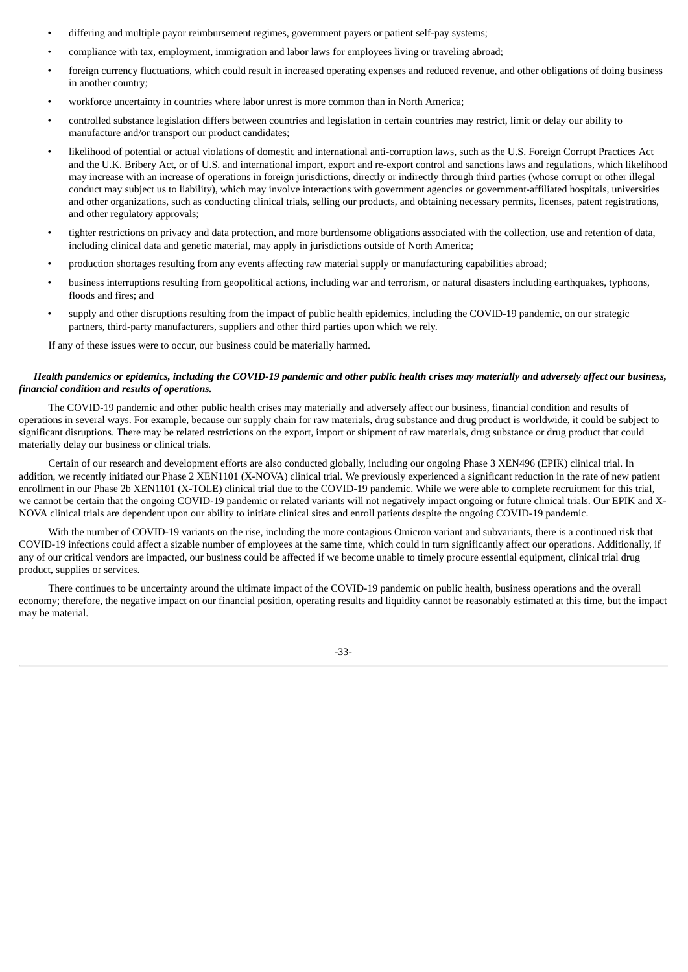- differing and multiple payor reimbursement regimes, government payers or patient self-pay systems;
- compliance with tax, employment, immigration and labor laws for employees living or traveling abroad;
- foreign currency fluctuations, which could result in increased operating expenses and reduced revenue, and other obligations of doing business in another country;
- workforce uncertainty in countries where labor unrest is more common than in North America;
- controlled substance legislation differs between countries and legislation in certain countries may restrict, limit or delay our ability to manufacture and/or transport our product candidates;
- likelihood of potential or actual violations of domestic and international anti-corruption laws, such as the U.S. Foreign Corrupt Practices Act and the U.K. Bribery Act, or of U.S. and international import, export and re-export control and sanctions laws and regulations, which likelihood may increase with an increase of operations in foreign jurisdictions, directly or indirectly through third parties (whose corrupt or other illegal conduct may subject us to liability), which may involve interactions with government agencies or government-affiliated hospitals, universities and other organizations, such as conducting clinical trials, selling our products, and obtaining necessary permits, licenses, patent registrations, and other regulatory approvals;
- tighter restrictions on privacy and data protection, and more burdensome obligations associated with the collection, use and retention of data, including clinical data and genetic material, may apply in jurisdictions outside of North America;
- production shortages resulting from any events affecting raw material supply or manufacturing capabilities abroad;
- business interruptions resulting from geopolitical actions, including war and terrorism, or natural disasters including earthquakes, typhoons, floods and fires; and
- supply and other disruptions resulting from the impact of public health epidemics, including the COVID-19 pandemic, on our strategic partners, third-party manufacturers, suppliers and other third parties upon which we rely.

If any of these issues were to occur, our business could be materially harmed.

## Health pandemics or epidemics, including the COVID-19 pandemic and other public health crises may materially and adversely affect our business, *financial condition and results of operations.*

The COVID-19 pandemic and other public health crises may materially and adversely affect our business, financial condition and results of operations in several ways. For example, because our supply chain for raw materials, drug substance and drug product is worldwide, it could be subject to significant disruptions. There may be related restrictions on the export, import or shipment of raw materials, drug substance or drug product that could materially delay our business or clinical trials.

Certain of our research and development efforts are also conducted globally, including our ongoing Phase 3 XEN496 (EPIK) clinical trial. In addition, we recently initiated our Phase 2 XEN1101 (X-NOVA) clinical trial. We previously experienced a significant reduction in the rate of new patient enrollment in our Phase 2b XEN1101 (X-TOLE) clinical trial due to the COVID-19 pandemic. While we were able to complete recruitment for this trial, we cannot be certain that the ongoing COVID-19 pandemic or related variants will not negatively impact ongoing or future clinical trials. Our EPIK and X-NOVA clinical trials are dependent upon our ability to initiate clinical sites and enroll patients despite the ongoing COVID-19 pandemic.

With the number of COVID-19 variants on the rise, including the more contagious Omicron variant and subvariants, there is a continued risk that COVID-19 infections could affect a sizable number of employees at the same time, which could in turn significantly affect our operations. Additionally, if any of our critical vendors are impacted, our business could be affected if we become unable to timely procure essential equipment, clinical trial drug product, supplies or services.

There continues to be uncertainty around the ultimate impact of the COVID-19 pandemic on public health, business operations and the overall economy; therefore, the negative impact on our financial position, operating results and liquidity cannot be reasonably estimated at this time, but the impact may be material.

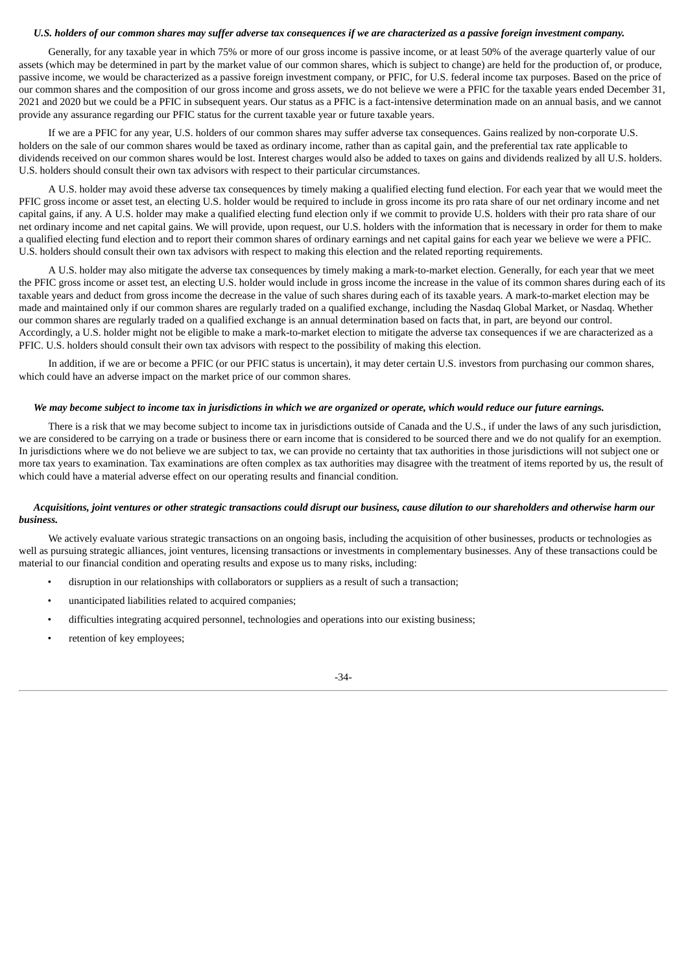#### U.S. holders of our common shares may suffer adverse tax consequences if we are characterized as a passive foreign investment company.

Generally, for any taxable year in which 75% or more of our gross income is passive income, or at least 50% of the average quarterly value of our assets (which may be determined in part by the market value of our common shares, which is subject to change) are held for the production of, or produce, passive income, we would be characterized as a passive foreign investment company, or PFIC, for U.S. federal income tax purposes. Based on the price of our common shares and the composition of our gross income and gross assets, we do not believe we were a PFIC for the taxable years ended December 31, 2021 and 2020 but we could be a PFIC in subsequent years. Our status as a PFIC is a fact-intensive determination made on an annual basis, and we cannot provide any assurance regarding our PFIC status for the current taxable year or future taxable years.

If we are a PFIC for any year, U.S. holders of our common shares may suffer adverse tax consequences. Gains realized by non-corporate U.S. holders on the sale of our common shares would be taxed as ordinary income, rather than as capital gain, and the preferential tax rate applicable to dividends received on our common shares would be lost. Interest charges would also be added to taxes on gains and dividends realized by all U.S. holders. U.S. holders should consult their own tax advisors with respect to their particular circumstances.

A U.S. holder may avoid these adverse tax consequences by timely making a qualified electing fund election. For each year that we would meet the PFIC gross income or asset test, an electing U.S. holder would be required to include in gross income its pro rata share of our net ordinary income and net capital gains, if any. A U.S. holder may make a qualified electing fund election only if we commit to provide U.S. holders with their pro rata share of our net ordinary income and net capital gains. We will provide, upon request, our U.S. holders with the information that is necessary in order for them to make a qualified electing fund election and to report their common shares of ordinary earnings and net capital gains for each year we believe we were a PFIC. U.S. holders should consult their own tax advisors with respect to making this election and the related reporting requirements.

A U.S. holder may also mitigate the adverse tax consequences by timely making a mark-to-market election. Generally, for each year that we meet the PFIC gross income or asset test, an electing U.S. holder would include in gross income the increase in the value of its common shares during each of its taxable years and deduct from gross income the decrease in the value of such shares during each of its taxable years. A mark-to-market election may be made and maintained only if our common shares are regularly traded on a qualified exchange, including the Nasdaq Global Market, or Nasdaq. Whether our common shares are regularly traded on a qualified exchange is an annual determination based on facts that, in part, are beyond our control. Accordingly, a U.S. holder might not be eligible to make a mark-to-market election to mitigate the adverse tax consequences if we are characterized as a PFIC. U.S. holders should consult their own tax advisors with respect to the possibility of making this election.

In addition, if we are or become a PFIC (or our PFIC status is uncertain), it may deter certain U.S. investors from purchasing our common shares, which could have an adverse impact on the market price of our common shares.

#### We may become subject to income tax in jurisdictions in which we are organized or operate, which would reduce our future earnings.

There is a risk that we may become subject to income tax in jurisdictions outside of Canada and the U.S., if under the laws of any such jurisdiction, we are considered to be carrying on a trade or business there or earn income that is considered to be sourced there and we do not qualify for an exemption. In jurisdictions where we do not believe we are subject to tax, we can provide no certainty that tax authorities in those jurisdictions will not subject one or more tax years to examination. Tax examinations are often complex as tax authorities may disagree with the treatment of items reported by us, the result of which could have a material adverse effect on our operating results and financial condition.

## Acquisitions, joint ventures or other strategic transactions could disrupt our business, cause dilution to our shareholders and otherwise harm our *business.*

We actively evaluate various strategic transactions on an ongoing basis, including the acquisition of other businesses, products or technologies as well as pursuing strategic alliances, joint ventures, licensing transactions or investments in complementary businesses. Any of these transactions could be material to our financial condition and operating results and expose us to many risks, including:

- disruption in our relationships with collaborators or suppliers as a result of such a transaction;
- unanticipated liabilities related to acquired companies;
- difficulties integrating acquired personnel, technologies and operations into our existing business;
- retention of key employees;

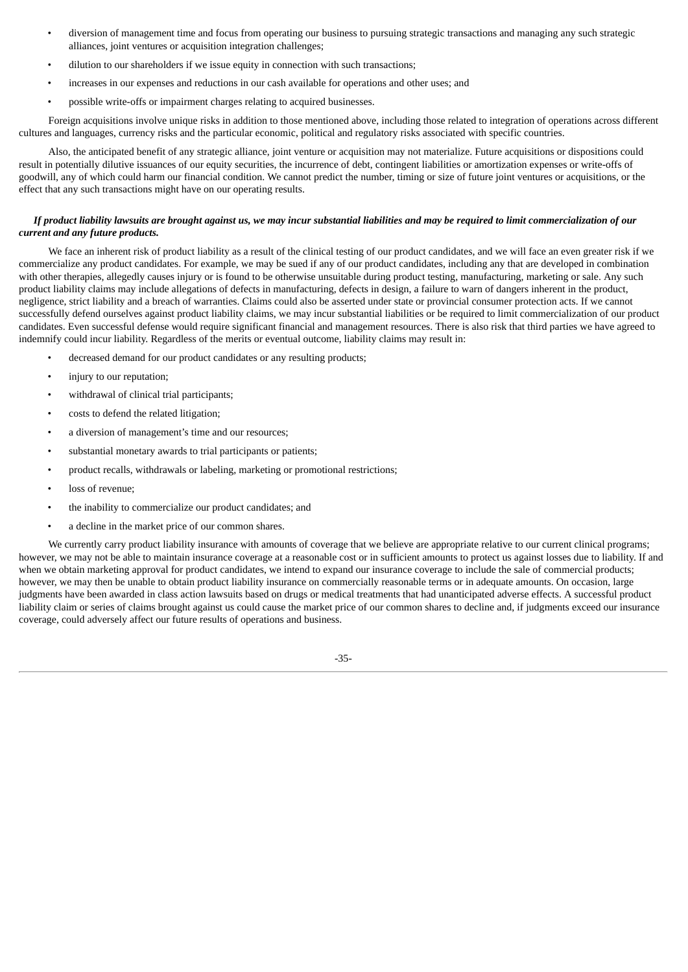- diversion of management time and focus from operating our business to pursuing strategic transactions and managing any such strategic alliances, joint ventures or acquisition integration challenges;
- dilution to our shareholders if we issue equity in connection with such transactions;
- increases in our expenses and reductions in our cash available for operations and other uses; and
- possible write-offs or impairment charges relating to acquired businesses.

Foreign acquisitions involve unique risks in addition to those mentioned above, including those related to integration of operations across different cultures and languages, currency risks and the particular economic, political and regulatory risks associated with specific countries.

Also, the anticipated benefit of any strategic alliance, joint venture or acquisition may not materialize. Future acquisitions or dispositions could result in potentially dilutive issuances of our equity securities, the incurrence of debt, contingent liabilities or amortization expenses or write-offs of goodwill, any of which could harm our financial condition. We cannot predict the number, timing or size of future joint ventures or acquisitions, or the effect that any such transactions might have on our operating results.

## If product liability lawsuits are brought against us, we may incur substantial liabilities and may be required to limit commercialization of our *current and any future products.*

We face an inherent risk of product liability as a result of the clinical testing of our product candidates, and we will face an even greater risk if we commercialize any product candidates. For example, we may be sued if any of our product candidates, including any that are developed in combination with other therapies, allegedly causes injury or is found to be otherwise unsuitable during product testing, manufacturing, marketing or sale. Any such product liability claims may include allegations of defects in manufacturing, defects in design, a failure to warn of dangers inherent in the product, negligence, strict liability and a breach of warranties. Claims could also be asserted under state or provincial consumer protection acts. If we cannot successfully defend ourselves against product liability claims, we may incur substantial liabilities or be required to limit commercialization of our product candidates. Even successful defense would require significant financial and management resources. There is also risk that third parties we have agreed to indemnify could incur liability. Regardless of the merits or eventual outcome, liability claims may result in:

- decreased demand for our product candidates or any resulting products;
- injury to our reputation;
- withdrawal of clinical trial participants;
- costs to defend the related litigation;
- a diversion of management's time and our resources;
- substantial monetary awards to trial participants or patients;
- product recalls, withdrawals or labeling, marketing or promotional restrictions;
- loss of revenue;
- the inability to commercialize our product candidates; and
- a decline in the market price of our common shares.

We currently carry product liability insurance with amounts of coverage that we believe are appropriate relative to our current clinical programs; however, we may not be able to maintain insurance coverage at a reasonable cost or in sufficient amounts to protect us against losses due to liability. If and when we obtain marketing approval for product candidates, we intend to expand our insurance coverage to include the sale of commercial products; however, we may then be unable to obtain product liability insurance on commercially reasonable terms or in adequate amounts. On occasion, large judgments have been awarded in class action lawsuits based on drugs or medical treatments that had unanticipated adverse effects. A successful product liability claim or series of claims brought against us could cause the market price of our common shares to decline and, if judgments exceed our insurance coverage, could adversely affect our future results of operations and business.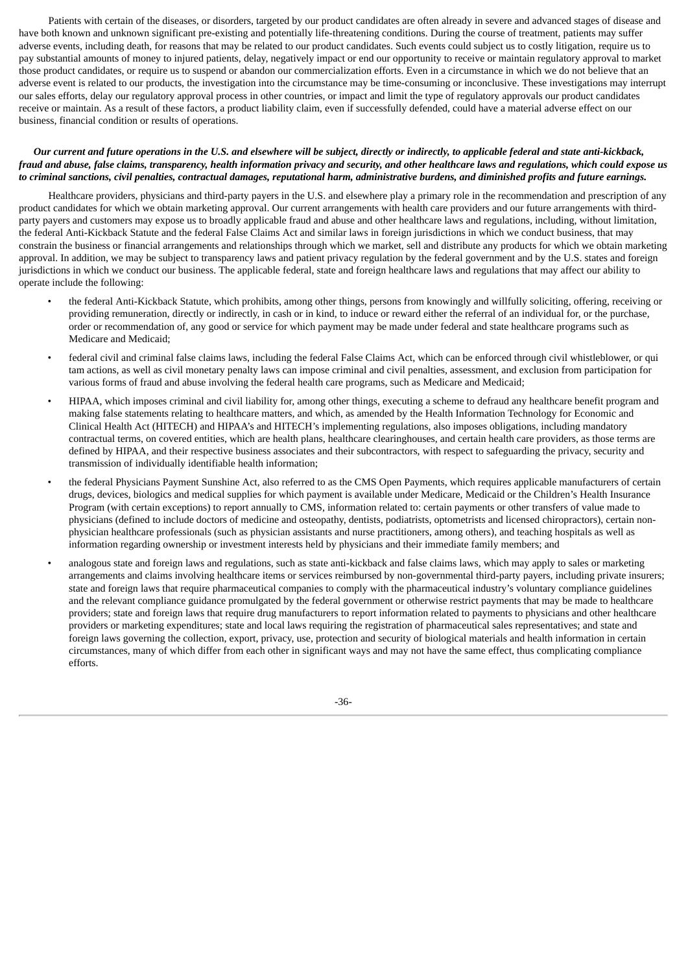Patients with certain of the diseases, or disorders, targeted by our product candidates are often already in severe and advanced stages of disease and have both known and unknown significant pre-existing and potentially life-threatening conditions. During the course of treatment, patients may suffer adverse events, including death, for reasons that may be related to our product candidates. Such events could subject us to costly litigation, require us to pay substantial amounts of money to injured patients, delay, negatively impact or end our opportunity to receive or maintain regulatory approval to market those product candidates, or require us to suspend or abandon our commercialization efforts. Even in a circumstance in which we do not believe that an adverse event is related to our products, the investigation into the circumstance may be time-consuming or inconclusive. These investigations may interrupt our sales efforts, delay our regulatory approval process in other countries, or impact and limit the type of regulatory approvals our product candidates receive or maintain. As a result of these factors, a product liability claim, even if successfully defended, could have a material adverse effect on our business, financial condition or results of operations.

#### Our current and future operations in the U.S. and elsewhere will be subject, directly or indirectly, to applicable federal and state anti-kickback, fraud and abuse, false claims, transparency, health information privacy and security, and other healthcare laws and regulations, which could expose us to criminal sanctions, civil penalties, contractual damages, reputational harm, administrative burdens, and diminished profits and future earnings.

Healthcare providers, physicians and third-party payers in the U.S. and elsewhere play a primary role in the recommendation and prescription of any product candidates for which we obtain marketing approval. Our current arrangements with health care providers and our future arrangements with thirdparty payers and customers may expose us to broadly applicable fraud and abuse and other healthcare laws and regulations, including, without limitation, the federal Anti-Kickback Statute and the federal False Claims Act and similar laws in foreign jurisdictions in which we conduct business, that may constrain the business or financial arrangements and relationships through which we market, sell and distribute any products for which we obtain marketing approval. In addition, we may be subject to transparency laws and patient privacy regulation by the federal government and by the U.S. states and foreign jurisdictions in which we conduct our business. The applicable federal, state and foreign healthcare laws and regulations that may affect our ability to operate include the following:

- the federal Anti-Kickback Statute, which prohibits, among other things, persons from knowingly and willfully soliciting, offering, receiving or providing remuneration, directly or indirectly, in cash or in kind, to induce or reward either the referral of an individual for, or the purchase, order or recommendation of, any good or service for which payment may be made under federal and state healthcare programs such as Medicare and Medicaid;
- federal civil and criminal false claims laws, including the federal False Claims Act, which can be enforced through civil whistleblower, or qui tam actions, as well as civil monetary penalty laws can impose criminal and civil penalties, assessment, and exclusion from participation for various forms of fraud and abuse involving the federal health care programs, such as Medicare and Medicaid;
- HIPAA, which imposes criminal and civil liability for, among other things, executing a scheme to defraud any healthcare benefit program and making false statements relating to healthcare matters, and which, as amended by the Health Information Technology for Economic and Clinical Health Act (HITECH) and HIPAA's and HITECH's implementing regulations, also imposes obligations, including mandatory contractual terms, on covered entities, which are health plans, healthcare clearinghouses, and certain health care providers, as those terms are defined by HIPAA, and their respective business associates and their subcontractors, with respect to safeguarding the privacy, security and transmission of individually identifiable health information;
- the federal Physicians Payment Sunshine Act, also referred to as the CMS Open Payments, which requires applicable manufacturers of certain drugs, devices, biologics and medical supplies for which payment is available under Medicare, Medicaid or the Children's Health Insurance Program (with certain exceptions) to report annually to CMS, information related to: certain payments or other transfers of value made to physicians (defined to include doctors of medicine and osteopathy, dentists, podiatrists, optometrists and licensed chiropractors), certain nonphysician healthcare professionals (such as physician assistants and nurse practitioners, among others), and teaching hospitals as well as information regarding ownership or investment interests held by physicians and their immediate family members; and
- analogous state and foreign laws and regulations, such as state anti-kickback and false claims laws, which may apply to sales or marketing arrangements and claims involving healthcare items or services reimbursed by non-governmental third-party payers, including private insurers; state and foreign laws that require pharmaceutical companies to comply with the pharmaceutical industry's voluntary compliance guidelines and the relevant compliance guidance promulgated by the federal government or otherwise restrict payments that may be made to healthcare providers; state and foreign laws that require drug manufacturers to report information related to payments to physicians and other healthcare providers or marketing expenditures; state and local laws requiring the registration of pharmaceutical sales representatives; and state and foreign laws governing the collection, export, privacy, use, protection and security of biological materials and health information in certain circumstances, many of which differ from each other in significant ways and may not have the same effect, thus complicating compliance efforts.

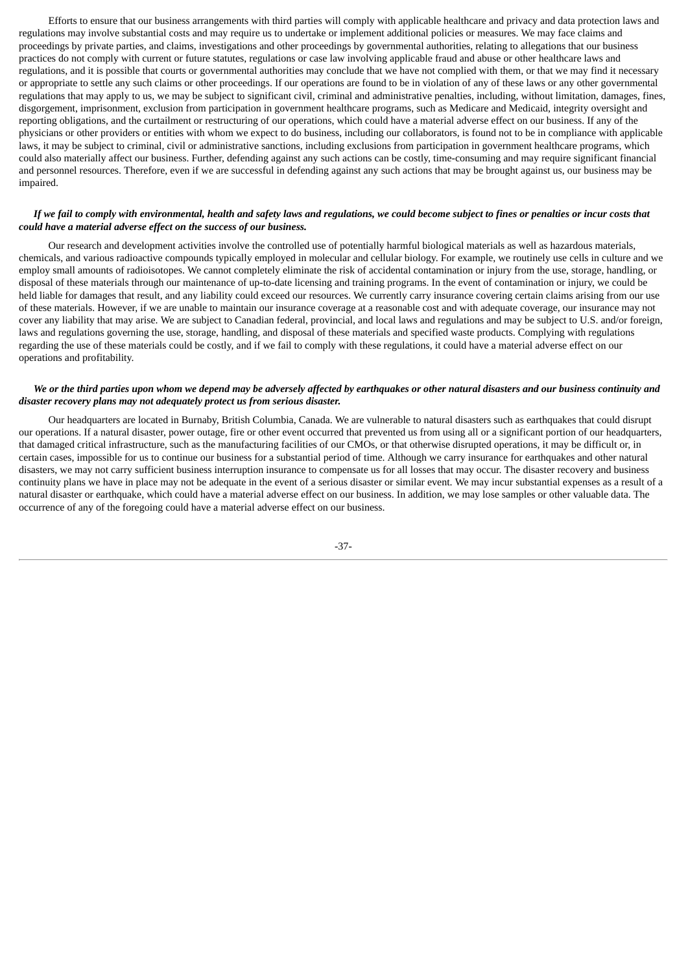Efforts to ensure that our business arrangements with third parties will comply with applicable healthcare and privacy and data protection laws and regulations may involve substantial costs and may require us to undertake or implement additional policies or measures. We may face claims and proceedings by private parties, and claims, investigations and other proceedings by governmental authorities, relating to allegations that our business practices do not comply with current or future statutes, regulations or case law involving applicable fraud and abuse or other healthcare laws and regulations, and it is possible that courts or governmental authorities may conclude that we have not complied with them, or that we may find it necessary or appropriate to settle any such claims or other proceedings. If our operations are found to be in violation of any of these laws or any other governmental regulations that may apply to us, we may be subject to significant civil, criminal and administrative penalties, including, without limitation, damages, fines, disgorgement, imprisonment, exclusion from participation in government healthcare programs, such as Medicare and Medicaid, integrity oversight and reporting obligations, and the curtailment or restructuring of our operations, which could have a material adverse effect on our business. If any of the physicians or other providers or entities with whom we expect to do business, including our collaborators, is found not to be in compliance with applicable laws, it may be subject to criminal, civil or administrative sanctions, including exclusions from participation in government healthcare programs, which could also materially affect our business. Further, defending against any such actions can be costly, time-consuming and may require significant financial and personnel resources. Therefore, even if we are successful in defending against any such actions that may be brought against us, our business may be impaired.

#### If we fail to comply with environmental, health and safety laws and regulations, we could become subject to fines or penalties or incur costs that *could have a material adverse effect on the success of our business.*

Our research and development activities involve the controlled use of potentially harmful biological materials as well as hazardous materials, chemicals, and various radioactive compounds typically employed in molecular and cellular biology. For example, we routinely use cells in culture and we employ small amounts of radioisotopes. We cannot completely eliminate the risk of accidental contamination or injury from the use, storage, handling, or disposal of these materials through our maintenance of up-to-date licensing and training programs. In the event of contamination or injury, we could be held liable for damages that result, and any liability could exceed our resources. We currently carry insurance covering certain claims arising from our use of these materials. However, if we are unable to maintain our insurance coverage at a reasonable cost and with adequate coverage, our insurance may not cover any liability that may arise. We are subject to Canadian federal, provincial, and local laws and regulations and may be subject to U.S. and/or foreign, laws and regulations governing the use, storage, handling, and disposal of these materials and specified waste products. Complying with regulations regarding the use of these materials could be costly, and if we fail to comply with these regulations, it could have a material adverse effect on our operations and profitability.

### We or the third parties upon whom we depend may be adversely affected by earthquakes or other natural disasters and our business continuity and *disaster recovery plans may not adequately protect us from serious disaster.*

Our headquarters are located in Burnaby, British Columbia, Canada. We are vulnerable to natural disasters such as earthquakes that could disrupt our operations. If a natural disaster, power outage, fire or other event occurred that prevented us from using all or a significant portion of our headquarters, that damaged critical infrastructure, such as the manufacturing facilities of our CMOs, or that otherwise disrupted operations, it may be difficult or, in certain cases, impossible for us to continue our business for a substantial period of time. Although we carry insurance for earthquakes and other natural disasters, we may not carry sufficient business interruption insurance to compensate us for all losses that may occur. The disaster recovery and business continuity plans we have in place may not be adequate in the event of a serious disaster or similar event. We may incur substantial expenses as a result of a natural disaster or earthquake, which could have a material adverse effect on our business. In addition, we may lose samples or other valuable data. The occurrence of any of the foregoing could have a material adverse effect on our business.

-37-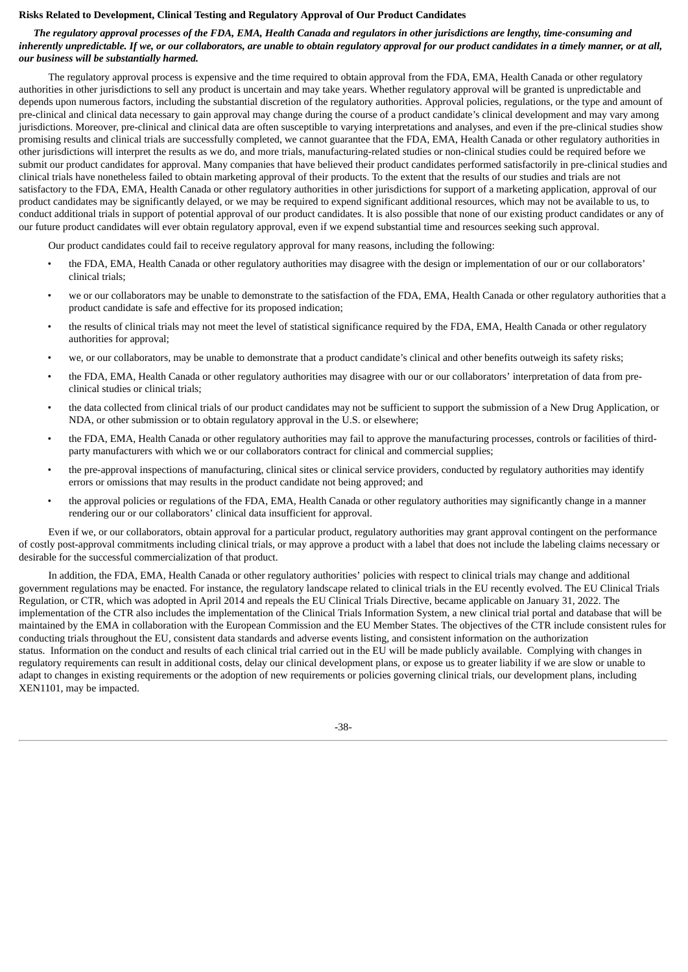#### **Risks Related to Development, Clinical Testing and Regulatory Approval of Our Product Candidates**

The regulatory approval processes of the FDA, EMA, Health Canada and regulators in other jurisdictions are lengthy, time-consuming and inherently unpredictable. If we, or our collaborators, are unable to obtain regulatory approval for our product candidates in a timely manner, or at all, *our business will be substantially harmed.*

The regulatory approval process is expensive and the time required to obtain approval from the FDA, EMA, Health Canada or other regulatory authorities in other jurisdictions to sell any product is uncertain and may take years. Whether regulatory approval will be granted is unpredictable and depends upon numerous factors, including the substantial discretion of the regulatory authorities. Approval policies, regulations, or the type and amount of pre-clinical and clinical data necessary to gain approval may change during the course of a product candidate's clinical development and may vary among jurisdictions. Moreover, pre-clinical and clinical data are often susceptible to varying interpretations and analyses, and even if the pre-clinical studies show promising results and clinical trials are successfully completed, we cannot guarantee that the FDA, EMA, Health Canada or other regulatory authorities in other jurisdictions will interpret the results as we do, and more trials, manufacturing-related studies or non-clinical studies could be required before we submit our product candidates for approval. Many companies that have believed their product candidates performed satisfactorily in pre-clinical studies and clinical trials have nonetheless failed to obtain marketing approval of their products. To the extent that the results of our studies and trials are not satisfactory to the FDA, EMA, Health Canada or other regulatory authorities in other jurisdictions for support of a marketing application, approval of our product candidates may be significantly delayed, or we may be required to expend significant additional resources, which may not be available to us, to conduct additional trials in support of potential approval of our product candidates. It is also possible that none of our existing product candidates or any of our future product candidates will ever obtain regulatory approval, even if we expend substantial time and resources seeking such approval.

Our product candidates could fail to receive regulatory approval for many reasons, including the following:

- the FDA, EMA, Health Canada or other regulatory authorities may disagree with the design or implementation of our or our collaborators' clinical trials;
- we or our collaborators may be unable to demonstrate to the satisfaction of the FDA, EMA, Health Canada or other regulatory authorities that a product candidate is safe and effective for its proposed indication;
- the results of clinical trials may not meet the level of statistical significance required by the FDA, EMA, Health Canada or other regulatory authorities for approval;
- we, or our collaborators, may be unable to demonstrate that a product candidate's clinical and other benefits outweigh its safety risks;
- the FDA, EMA, Health Canada or other regulatory authorities may disagree with our or our collaborators' interpretation of data from preclinical studies or clinical trials;
- the data collected from clinical trials of our product candidates may not be sufficient to support the submission of a New Drug Application, or NDA, or other submission or to obtain regulatory approval in the U.S. or elsewhere;
- the FDA, EMA, Health Canada or other regulatory authorities may fail to approve the manufacturing processes, controls or facilities of thirdparty manufacturers with which we or our collaborators contract for clinical and commercial supplies;
- the pre-approval inspections of manufacturing, clinical sites or clinical service providers, conducted by regulatory authorities may identify errors or omissions that may results in the product candidate not being approved; and
- the approval policies or regulations of the FDA, EMA, Health Canada or other regulatory authorities may significantly change in a manner rendering our or our collaborators' clinical data insufficient for approval.

Even if we, or our collaborators, obtain approval for a particular product, regulatory authorities may grant approval contingent on the performance of costly post-approval commitments including clinical trials, or may approve a product with a label that does not include the labeling claims necessary or desirable for the successful commercialization of that product.

In addition, the FDA, EMA, Health Canada or other regulatory authorities' policies with respect to clinical trials may change and additional government regulations may be enacted. For instance, the regulatory landscape related to clinical trials in the EU recently evolved. The EU Clinical Trials Regulation, or CTR, which was adopted in April 2014 and repeals the EU Clinical Trials Directive, became applicable on January 31, 2022. The implementation of the CTR also includes the implementation of the Clinical Trials Information System, a new clinical trial portal and database that will be maintained by the EMA in collaboration with the European Commission and the EU Member States. The objectives of the CTR include consistent rules for conducting trials throughout the EU, consistent data standards and adverse events listing, and consistent information on the authorization status. Information on the conduct and results of each clinical trial carried out in the EU will be made publicly available. Complying with changes in regulatory requirements can result in additional costs, delay our clinical development plans, or expose us to greater liability if we are slow or unable to adapt to changes in existing requirements or the adoption of new requirements or policies governing clinical trials, our development plans, including XEN1101, may be impacted.

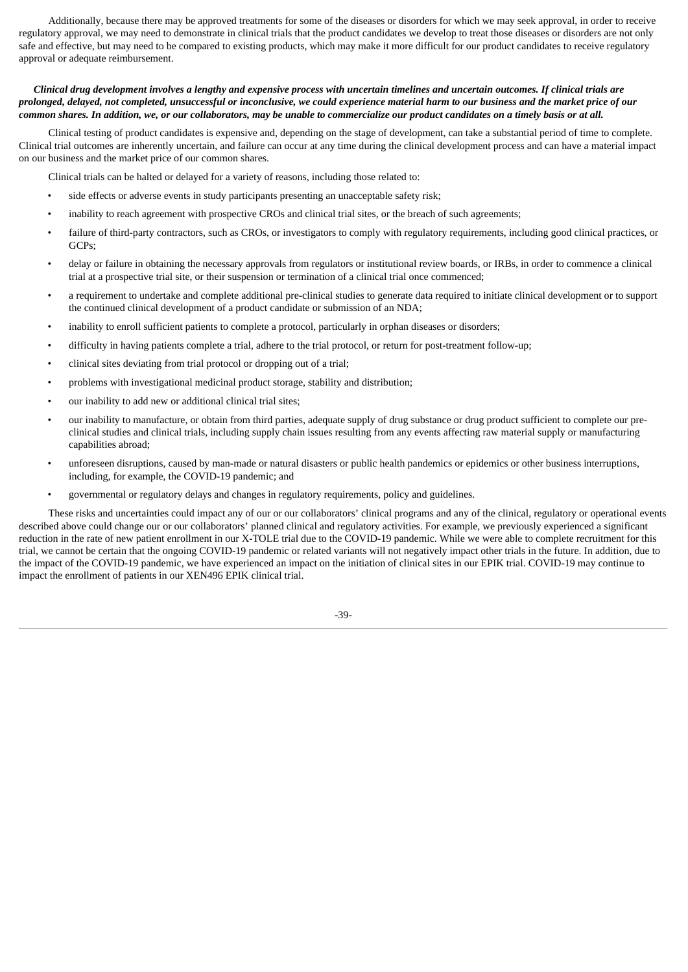Additionally, because there may be approved treatments for some of the diseases or disorders for which we may seek approval, in order to receive regulatory approval, we may need to demonstrate in clinical trials that the product candidates we develop to treat those diseases or disorders are not only safe and effective, but may need to be compared to existing products, which may make it more difficult for our product candidates to receive regulatory approval or adequate reimbursement.

## Clinical drug development involves a lengthy and expensive process with uncertain timelines and uncertain outcomes. If clinical trials are prolonged, delayed, not completed, unsuccessful or inconclusive, we could experience material harm to our business and the market price of our common shares. In addition, we, or our collaborators, may be unable to commercialize our product candidates on a timely basis or at all.

Clinical testing of product candidates is expensive and, depending on the stage of development, can take a substantial period of time to complete. Clinical trial outcomes are inherently uncertain, and failure can occur at any time during the clinical development process and can have a material impact on our business and the market price of our common shares.

Clinical trials can be halted or delayed for a variety of reasons, including those related to:

- side effects or adverse events in study participants presenting an unacceptable safety risk;
- inability to reach agreement with prospective CROs and clinical trial sites, or the breach of such agreements;
- failure of third-party contractors, such as CROs, or investigators to comply with regulatory requirements, including good clinical practices, or GCPs;
- delay or failure in obtaining the necessary approvals from regulators or institutional review boards, or IRBs, in order to commence a clinical trial at a prospective trial site, or their suspension or termination of a clinical trial once commenced;
- a requirement to undertake and complete additional pre-clinical studies to generate data required to initiate clinical development or to support the continued clinical development of a product candidate or submission of an NDA;
- inability to enroll sufficient patients to complete a protocol, particularly in orphan diseases or disorders;
- difficulty in having patients complete a trial, adhere to the trial protocol, or return for post-treatment follow-up;
- clinical sites deviating from trial protocol or dropping out of a trial;
- problems with investigational medicinal product storage, stability and distribution;
- our inability to add new or additional clinical trial sites;
- our inability to manufacture, or obtain from third parties, adequate supply of drug substance or drug product sufficient to complete our preclinical studies and clinical trials, including supply chain issues resulting from any events affecting raw material supply or manufacturing capabilities abroad;
- unforeseen disruptions, caused by man-made or natural disasters or public health pandemics or epidemics or other business interruptions, including, for example, the COVID-19 pandemic; and
- governmental or regulatory delays and changes in regulatory requirements, policy and guidelines.

These risks and uncertainties could impact any of our or our collaborators' clinical programs and any of the clinical, regulatory or operational events described above could change our or our collaborators' planned clinical and regulatory activities. For example, we previously experienced a significant reduction in the rate of new patient enrollment in our X-TOLE trial due to the COVID-19 pandemic. While we were able to complete recruitment for this trial, we cannot be certain that the ongoing COVID-19 pandemic or related variants will not negatively impact other trials in the future. In addition, due to the impact of the COVID-19 pandemic, we have experienced an impact on the initiation of clinical sites in our EPIK trial. COVID-19 may continue to impact the enrollment of patients in our XEN496 EPIK clinical trial.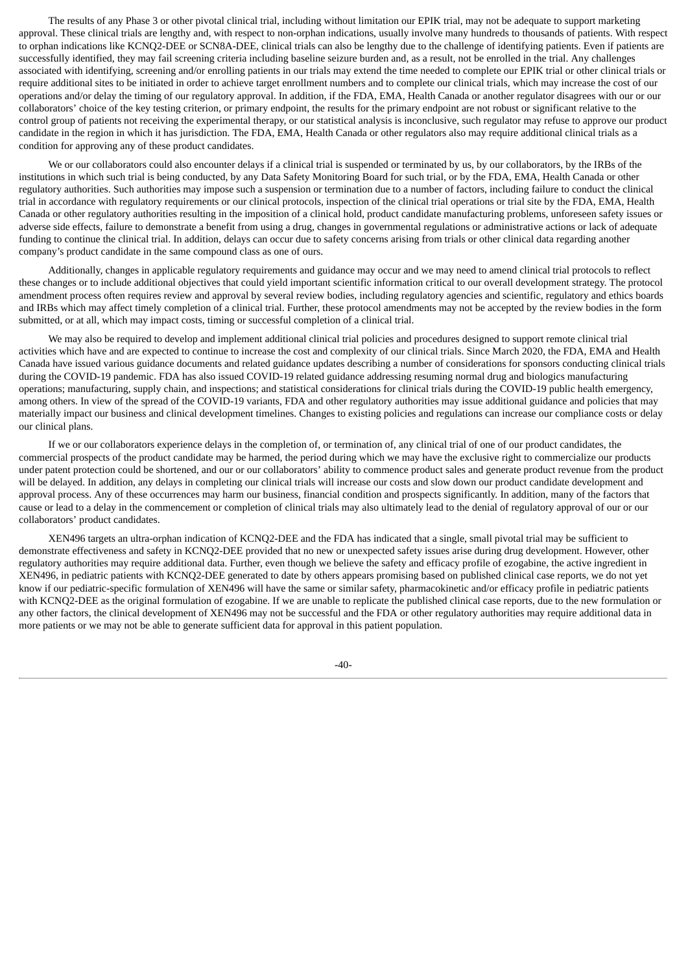The results of any Phase 3 or other pivotal clinical trial, including without limitation our EPIK trial, may not be adequate to support marketing approval. These clinical trials are lengthy and, with respect to non-orphan indications, usually involve many hundreds to thousands of patients. With respect to orphan indications like KCNQ2-DEE or SCN8A-DEE, clinical trials can also be lengthy due to the challenge of identifying patients. Even if patients are successfully identified, they may fail screening criteria including baseline seizure burden and, as a result, not be enrolled in the trial. Any challenges associated with identifying, screening and/or enrolling patients in our trials may extend the time needed to complete our EPIK trial or other clinical trials or require additional sites to be initiated in order to achieve target enrollment numbers and to complete our clinical trials, which may increase the cost of our operations and/or delay the timing of our regulatory approval. In addition, if the FDA, EMA, Health Canada or another regulator disagrees with our or our collaborators' choice of the key testing criterion, or primary endpoint, the results for the primary endpoint are not robust or significant relative to the control group of patients not receiving the experimental therapy, or our statistical analysis is inconclusive, such regulator may refuse to approve our product candidate in the region in which it has jurisdiction. The FDA, EMA, Health Canada or other regulators also may require additional clinical trials as a condition for approving any of these product candidates.

We or our collaborators could also encounter delays if a clinical trial is suspended or terminated by us, by our collaborators, by the IRBs of the institutions in which such trial is being conducted, by any Data Safety Monitoring Board for such trial, or by the FDA, EMA, Health Canada or other regulatory authorities. Such authorities may impose such a suspension or termination due to a number of factors, including failure to conduct the clinical trial in accordance with regulatory requirements or our clinical protocols, inspection of the clinical trial operations or trial site by the FDA, EMA, Health Canada or other regulatory authorities resulting in the imposition of a clinical hold, product candidate manufacturing problems, unforeseen safety issues or adverse side effects, failure to demonstrate a benefit from using a drug, changes in governmental regulations or administrative actions or lack of adequate funding to continue the clinical trial. In addition, delays can occur due to safety concerns arising from trials or other clinical data regarding another company's product candidate in the same compound class as one of ours.

Additionally, changes in applicable regulatory requirements and guidance may occur and we may need to amend clinical trial protocols to reflect these changes or to include additional objectives that could yield important scientific information critical to our overall development strategy. The protocol amendment process often requires review and approval by several review bodies, including regulatory agencies and scientific, regulatory and ethics boards and IRBs which may affect timely completion of a clinical trial. Further, these protocol amendments may not be accepted by the review bodies in the form submitted, or at all, which may impact costs, timing or successful completion of a clinical trial.

We may also be required to develop and implement additional clinical trial policies and procedures designed to support remote clinical trial activities which have and are expected to continue to increase the cost and complexity of our clinical trials. Since March 2020, the FDA, EMA and Health Canada have issued various guidance documents and related guidance updates describing a number of considerations for sponsors conducting clinical trials during the COVID-19 pandemic. FDA has also issued COVID-19 related guidance addressing resuming normal drug and biologics manufacturing operations; manufacturing, supply chain, and inspections; and statistical considerations for clinical trials during the COVID-19 public health emergency, among others. In view of the spread of the COVID-19 variants, FDA and other regulatory authorities may issue additional guidance and policies that may materially impact our business and clinical development timelines. Changes to existing policies and regulations can increase our compliance costs or delay our clinical plans.

If we or our collaborators experience delays in the completion of, or termination of, any clinical trial of one of our product candidates, the commercial prospects of the product candidate may be harmed, the period during which we may have the exclusive right to commercialize our products under patent protection could be shortened, and our or our collaborators' ability to commence product sales and generate product revenue from the product will be delayed. In addition, any delays in completing our clinical trials will increase our costs and slow down our product candidate development and approval process. Any of these occurrences may harm our business, financial condition and prospects significantly. In addition, many of the factors that cause or lead to a delay in the commencement or completion of clinical trials may also ultimately lead to the denial of regulatory approval of our or our collaborators' product candidates.

XEN496 targets an ultra-orphan indication of KCNQ2-DEE and the FDA has indicated that a single, small pivotal trial may be sufficient to demonstrate effectiveness and safety in KCNQ2-DEE provided that no new or unexpected safety issues arise during drug development. However, other regulatory authorities may require additional data. Further, even though we believe the safety and efficacy profile of ezogabine, the active ingredient in XEN496, in pediatric patients with KCNQ2-DEE generated to date by others appears promising based on published clinical case reports, we do not yet know if our pediatric-specific formulation of XEN496 will have the same or similar safety, pharmacokinetic and/or efficacy profile in pediatric patients with KCNQ2-DEE as the original formulation of ezogabine. If we are unable to replicate the published clinical case reports, due to the new formulation or any other factors, the clinical development of XEN496 may not be successful and the FDA or other regulatory authorities may require additional data in more patients or we may not be able to generate sufficient data for approval in this patient population.

-40-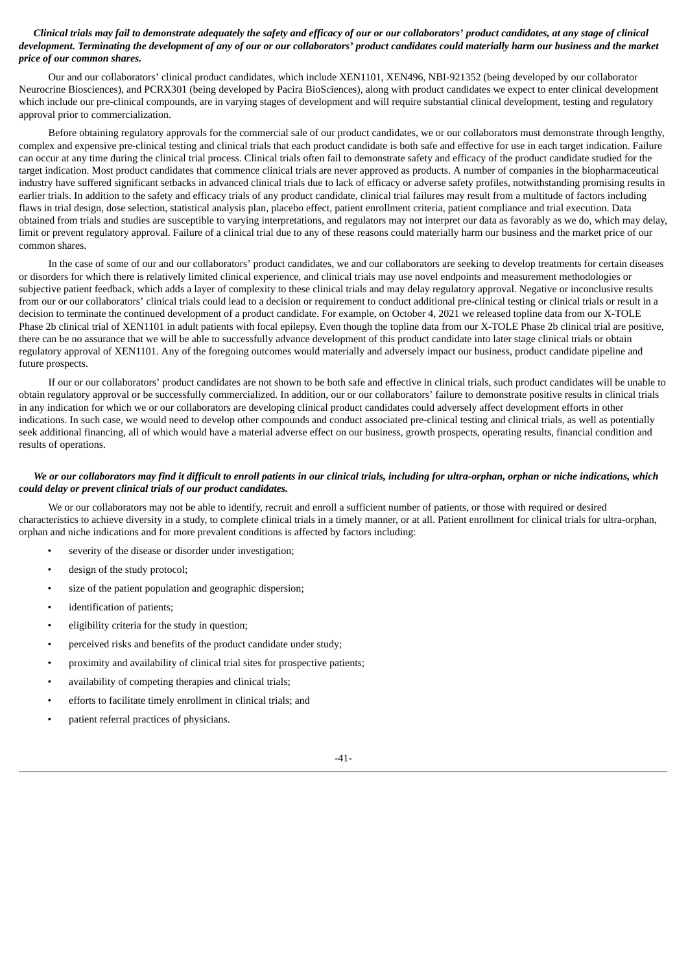### Clinical trials may fail to demonstrate adequately the safety and efficacy of our or our collaborators' product candidates, at any stage of clinical development. Terminating the development of any of our or our collaborators' product candidates could materially harm our business and the market *price of our common shares.*

Our and our collaborators' clinical product candidates, which include XEN1101, XEN496, NBI-921352 (being developed by our collaborator Neurocrine Biosciences), and PCRX301 (being developed by Pacira BioSciences), along with product candidates we expect to enter clinical development which include our pre-clinical compounds, are in varying stages of development and will require substantial clinical development, testing and regulatory approval prior to commercialization.

Before obtaining regulatory approvals for the commercial sale of our product candidates, we or our collaborators must demonstrate through lengthy, complex and expensive pre-clinical testing and clinical trials that each product candidate is both safe and effective for use in each target indication. Failure can occur at any time during the clinical trial process. Clinical trials often fail to demonstrate safety and efficacy of the product candidate studied for the target indication. Most product candidates that commence clinical trials are never approved as products. A number of companies in the biopharmaceutical industry have suffered significant setbacks in advanced clinical trials due to lack of efficacy or adverse safety profiles, notwithstanding promising results in earlier trials. In addition to the safety and efficacy trials of any product candidate, clinical trial failures may result from a multitude of factors including flaws in trial design, dose selection, statistical analysis plan, placebo effect, patient enrollment criteria, patient compliance and trial execution. Data obtained from trials and studies are susceptible to varying interpretations, and regulators may not interpret our data as favorably as we do, which may delay, limit or prevent regulatory approval. Failure of a clinical trial due to any of these reasons could materially harm our business and the market price of our common shares.

In the case of some of our and our collaborators' product candidates, we and our collaborators are seeking to develop treatments for certain diseases or disorders for which there is relatively limited clinical experience, and clinical trials may use novel endpoints and measurement methodologies or subjective patient feedback, which adds a layer of complexity to these clinical trials and may delay regulatory approval. Negative or inconclusive results from our or our collaborators' clinical trials could lead to a decision or requirement to conduct additional pre-clinical testing or clinical trials or result in a decision to terminate the continued development of a product candidate. For example, on October 4, 2021 we released topline data from our X-TOLE Phase 2b clinical trial of XEN1101 in adult patients with focal epilepsy. Even though the topline data from our X-TOLE Phase 2b clinical trial are positive, there can be no assurance that we will be able to successfully advance development of this product candidate into later stage clinical trials or obtain regulatory approval of XEN1101. Any of the foregoing outcomes would materially and adversely impact our business, product candidate pipeline and future prospects.

If our or our collaborators' product candidates are not shown to be both safe and effective in clinical trials, such product candidates will be unable to obtain regulatory approval or be successfully commercialized. In addition, our or our collaborators' failure to demonstrate positive results in clinical trials in any indication for which we or our collaborators are developing clinical product candidates could adversely affect development efforts in other indications. In such case, we would need to develop other compounds and conduct associated pre-clinical testing and clinical trials, as well as potentially seek additional financing, all of which would have a material adverse effect on our business, growth prospects, operating results, financial condition and results of operations.

## We or our collaborators may find it difficult to enroll patients in our clinical trials, including for ultra-orphan, orphan or niche indications, which *could delay or prevent clinical trials of our product candidates.*

We or our collaborators may not be able to identify, recruit and enroll a sufficient number of patients, or those with required or desired characteristics to achieve diversity in a study, to complete clinical trials in a timely manner, or at all. Patient enrollment for clinical trials for ultra-orphan, orphan and niche indications and for more prevalent conditions is affected by factors including:

- severity of the disease or disorder under investigation:
- design of the study protocol;
- size of the patient population and geographic dispersion;
- identification of patients:
- eligibility criteria for the study in question;
- perceived risks and benefits of the product candidate under study;
- proximity and availability of clinical trial sites for prospective patients;
- availability of competing therapies and clinical trials;
- efforts to facilitate timely enrollment in clinical trials; and
- patient referral practices of physicians.

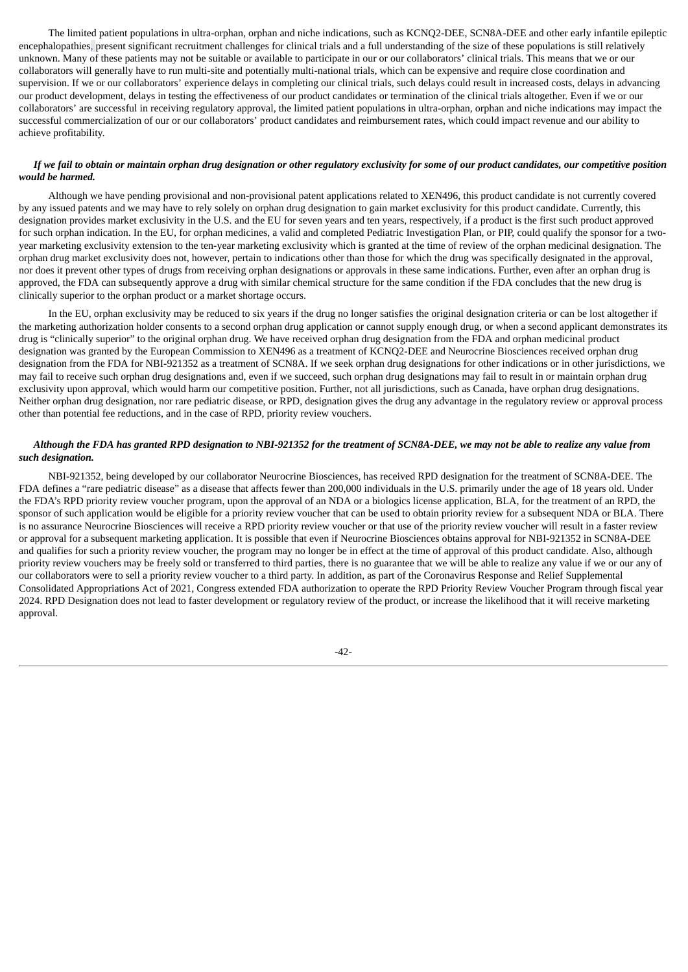The limited patient populations in ultra-orphan, orphan and niche indications, such as KCNQ2-DEE, SCN8A-DEE and other early infantile epileptic encephalopathies, present significant recruitment challenges for clinical trials and a full understanding of the size of these populations is still relatively unknown. Many of these patients may not be suitable or available to participate in our or our collaborators' clinical trials. This means that we or our collaborators will generally have to run multi-site and potentially multi-national trials, which can be expensive and require close coordination and supervision. If we or our collaborators' experience delays in completing our clinical trials, such delays could result in increased costs, delays in advancing our product development, delays in testing the effectiveness of our product candidates or termination of the clinical trials altogether. Even if we or our collaborators' are successful in receiving regulatory approval, the limited patient populations in ultra-orphan, orphan and niche indications may impact the successful commercialization of our or our collaborators' product candidates and reimbursement rates, which could impact revenue and our ability to achieve profitability.

#### If we fail to obtain or maintain orphan drug designation or other regulatory exclusivity for some of our product candidates, our competitive position *would be harmed.*

Although we have pending provisional and non-provisional patent applications related to XEN496, this product candidate is not currently covered by any issued patents and we may have to rely solely on orphan drug designation to gain market exclusivity for this product candidate. Currently, this designation provides market exclusivity in the U.S. and the EU for seven years and ten years, respectively, if a product is the first such product approved for such orphan indication. In the EU, for orphan medicines, a valid and completed Pediatric Investigation Plan, or PIP, could qualify the sponsor for a twoyear marketing exclusivity extension to the ten-year marketing exclusivity which is granted at the time of review of the orphan medicinal designation. The orphan drug market exclusivity does not, however, pertain to indications other than those for which the drug was specifically designated in the approval, nor does it prevent other types of drugs from receiving orphan designations or approvals in these same indications. Further, even after an orphan drug is approved, the FDA can subsequently approve a drug with similar chemical structure for the same condition if the FDA concludes that the new drug is clinically superior to the orphan product or a market shortage occurs.

In the EU, orphan exclusivity may be reduced to six years if the drug no longer satisfies the original designation criteria or can be lost altogether if the marketing authorization holder consents to a second orphan drug application or cannot supply enough drug, or when a second applicant demonstrates its drug is "clinically superior" to the original orphan drug. We have received orphan drug designation from the FDA and orphan medicinal product designation was granted by the European Commission to XEN496 as a treatment of KCNQ2-DEE and Neurocrine Biosciences received orphan drug designation from the FDA for NBI-921352 as a treatment of SCN8A. If we seek orphan drug designations for other indications or in other jurisdictions, we may fail to receive such orphan drug designations and, even if we succeed, such orphan drug designations may fail to result in or maintain orphan drug exclusivity upon approval, which would harm our competitive position. Further, not all jurisdictions, such as Canada, have orphan drug designations. Neither orphan drug designation, nor rare pediatric disease, or RPD, designation gives the drug any advantage in the regulatory review or approval process other than potential fee reductions, and in the case of RPD, priority review vouchers.

### Although the FDA has granted RPD designation to NBI-921352 for the treatment of SCN8A-DEE, we may not be able to realize any value from *such designation.*

NBI-921352, being developed by our collaborator Neurocrine Biosciences, has received RPD designation for the treatment of SCN8A-DEE. The FDA defines a "rare pediatric disease" as a disease that affects fewer than 200,000 individuals in the U.S. primarily under the age of 18 years old. Under the FDA's RPD priority review voucher program, upon the approval of an NDA or a biologics license application, BLA, for the treatment of an RPD, the sponsor of such application would be eligible for a priority review voucher that can be used to obtain priority review for a subsequent NDA or BLA. There is no assurance Neurocrine Biosciences will receive a RPD priority review voucher or that use of the priority review voucher will result in a faster review or approval for a subsequent marketing application. It is possible that even if Neurocrine Biosciences obtains approval for NBI-921352 in SCN8A-DEE and qualifies for such a priority review voucher, the program may no longer be in effect at the time of approval of this product candidate. Also, although priority review vouchers may be freely sold or transferred to third parties, there is no guarantee that we will be able to realize any value if we or our any of our collaborators were to sell a priority review voucher to a third party. In addition, as part of the Coronavirus Response and Relief Supplemental Consolidated Appropriations Act of 2021, Congress extended FDA authorization to operate the RPD Priority Review Voucher Program through fiscal year 2024. RPD Designation does not lead to faster development or regulatory review of the product, or increase the likelihood that it will receive marketing approval.

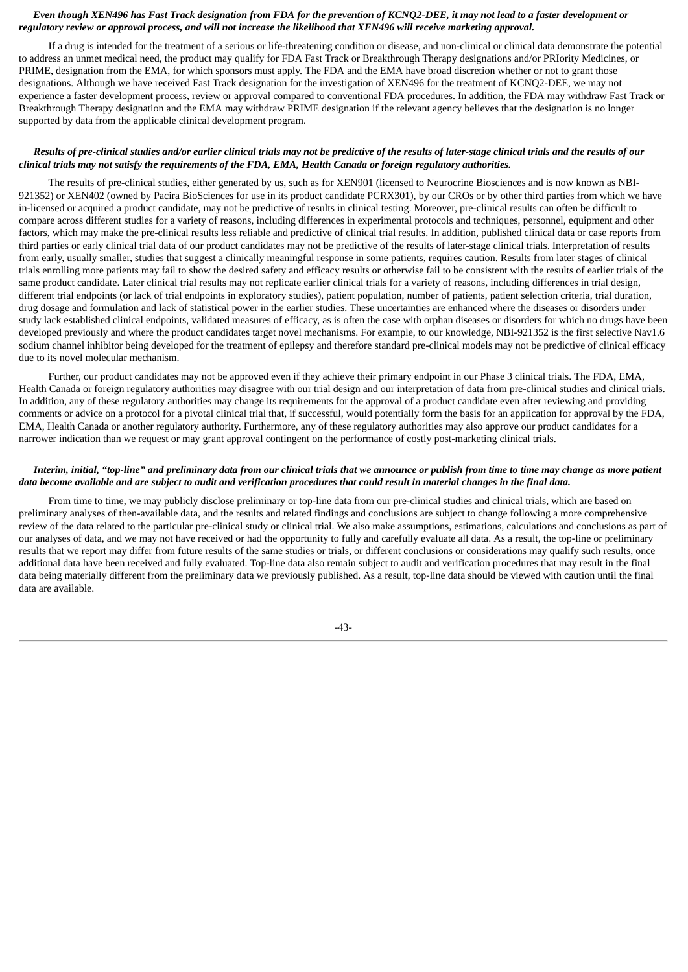### Even though XEN496 has Fast Track designation from FDA for the prevention of KCNQ2-DEE, it may not lead to a faster development or regulatory review or approval process, and will not increase the likelihood that XEN496 will receive marketing approval.

If a drug is intended for the treatment of a serious or life-threatening condition or disease, and non-clinical or clinical data demonstrate the potential to address an unmet medical need, the product may qualify for FDA Fast Track or Breakthrough Therapy designations and/or PRIority Medicines, or PRIME, designation from the EMA, for which sponsors must apply. The FDA and the EMA have broad discretion whether or not to grant those designations. Although we have received Fast Track designation for the investigation of XEN496 for the treatment of KCNQ2-DEE, we may not experience a faster development process, review or approval compared to conventional FDA procedures. In addition, the FDA may withdraw Fast Track or Breakthrough Therapy designation and the EMA may withdraw PRIME designation if the relevant agency believes that the designation is no longer supported by data from the applicable clinical development program.

### Results of pre-clinical studies and/or earlier clinical trials may not be predictive of the results of later-stage clinical trials and the results of our clinical trials may not satisfy the requirements of the FDA, EMA, Health Canada or foreign regulatory authorities.

The results of pre-clinical studies, either generated by us, such as for XEN901 (licensed to Neurocrine Biosciences and is now known as NBI-921352) or XEN402 (owned by Pacira BioSciences for use in its product candidate PCRX301), by our CROs or by other third parties from which we have in-licensed or acquired a product candidate, may not be predictive of results in clinical testing. Moreover, pre-clinical results can often be difficult to compare across different studies for a variety of reasons, including differences in experimental protocols and techniques, personnel, equipment and other factors, which may make the pre-clinical results less reliable and predictive of clinical trial results. In addition, published clinical data or case reports from third parties or early clinical trial data of our product candidates may not be predictive of the results of later-stage clinical trials. Interpretation of results from early, usually smaller, studies that suggest a clinically meaningful response in some patients, requires caution. Results from later stages of clinical trials enrolling more patients may fail to show the desired safety and efficacy results or otherwise fail to be consistent with the results of earlier trials of the same product candidate. Later clinical trial results may not replicate earlier clinical trials for a variety of reasons, including differences in trial design, different trial endpoints (or lack of trial endpoints in exploratory studies), patient population, number of patients, patient selection criteria, trial duration, drug dosage and formulation and lack of statistical power in the earlier studies. These uncertainties are enhanced where the diseases or disorders under study lack established clinical endpoints, validated measures of efficacy, as is often the case with orphan diseases or disorders for which no drugs have been developed previously and where the product candidates target novel mechanisms. For example, to our knowledge, NBI-921352 is the first selective Nav1.6 sodium channel inhibitor being developed for the treatment of epilepsy and therefore standard pre-clinical models may not be predictive of clinical efficacy due to its novel molecular mechanism.

Further, our product candidates may not be approved even if they achieve their primary endpoint in our Phase 3 clinical trials. The FDA, EMA, Health Canada or foreign regulatory authorities may disagree with our trial design and our interpretation of data from pre-clinical studies and clinical trials. In addition, any of these regulatory authorities may change its requirements for the approval of a product candidate even after reviewing and providing comments or advice on a protocol for a pivotal clinical trial that, if successful, would potentially form the basis for an application for approval by the FDA, EMA, Health Canada or another regulatory authority. Furthermore, any of these regulatory authorities may also approve our product candidates for a narrower indication than we request or may grant approval contingent on the performance of costly post-marketing clinical trials.

#### Interim, initial, "top-line" and preliminary data from our clinical trials that we announce or publish from time to time may change as more patient data become available and are subject to audit and verification procedures that could result in material changes in the final data.

From time to time, we may publicly disclose preliminary or top-line data from our pre-clinical studies and clinical trials, which are based on preliminary analyses of then-available data, and the results and related findings and conclusions are subject to change following a more comprehensive review of the data related to the particular pre-clinical study or clinical trial. We also make assumptions, estimations, calculations and conclusions as part of our analyses of data, and we may not have received or had the opportunity to fully and carefully evaluate all data. As a result, the top-line or preliminary results that we report may differ from future results of the same studies or trials, or different conclusions or considerations may qualify such results, once additional data have been received and fully evaluated. Top-line data also remain subject to audit and verification procedures that may result in the final data being materially different from the preliminary data we previously published. As a result, top-line data should be viewed with caution until the final data are available.

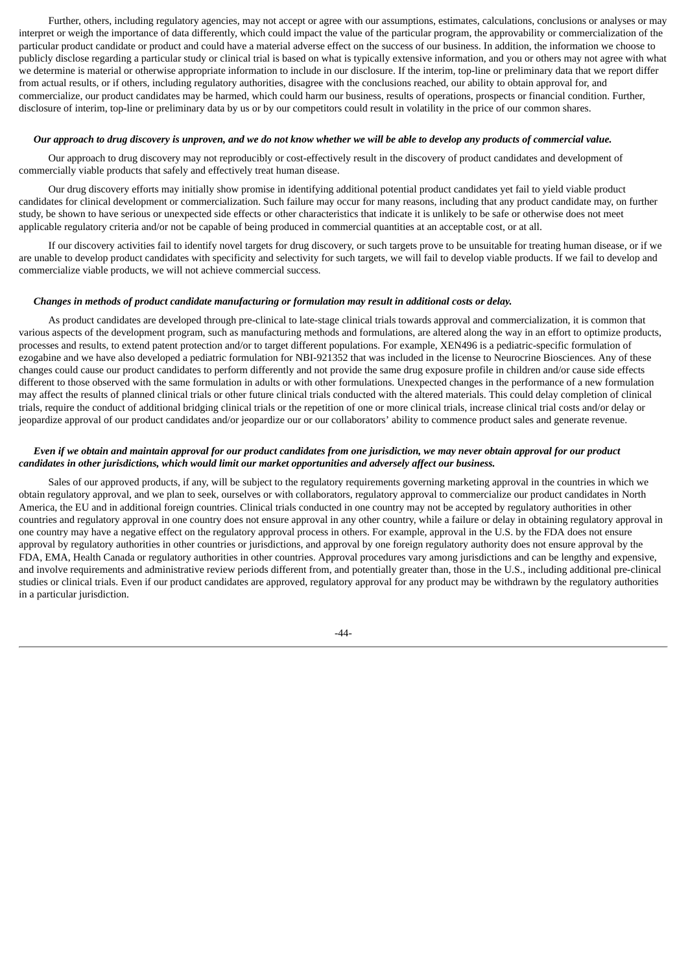Further, others, including regulatory agencies, may not accept or agree with our assumptions, estimates, calculations, conclusions or analyses or may interpret or weigh the importance of data differently, which could impact the value of the particular program, the approvability or commercialization of the particular product candidate or product and could have a material adverse effect on the success of our business. In addition, the information we choose to publicly disclose regarding a particular study or clinical trial is based on what is typically extensive information, and you or others may not agree with what we determine is material or otherwise appropriate information to include in our disclosure. If the interim, top-line or preliminary data that we report differ from actual results, or if others, including regulatory authorities, disagree with the conclusions reached, our ability to obtain approval for, and commercialize, our product candidates may be harmed, which could harm our business, results of operations, prospects or financial condition. Further, disclosure of interim, top-line or preliminary data by us or by our competitors could result in volatility in the price of our common shares.

#### Our approach to drug discovery is unproven, and we do not know whether we will be able to develop any products of commercial value.

Our approach to drug discovery may not reproducibly or cost-effectively result in the discovery of product candidates and development of commercially viable products that safely and effectively treat human disease.

Our drug discovery efforts may initially show promise in identifying additional potential product candidates yet fail to yield viable product candidates for clinical development or commercialization. Such failure may occur for many reasons, including that any product candidate may, on further study, be shown to have serious or unexpected side effects or other characteristics that indicate it is unlikely to be safe or otherwise does not meet applicable regulatory criteria and/or not be capable of being produced in commercial quantities at an acceptable cost, or at all.

If our discovery activities fail to identify novel targets for drug discovery, or such targets prove to be unsuitable for treating human disease, or if we are unable to develop product candidates with specificity and selectivity for such targets, we will fail to develop viable products. If we fail to develop and commercialize viable products, we will not achieve commercial success.

#### *Changes in methods of product candidate manufacturing or formulation may result in additional costs or delay.*

As product candidates are developed through pre-clinical to late-stage clinical trials towards approval and commercialization, it is common that various aspects of the development program, such as manufacturing methods and formulations, are altered along the way in an effort to optimize products, processes and results, to extend patent protection and/or to target different populations. For example, XEN496 is a pediatric-specific formulation of ezogabine and we have also developed a pediatric formulation for NBI-921352 that was included in the license to Neurocrine Biosciences. Any of these changes could cause our product candidates to perform differently and not provide the same drug exposure profile in children and/or cause side effects different to those observed with the same formulation in adults or with other formulations. Unexpected changes in the performance of a new formulation may affect the results of planned clinical trials or other future clinical trials conducted with the altered materials. This could delay completion of clinical trials, require the conduct of additional bridging clinical trials or the repetition of one or more clinical trials, increase clinical trial costs and/or delay or jeopardize approval of our product candidates and/or jeopardize our or our collaborators' ability to commence product sales and generate revenue.

### Even if we obtain and maintain approval for our product candidates from one jurisdiction, we may never obtain approval for our product *candidates in other jurisdictions, which would limit our market opportunities and adversely affect our business.*

Sales of our approved products, if any, will be subject to the regulatory requirements governing marketing approval in the countries in which we obtain regulatory approval, and we plan to seek, ourselves or with collaborators, regulatory approval to commercialize our product candidates in North America, the EU and in additional foreign countries. Clinical trials conducted in one country may not be accepted by regulatory authorities in other countries and regulatory approval in one country does not ensure approval in any other country, while a failure or delay in obtaining regulatory approval in one country may have a negative effect on the regulatory approval process in others. For example, approval in the U.S. by the FDA does not ensure approval by regulatory authorities in other countries or jurisdictions, and approval by one foreign regulatory authority does not ensure approval by the FDA, EMA, Health Canada or regulatory authorities in other countries. Approval procedures vary among jurisdictions and can be lengthy and expensive, and involve requirements and administrative review periods different from, and potentially greater than, those in the U.S., including additional pre-clinical studies or clinical trials. Even if our product candidates are approved, regulatory approval for any product may be withdrawn by the regulatory authorities in a particular jurisdiction.

-44-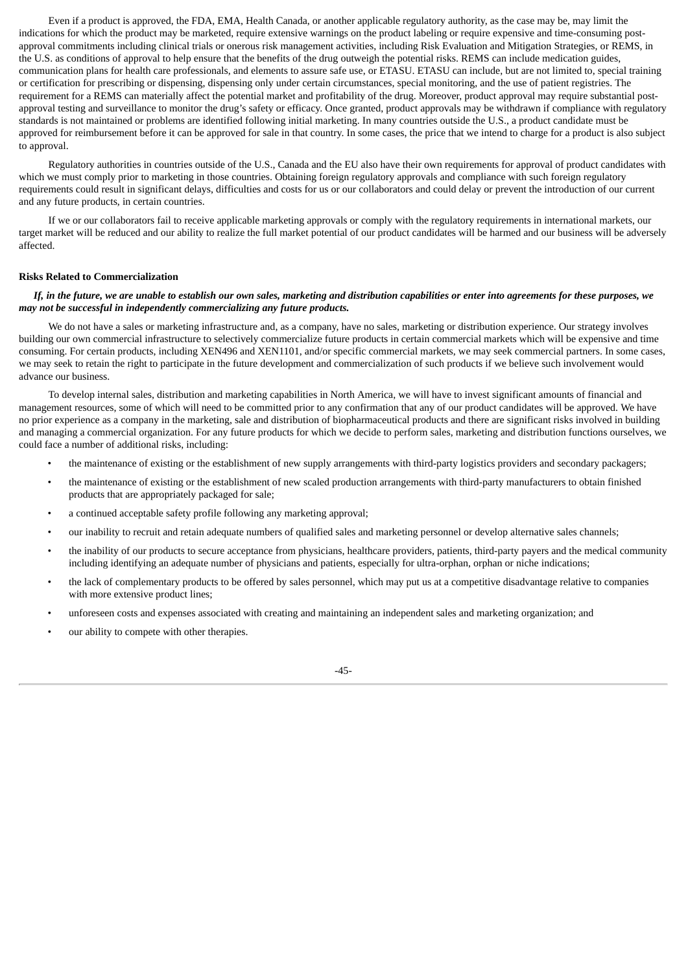Even if a product is approved, the FDA, EMA, Health Canada, or another applicable regulatory authority, as the case may be, may limit the indications for which the product may be marketed, require extensive warnings on the product labeling or require expensive and time-consuming postapproval commitments including clinical trials or onerous risk management activities, including Risk Evaluation and Mitigation Strategies, or REMS, in the U.S. as conditions of approval to help ensure that the benefits of the drug outweigh the potential risks. REMS can include medication guides, communication plans for health care professionals, and elements to assure safe use, or ETASU. ETASU can include, but are not limited to, special training or certification for prescribing or dispensing, dispensing only under certain circumstances, special monitoring, and the use of patient registries. The requirement for a REMS can materially affect the potential market and profitability of the drug. Moreover, product approval may require substantial postapproval testing and surveillance to monitor the drug's safety or efficacy. Once granted, product approvals may be withdrawn if compliance with regulatory standards is not maintained or problems are identified following initial marketing. In many countries outside the U.S., a product candidate must be approved for reimbursement before it can be approved for sale in that country. In some cases, the price that we intend to charge for a product is also subject to approval.

Regulatory authorities in countries outside of the U.S., Canada and the EU also have their own requirements for approval of product candidates with which we must comply prior to marketing in those countries. Obtaining foreign regulatory approvals and compliance with such foreign regulatory requirements could result in significant delays, difficulties and costs for us or our collaborators and could delay or prevent the introduction of our current and any future products, in certain countries.

If we or our collaborators fail to receive applicable marketing approvals or comply with the regulatory requirements in international markets, our target market will be reduced and our ability to realize the full market potential of our product candidates will be harmed and our business will be adversely affected.

#### **Risks Related to Commercialization**

### If, in the future, we are unable to establish our own sales, marketing and distribution capabilities or enter into agreements for these purposes, we *may not be successful in independently commercializing any future products.*

We do not have a sales or marketing infrastructure and, as a company, have no sales, marketing or distribution experience. Our strategy involves building our own commercial infrastructure to selectively commercialize future products in certain commercial markets which will be expensive and time consuming. For certain products, including XEN496 and XEN1101, and/or specific commercial markets, we may seek commercial partners. In some cases, we may seek to retain the right to participate in the future development and commercialization of such products if we believe such involvement would advance our business.

To develop internal sales, distribution and marketing capabilities in North America, we will have to invest significant amounts of financial and management resources, some of which will need to be committed prior to any confirmation that any of our product candidates will be approved. We have no prior experience as a company in the marketing, sale and distribution of biopharmaceutical products and there are significant risks involved in building and managing a commercial organization. For any future products for which we decide to perform sales, marketing and distribution functions ourselves, we could face a number of additional risks, including:

- the maintenance of existing or the establishment of new supply arrangements with third-party logistics providers and secondary packagers;
- the maintenance of existing or the establishment of new scaled production arrangements with third-party manufacturers to obtain finished products that are appropriately packaged for sale;
- a continued acceptable safety profile following any marketing approval;
- our inability to recruit and retain adequate numbers of qualified sales and marketing personnel or develop alternative sales channels;
- the inability of our products to secure acceptance from physicians, healthcare providers, patients, third-party payers and the medical community including identifying an adequate number of physicians and patients, especially for ultra-orphan, orphan or niche indications;
- the lack of complementary products to be offered by sales personnel, which may put us at a competitive disadvantage relative to companies with more extensive product lines;
- unforeseen costs and expenses associated with creating and maintaining an independent sales and marketing organization; and
- our ability to compete with other therapies.

-45-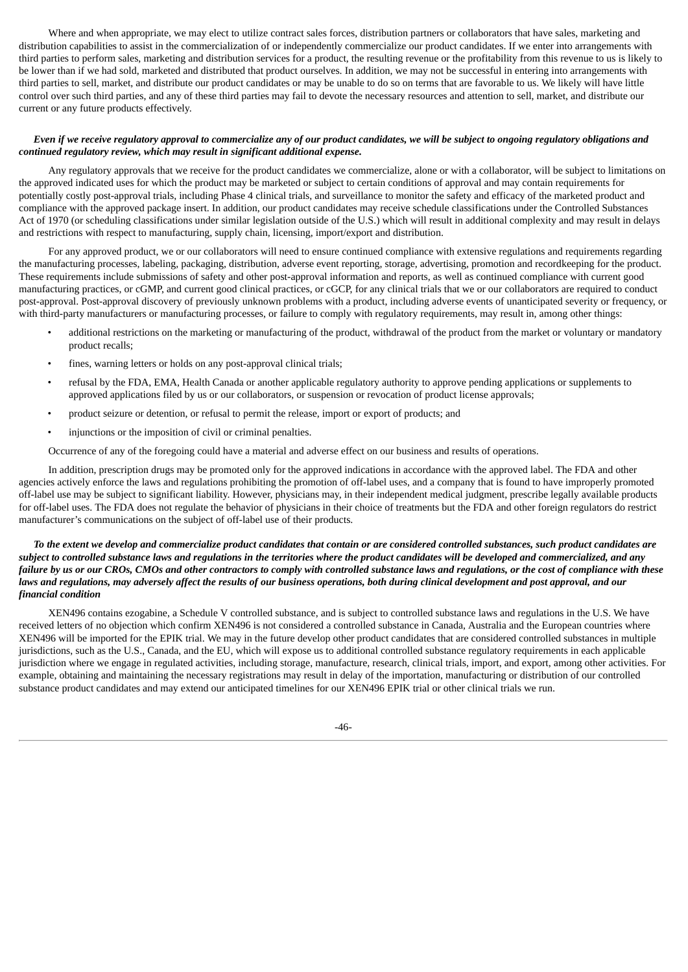Where and when appropriate, we may elect to utilize contract sales forces, distribution partners or collaborators that have sales, marketing and distribution capabilities to assist in the commercialization of or independently commercialize our product candidates. If we enter into arrangements with third parties to perform sales, marketing and distribution services for a product, the resulting revenue or the profitability from this revenue to us is likely to be lower than if we had sold, marketed and distributed that product ourselves. In addition, we may not be successful in entering into arrangements with third parties to sell, market, and distribute our product candidates or may be unable to do so on terms that are favorable to us. We likely will have little control over such third parties, and any of these third parties may fail to devote the necessary resources and attention to sell, market, and distribute our current or any future products effectively.

### Even if we receive regulatory approval to commercialize any of our product candidates, we will be subject to ongoing regulatory obligations and *continued regulatory review, which may result in significant additional expense.*

Any regulatory approvals that we receive for the product candidates we commercialize, alone or with a collaborator, will be subject to limitations on the approved indicated uses for which the product may be marketed or subject to certain conditions of approval and may contain requirements for potentially costly post-approval trials, including Phase 4 clinical trials, and surveillance to monitor the safety and efficacy of the marketed product and compliance with the approved package insert. In addition, our product candidates may receive schedule classifications under the Controlled Substances Act of 1970 (or scheduling classifications under similar legislation outside of the U.S.) which will result in additional complexity and may result in delays and restrictions with respect to manufacturing, supply chain, licensing, import/export and distribution.

For any approved product, we or our collaborators will need to ensure continued compliance with extensive regulations and requirements regarding the manufacturing processes, labeling, packaging, distribution, adverse event reporting, storage, advertising, promotion and recordkeeping for the product. These requirements include submissions of safety and other post-approval information and reports, as well as continued compliance with current good manufacturing practices, or cGMP, and current good clinical practices, or cGCP, for any clinical trials that we or our collaborators are required to conduct post-approval. Post-approval discovery of previously unknown problems with a product, including adverse events of unanticipated severity or frequency, or with third-party manufacturers or manufacturing processes, or failure to comply with regulatory requirements, may result in, among other things:

- additional restrictions on the marketing or manufacturing of the product, withdrawal of the product from the market or voluntary or mandatory product recalls;
- fines, warning letters or holds on any post-approval clinical trials;
- refusal by the FDA, EMA, Health Canada or another applicable regulatory authority to approve pending applications or supplements to approved applications filed by us or our collaborators, or suspension or revocation of product license approvals;
- product seizure or detention, or refusal to permit the release, import or export of products; and
- injunctions or the imposition of civil or criminal penalties.

Occurrence of any of the foregoing could have a material and adverse effect on our business and results of operations.

In addition, prescription drugs may be promoted only for the approved indications in accordance with the approved label. The FDA and other agencies actively enforce the laws and regulations prohibiting the promotion of off-label uses, and a company that is found to have improperly promoted off-label use may be subject to significant liability. However, physicians may, in their independent medical judgment, prescribe legally available products for off-label uses. The FDA does not regulate the behavior of physicians in their choice of treatments but the FDA and other foreign regulators do restrict manufacturer's communications on the subject of off-label use of their products.

### To the extent we develop and commercialize product candidates that contain or are considered controlled substances, such product candidates are subject to controlled substance laws and regulations in the territories where the product candidates will be developed and commercialized, and any failure by us or our CROs, CMOs and other contractors to comply with controlled substance laws and regulations, or the cost of compliance with these laws and regulations, may adversely affect the results of our business operations, both during clinical development and post approval, and our *financial condition*

XEN496 contains ezogabine, a Schedule V controlled substance, and is subject to controlled substance laws and regulations in the U.S. We have received letters of no objection which confirm XEN496 is not considered a controlled substance in Canada, Australia and the European countries where XEN496 will be imported for the EPIK trial. We may in the future develop other product candidates that are considered controlled substances in multiple jurisdictions, such as the U.S., Canada, and the EU, which will expose us to additional controlled substance regulatory requirements in each applicable jurisdiction where we engage in regulated activities, including storage, manufacture, research, clinical trials, import, and export, among other activities. For example, obtaining and maintaining the necessary registrations may result in delay of the importation, manufacturing or distribution of our controlled substance product candidates and may extend our anticipated timelines for our XEN496 EPIK trial or other clinical trials we run.

-46-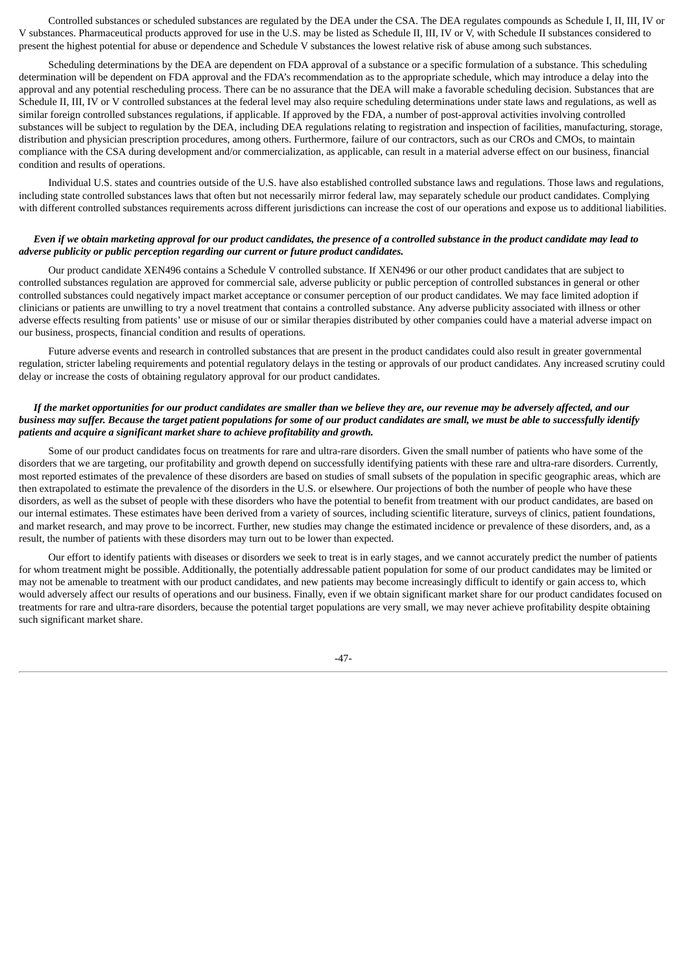Controlled substances or scheduled substances are regulated by the DEA under the CSA. The DEA regulates compounds as Schedule I, II, III, IV or V substances. Pharmaceutical products approved for use in the U.S. may be listed as Schedule II, III, IV or V, with Schedule II substances considered to present the highest potential for abuse or dependence and Schedule V substances the lowest relative risk of abuse among such substances.

Scheduling determinations by the DEA are dependent on FDA approval of a substance or a specific formulation of a substance. This scheduling determination will be dependent on FDA approval and the FDA's recommendation as to the appropriate schedule, which may introduce a delay into the approval and any potential rescheduling process. There can be no assurance that the DEA will make a favorable scheduling decision. Substances that are Schedule II, III, IV or V controlled substances at the federal level may also require scheduling determinations under state laws and regulations, as well as similar foreign controlled substances regulations, if applicable. If approved by the FDA, a number of post-approval activities involving controlled substances will be subject to regulation by the DEA, including DEA regulations relating to registration and inspection of facilities, manufacturing, storage, distribution and physician prescription procedures, among others. Furthermore, failure of our contractors, such as our CROs and CMOs, to maintain compliance with the CSA during development and/or commercialization, as applicable, can result in a material adverse effect on our business, financial condition and results of operations.

Individual U.S. states and countries outside of the U.S. have also established controlled substance laws and regulations. Those laws and regulations, including state controlled substances laws that often but not necessarily mirror federal law, may separately schedule our product candidates. Complying with different controlled substances requirements across different jurisdictions can increase the cost of our operations and expose us to additional liabilities.

## Even if we obtain marketing approval for our product candidates, the presence of a controlled substance in the product candidate may lead to *adverse publicity or public perception regarding our current or future product candidates.*

Our product candidate XEN496 contains a Schedule V controlled substance. If XEN496 or our other product candidates that are subject to controlled substances regulation are approved for commercial sale, adverse publicity or public perception of controlled substances in general or other controlled substances could negatively impact market acceptance or consumer perception of our product candidates. We may face limited adoption if clinicians or patients are unwilling to try a novel treatment that contains a controlled substance. Any adverse publicity associated with illness or other adverse effects resulting from patients' use or misuse of our or similar therapies distributed by other companies could have a material adverse impact on our business, prospects, financial condition and results of operations.

Future adverse events and research in controlled substances that are present in the product candidates could also result in greater governmental regulation, stricter labeling requirements and potential regulatory delays in the testing or approvals of our product candidates. Any increased scrutiny could delay or increase the costs of obtaining regulatory approval for our product candidates.

## If the market opportunities for our product candidates are smaller than we believe they are, our revenue may be adversely affected, and our business may suffer. Because the target patient populations for some of our product candidates are small, we must be able to successfully identify *patients and acquire a significant market share to achieve profitability and growth.*

Some of our product candidates focus on treatments for rare and ultra-rare disorders. Given the small number of patients who have some of the disorders that we are targeting, our profitability and growth depend on successfully identifying patients with these rare and ultra-rare disorders. Currently, most reported estimates of the prevalence of these disorders are based on studies of small subsets of the population in specific geographic areas, which are then extrapolated to estimate the prevalence of the disorders in the U.S. or elsewhere. Our projections of both the number of people who have these disorders, as well as the subset of people with these disorders who have the potential to benefit from treatment with our product candidates, are based on our internal estimates. These estimates have been derived from a variety of sources, including scientific literature, surveys of clinics, patient foundations, and market research, and may prove to be incorrect. Further, new studies may change the estimated incidence or prevalence of these disorders, and, as a result, the number of patients with these disorders may turn out to be lower than expected.

Our effort to identify patients with diseases or disorders we seek to treat is in early stages, and we cannot accurately predict the number of patients for whom treatment might be possible. Additionally, the potentially addressable patient population for some of our product candidates may be limited or may not be amenable to treatment with our product candidates, and new patients may become increasingly difficult to identify or gain access to, which would adversely affect our results of operations and our business. Finally, even if we obtain significant market share for our product candidates focused on treatments for rare and ultra-rare disorders, because the potential target populations are very small, we may never achieve profitability despite obtaining such significant market share.

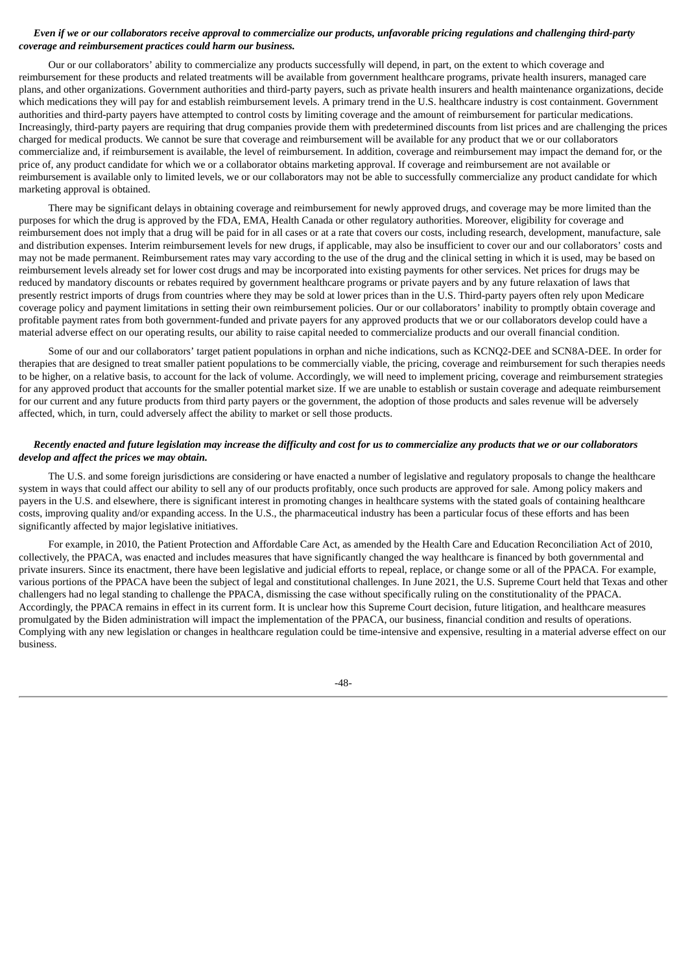### Even if we or our collaborators receive approval to commercialize our products, unfavorable pricing regulations and challenging third-party *coverage and reimbursement practices could harm our business.*

Our or our collaborators' ability to commercialize any products successfully will depend, in part, on the extent to which coverage and reimbursement for these products and related treatments will be available from government healthcare programs, private health insurers, managed care plans, and other organizations. Government authorities and third-party payers, such as private health insurers and health maintenance organizations, decide which medications they will pay for and establish reimbursement levels. A primary trend in the U.S. healthcare industry is cost containment. Government authorities and third-party payers have attempted to control costs by limiting coverage and the amount of reimbursement for particular medications. Increasingly, third-party payers are requiring that drug companies provide them with predetermined discounts from list prices and are challenging the prices charged for medical products. We cannot be sure that coverage and reimbursement will be available for any product that we or our collaborators commercialize and, if reimbursement is available, the level of reimbursement. In addition, coverage and reimbursement may impact the demand for, or the price of, any product candidate for which we or a collaborator obtains marketing approval. If coverage and reimbursement are not available or reimbursement is available only to limited levels, we or our collaborators may not be able to successfully commercialize any product candidate for which marketing approval is obtained.

There may be significant delays in obtaining coverage and reimbursement for newly approved drugs, and coverage may be more limited than the purposes for which the drug is approved by the FDA, EMA, Health Canada or other regulatory authorities. Moreover, eligibility for coverage and reimbursement does not imply that a drug will be paid for in all cases or at a rate that covers our costs, including research, development, manufacture, sale and distribution expenses. Interim reimbursement levels for new drugs, if applicable, may also be insufficient to cover our and our collaborators' costs and may not be made permanent. Reimbursement rates may vary according to the use of the drug and the clinical setting in which it is used, may be based on reimbursement levels already set for lower cost drugs and may be incorporated into existing payments for other services. Net prices for drugs may be reduced by mandatory discounts or rebates required by government healthcare programs or private payers and by any future relaxation of laws that presently restrict imports of drugs from countries where they may be sold at lower prices than in the U.S. Third-party payers often rely upon Medicare coverage policy and payment limitations in setting their own reimbursement policies. Our or our collaborators' inability to promptly obtain coverage and profitable payment rates from both government-funded and private payers for any approved products that we or our collaborators develop could have a material adverse effect on our operating results, our ability to raise capital needed to commercialize products and our overall financial condition.

Some of our and our collaborators' target patient populations in orphan and niche indications, such as KCNQ2-DEE and SCN8A-DEE. In order for therapies that are designed to treat smaller patient populations to be commercially viable, the pricing, coverage and reimbursement for such therapies needs to be higher, on a relative basis, to account for the lack of volume. Accordingly, we will need to implement pricing, coverage and reimbursement strategies for any approved product that accounts for the smaller potential market size. If we are unable to establish or sustain coverage and adequate reimbursement for our current and any future products from third party payers or the government, the adoption of those products and sales revenue will be adversely affected, which, in turn, could adversely affect the ability to market or sell those products.

### Recently enacted and future legislation may increase the difficulty and cost for us to commercialize any products that we or our collaborators *develop and affect the prices we may obtain.*

The U.S. and some foreign jurisdictions are considering or have enacted a number of legislative and regulatory proposals to change the healthcare system in ways that could affect our ability to sell any of our products profitably, once such products are approved for sale. Among policy makers and payers in the U.S. and elsewhere, there is significant interest in promoting changes in healthcare systems with the stated goals of containing healthcare costs, improving quality and/or expanding access. In the U.S., the pharmaceutical industry has been a particular focus of these efforts and has been significantly affected by major legislative initiatives.

For example, in 2010, the Patient Protection and Affordable Care Act, as amended by the Health Care and Education Reconciliation Act of 2010, collectively, the PPACA, was enacted and includes measures that have significantly changed the way healthcare is financed by both governmental and private insurers. Since its enactment, there have been legislative and judicial efforts to repeal, replace, or change some or all of the PPACA. For example, various portions of the PPACA have been the subject of legal and constitutional challenges. In June 2021, the U.S. Supreme Court held that Texas and other challengers had no legal standing to challenge the PPACA, dismissing the case without specifically ruling on the constitutionality of the PPACA. Accordingly, the PPACA remains in effect in its current form. It is unclear how this Supreme Court decision, future litigation, and healthcare measures promulgated by the Biden administration will impact the implementation of the PPACA, our business, financial condition and results of operations. Complying with any new legislation or changes in healthcare regulation could be time-intensive and expensive, resulting in a material adverse effect on our business.

-48-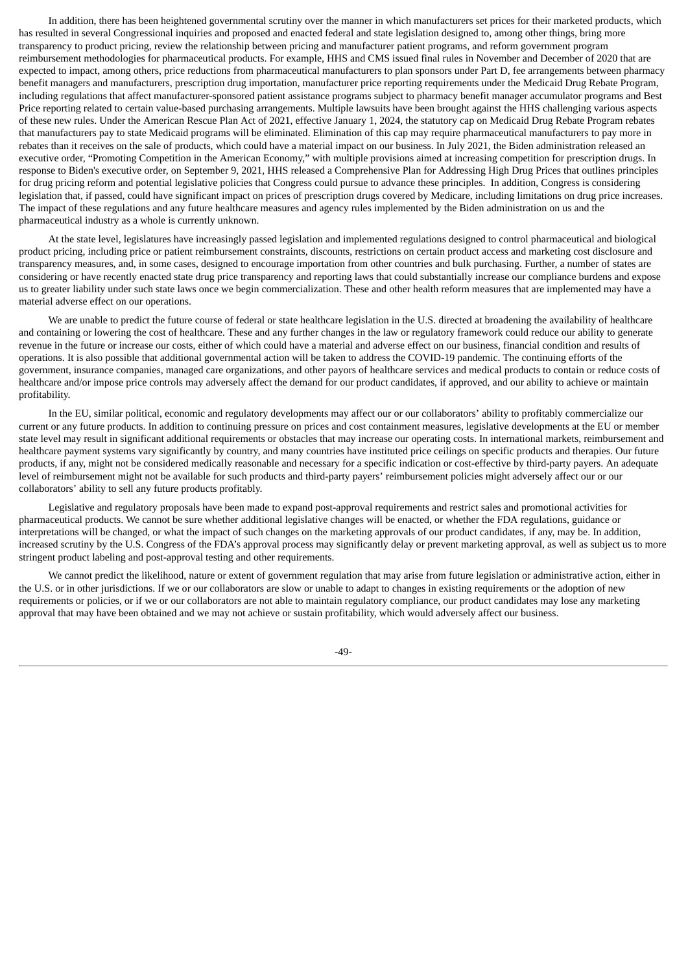In addition, there has been heightened governmental scrutiny over the manner in which manufacturers set prices for their marketed products, which has resulted in several Congressional inquiries and proposed and enacted federal and state legislation designed to, among other things, bring more transparency to product pricing, review the relationship between pricing and manufacturer patient programs, and reform government program reimbursement methodologies for pharmaceutical products. For example, HHS and CMS issued final rules in November and December of 2020 that are expected to impact, among others, price reductions from pharmaceutical manufacturers to plan sponsors under Part D, fee arrangements between pharmacy benefit managers and manufacturers, prescription drug importation, manufacturer price reporting requirements under the Medicaid Drug Rebate Program, including regulations that affect manufacturer-sponsored patient assistance programs subject to pharmacy benefit manager accumulator programs and Best Price reporting related to certain value-based purchasing arrangements. Multiple lawsuits have been brought against the HHS challenging various aspects of these new rules. Under the American Rescue Plan Act of 2021, effective January 1, 2024, the statutory cap on Medicaid Drug Rebate Program rebates that manufacturers pay to state Medicaid programs will be eliminated. Elimination of this cap may require pharmaceutical manufacturers to pay more in rebates than it receives on the sale of products, which could have a material impact on our business. In July 2021, the Biden administration released an executive order, "Promoting Competition in the American Economy," with multiple provisions aimed at increasing competition for prescription drugs. In response to Biden's executive order, on September 9, 2021, HHS released a Comprehensive Plan for Addressing High Drug Prices that outlines principles for drug pricing reform and potential legislative policies that Congress could pursue to advance these principles. In addition, Congress is considering legislation that, if passed, could have significant impact on prices of prescription drugs covered by Medicare, including limitations on drug price increases. The impact of these regulations and any future healthcare measures and agency rules implemented by the Biden administration on us and the pharmaceutical industry as a whole is currently unknown.

At the state level, legislatures have increasingly passed legislation and implemented regulations designed to control pharmaceutical and biological product pricing, including price or patient reimbursement constraints, discounts, restrictions on certain product access and marketing cost disclosure and transparency measures, and, in some cases, designed to encourage importation from other countries and bulk purchasing. Further, a number of states are considering or have recently enacted state drug price transparency and reporting laws that could substantially increase our compliance burdens and expose us to greater liability under such state laws once we begin commercialization. These and other health reform measures that are implemented may have a material adverse effect on our operations.

We are unable to predict the future course of federal or state healthcare legislation in the U.S. directed at broadening the availability of healthcare and containing or lowering the cost of healthcare. These and any further changes in the law or regulatory framework could reduce our ability to generate revenue in the future or increase our costs, either of which could have a material and adverse effect on our business, financial condition and results of operations. It is also possible that additional governmental action will be taken to address the COVID-19 pandemic. The continuing efforts of the government, insurance companies, managed care organizations, and other payors of healthcare services and medical products to contain or reduce costs of healthcare and/or impose price controls may adversely affect the demand for our product candidates, if approved, and our ability to achieve or maintain profitability.

In the EU, similar political, economic and regulatory developments may affect our or our collaborators' ability to profitably commercialize our current or any future products. In addition to continuing pressure on prices and cost containment measures, legislative developments at the EU or member state level may result in significant additional requirements or obstacles that may increase our operating costs. In international markets, reimbursement and healthcare payment systems vary significantly by country, and many countries have instituted price ceilings on specific products and therapies. Our future products, if any, might not be considered medically reasonable and necessary for a specific indication or cost-effective by third-party payers. An adequate level of reimbursement might not be available for such products and third-party payers' reimbursement policies might adversely affect our or our collaborators' ability to sell any future products profitably.

Legislative and regulatory proposals have been made to expand post-approval requirements and restrict sales and promotional activities for pharmaceutical products. We cannot be sure whether additional legislative changes will be enacted, or whether the FDA regulations, guidance or interpretations will be changed, or what the impact of such changes on the marketing approvals of our product candidates, if any, may be. In addition, increased scrutiny by the U.S. Congress of the FDA's approval process may significantly delay or prevent marketing approval, as well as subject us to more stringent product labeling and post-approval testing and other requirements.

We cannot predict the likelihood, nature or extent of government regulation that may arise from future legislation or administrative action, either in the U.S. or in other jurisdictions. If we or our collaborators are slow or unable to adapt to changes in existing requirements or the adoption of new requirements or policies, or if we or our collaborators are not able to maintain regulatory compliance, our product candidates may lose any marketing approval that may have been obtained and we may not achieve or sustain profitability, which would adversely affect our business.

-49-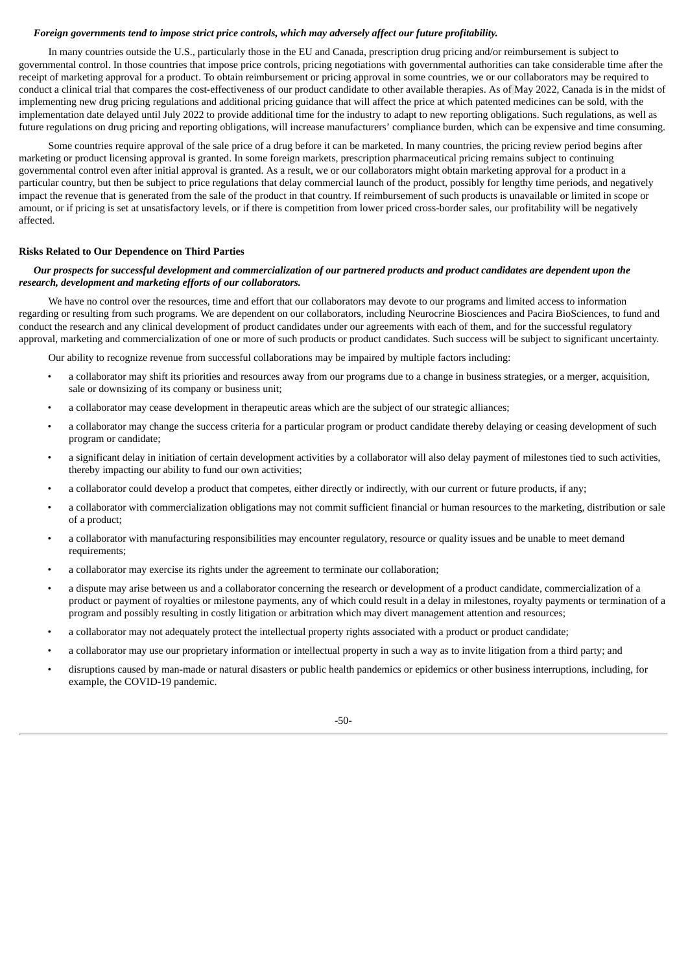#### *Foreign governments tend to impose strict price controls, which may adversely affect our future profitability.*

In many countries outside the U.S., particularly those in the EU and Canada, prescription drug pricing and/or reimbursement is subject to governmental control. In those countries that impose price controls, pricing negotiations with governmental authorities can take considerable time after the receipt of marketing approval for a product. To obtain reimbursement or pricing approval in some countries, we or our collaborators may be required to conduct a clinical trial that compares the cost-effectiveness of our product candidate to other available therapies. As of May 2022, Canada is in the midst of implementing new drug pricing regulations and additional pricing guidance that will affect the price at which patented medicines can be sold, with the implementation date delayed until July 2022 to provide additional time for the industry to adapt to new reporting obligations. Such regulations, as well as future regulations on drug pricing and reporting obligations, will increase manufacturers' compliance burden, which can be expensive and time consuming.

Some countries require approval of the sale price of a drug before it can be marketed. In many countries, the pricing review period begins after marketing or product licensing approval is granted. In some foreign markets, prescription pharmaceutical pricing remains subject to continuing governmental control even after initial approval is granted. As a result, we or our collaborators might obtain marketing approval for a product in a particular country, but then be subject to price regulations that delay commercial launch of the product, possibly for lengthy time periods, and negatively impact the revenue that is generated from the sale of the product in that country. If reimbursement of such products is unavailable or limited in scope or amount, or if pricing is set at unsatisfactory levels, or if there is competition from lower priced cross-border sales, our profitability will be negatively affected.

#### **Risks Related to Our Dependence on Third Parties**

### Our prospects for successful development and commercialization of our partnered products and product candidates are dependent upon the *research, development and marketing efforts of our collaborators.*

We have no control over the resources, time and effort that our collaborators may devote to our programs and limited access to information regarding or resulting from such programs. We are dependent on our collaborators, including Neurocrine Biosciences and Pacira BioSciences, to fund and conduct the research and any clinical development of product candidates under our agreements with each of them, and for the successful regulatory approval, marketing and commercialization of one or more of such products or product candidates. Such success will be subject to significant uncertainty.

Our ability to recognize revenue from successful collaborations may be impaired by multiple factors including:

- a collaborator may shift its priorities and resources away from our programs due to a change in business strategies, or a merger, acquisition, sale or downsizing of its company or business unit;
- a collaborator may cease development in therapeutic areas which are the subject of our strategic alliances;
- a collaborator may change the success criteria for a particular program or product candidate thereby delaying or ceasing development of such program or candidate;
- a significant delay in initiation of certain development activities by a collaborator will also delay payment of milestones tied to such activities, thereby impacting our ability to fund our own activities;
- a collaborator could develop a product that competes, either directly or indirectly, with our current or future products, if any;
- a collaborator with commercialization obligations may not commit sufficient financial or human resources to the marketing, distribution or sale of a product;
- a collaborator with manufacturing responsibilities may encounter regulatory, resource or quality issues and be unable to meet demand requirements;
- a collaborator may exercise its rights under the agreement to terminate our collaboration;
- a dispute may arise between us and a collaborator concerning the research or development of a product candidate, commercialization of a product or payment of royalties or milestone payments, any of which could result in a delay in milestones, royalty payments or termination of a program and possibly resulting in costly litigation or arbitration which may divert management attention and resources;
- a collaborator may not adequately protect the intellectual property rights associated with a product or product candidate;
- a collaborator may use our proprietary information or intellectual property in such a way as to invite litigation from a third party; and
- disruptions caused by man-made or natural disasters or public health pandemics or epidemics or other business interruptions, including, for example, the COVID-19 pandemic.

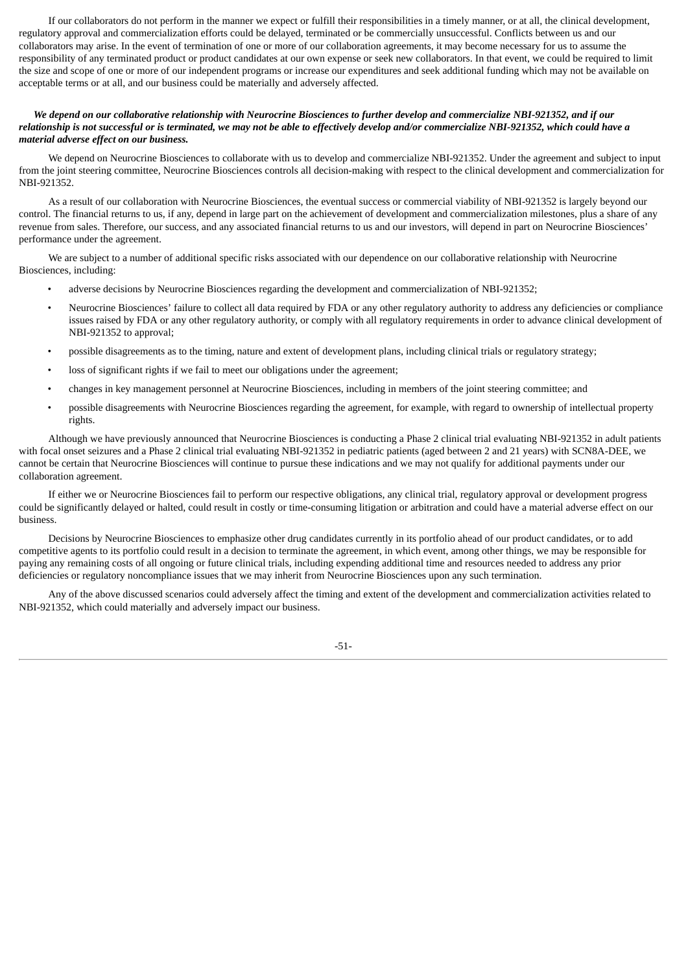If our collaborators do not perform in the manner we expect or fulfill their responsibilities in a timely manner, or at all, the clinical development, regulatory approval and commercialization efforts could be delayed, terminated or be commercially unsuccessful. Conflicts between us and our collaborators may arise. In the event of termination of one or more of our collaboration agreements, it may become necessary for us to assume the responsibility of any terminated product or product candidates at our own expense or seek new collaborators. In that event, we could be required to limit the size and scope of one or more of our independent programs or increase our expenditures and seek additional funding which may not be available on acceptable terms or at all, and our business could be materially and adversely affected.

## We depend on our collaborative relationship with Neurocrine Biosciences to further develop and commercialize NBI-921352, and if our relationship is not successful or is terminated, we may not be able to effectively develop and/or commercialize NBI-921352, which could have a *material adverse effect on our business.*

We depend on Neurocrine Biosciences to collaborate with us to develop and commercialize NBI-921352. Under the agreement and subject to input from the joint steering committee, Neurocrine Biosciences controls all decision-making with respect to the clinical development and commercialization for NBI-921352.

As a result of our collaboration with Neurocrine Biosciences, the eventual success or commercial viability of NBI-921352 is largely beyond our control. The financial returns to us, if any, depend in large part on the achievement of development and commercialization milestones, plus a share of any revenue from sales. Therefore, our success, and any associated financial returns to us and our investors, will depend in part on Neurocrine Biosciences' performance under the agreement.

We are subject to a number of additional specific risks associated with our dependence on our collaborative relationship with Neurocrine Biosciences, including:

- adverse decisions by Neurocrine Biosciences regarding the development and commercialization of NBI-921352;
- Neurocrine Biosciences' failure to collect all data required by FDA or any other regulatory authority to address any deficiencies or compliance issues raised by FDA or any other regulatory authority, or comply with all regulatory requirements in order to advance clinical development of NBI-921352 to approval;
- possible disagreements as to the timing, nature and extent of development plans, including clinical trials or regulatory strategy;
- loss of significant rights if we fail to meet our obligations under the agreement;
- changes in key management personnel at Neurocrine Biosciences, including in members of the joint steering committee; and
- possible disagreements with Neurocrine Biosciences regarding the agreement, for example, with regard to ownership of intellectual property rights.

Although we have previously announced that Neurocrine Biosciences is conducting a Phase 2 clinical trial evaluating NBI-921352 in adult patients with focal onset seizures and a Phase 2 clinical trial evaluating NBI-921352 in pediatric patients (aged between 2 and 21 years) with SCN8A-DEE, we cannot be certain that Neurocrine Biosciences will continue to pursue these indications and we may not qualify for additional payments under our collaboration agreement.

If either we or Neurocrine Biosciences fail to perform our respective obligations, any clinical trial, regulatory approval or development progress could be significantly delayed or halted, could result in costly or time-consuming litigation or arbitration and could have a material adverse effect on our business.

Decisions by Neurocrine Biosciences to emphasize other drug candidates currently in its portfolio ahead of our product candidates, or to add competitive agents to its portfolio could result in a decision to terminate the agreement, in which event, among other things, we may be responsible for paying any remaining costs of all ongoing or future clinical trials, including expending additional time and resources needed to address any prior deficiencies or regulatory noncompliance issues that we may inherit from Neurocrine Biosciences upon any such termination.

Any of the above discussed scenarios could adversely affect the timing and extent of the development and commercialization activities related to NBI-921352, which could materially and adversely impact our business.

-51-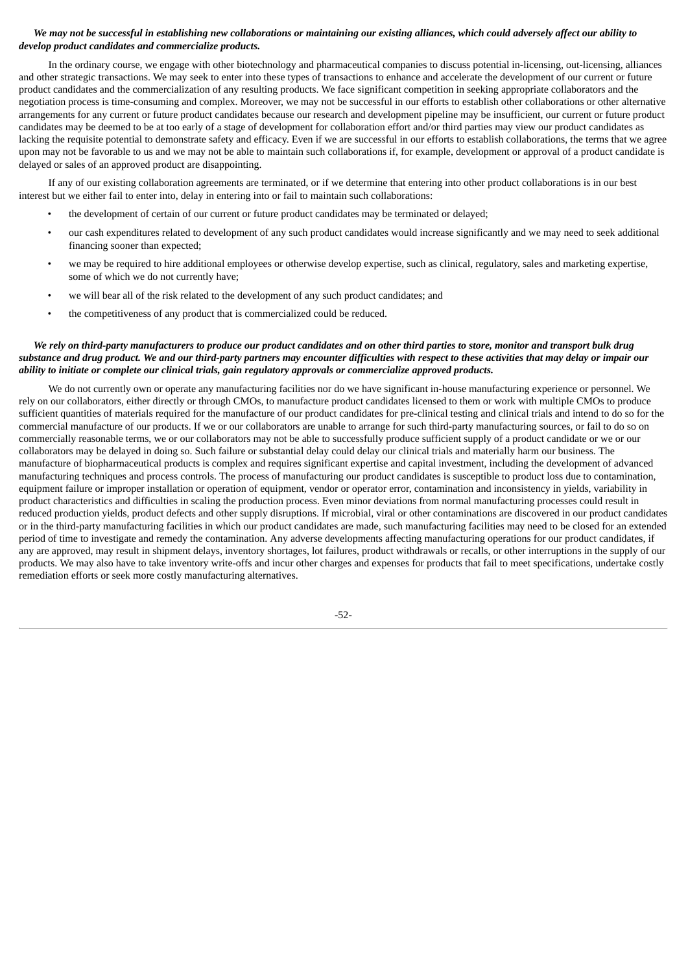## We may not be successful in establishing new collaborations or maintaining our existing alliances, which could adversely affect our ability to *develop product candidates and commercialize products.*

In the ordinary course, we engage with other biotechnology and pharmaceutical companies to discuss potential in-licensing, out-licensing, alliances and other strategic transactions. We may seek to enter into these types of transactions to enhance and accelerate the development of our current or future product candidates and the commercialization of any resulting products. We face significant competition in seeking appropriate collaborators and the negotiation process is time-consuming and complex. Moreover, we may not be successful in our efforts to establish other collaborations or other alternative arrangements for any current or future product candidates because our research and development pipeline may be insufficient, our current or future product candidates may be deemed to be at too early of a stage of development for collaboration effort and/or third parties may view our product candidates as lacking the requisite potential to demonstrate safety and efficacy. Even if we are successful in our efforts to establish collaborations, the terms that we agree upon may not be favorable to us and we may not be able to maintain such collaborations if, for example, development or approval of a product candidate is delayed or sales of an approved product are disappointing.

If any of our existing collaboration agreements are terminated, or if we determine that entering into other product collaborations is in our best interest but we either fail to enter into, delay in entering into or fail to maintain such collaborations:

- the development of certain of our current or future product candidates may be terminated or delayed;
- our cash expenditures related to development of any such product candidates would increase significantly and we may need to seek additional financing sooner than expected;
- we may be required to hire additional employees or otherwise develop expertise, such as clinical, regulatory, sales and marketing expertise, some of which we do not currently have;
- we will bear all of the risk related to the development of any such product candidates; and
- the competitiveness of any product that is commercialized could be reduced.

## We rely on third-party manufacturers to produce our product candidates and on other third parties to store, monitor and transport bulk drug substance and drug product. We and our third-party partners may encounter difficulties with respect to these activities that may delay or impair our *ability to initiate or complete our clinical trials, gain regulatory approvals or commercialize approved products.*

We do not currently own or operate any manufacturing facilities nor do we have significant in-house manufacturing experience or personnel. We rely on our collaborators, either directly or through CMOs, to manufacture product candidates licensed to them or work with multiple CMOs to produce sufficient quantities of materials required for the manufacture of our product candidates for pre-clinical testing and clinical trials and intend to do so for the commercial manufacture of our products. If we or our collaborators are unable to arrange for such third-party manufacturing sources, or fail to do so on commercially reasonable terms, we or our collaborators may not be able to successfully produce sufficient supply of a product candidate or we or our collaborators may be delayed in doing so. Such failure or substantial delay could delay our clinical trials and materially harm our business. The manufacture of biopharmaceutical products is complex and requires significant expertise and capital investment, including the development of advanced manufacturing techniques and process controls. The process of manufacturing our product candidates is susceptible to product loss due to contamination, equipment failure or improper installation or operation of equipment, vendor or operator error, contamination and inconsistency in yields, variability in product characteristics and difficulties in scaling the production process. Even minor deviations from normal manufacturing processes could result in reduced production yields, product defects and other supply disruptions. If microbial, viral or other contaminations are discovered in our product candidates or in the third-party manufacturing facilities in which our product candidates are made, such manufacturing facilities may need to be closed for an extended period of time to investigate and remedy the contamination. Any adverse developments affecting manufacturing operations for our product candidates, if any are approved, may result in shipment delays, inventory shortages, lot failures, product withdrawals or recalls, or other interruptions in the supply of our products. We may also have to take inventory write-offs and incur other charges and expenses for products that fail to meet specifications, undertake costly remediation efforts or seek more costly manufacturing alternatives.

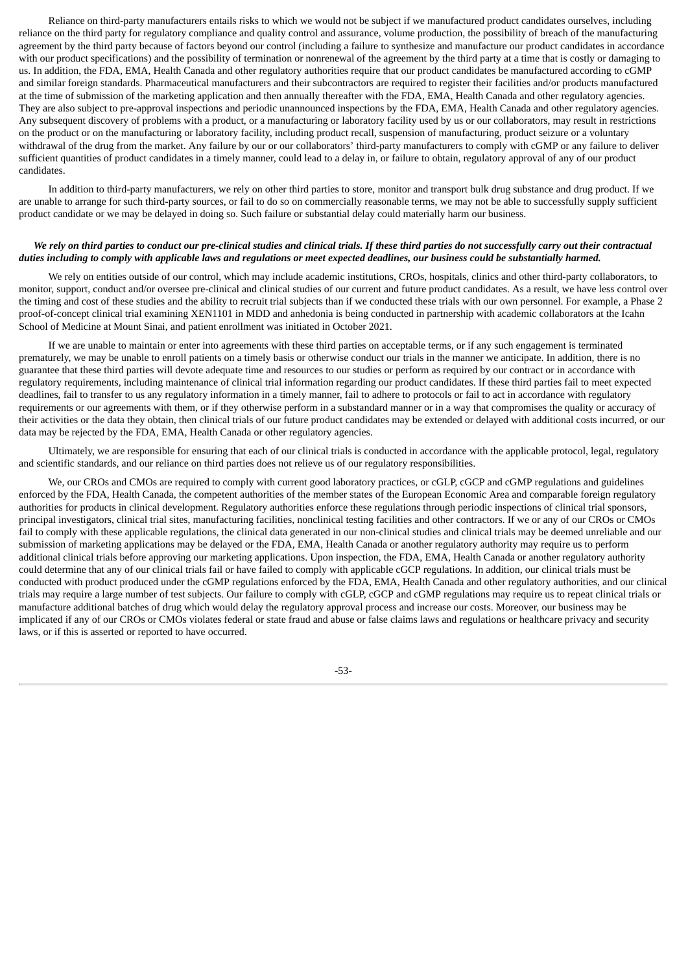Reliance on third-party manufacturers entails risks to which we would not be subject if we manufactured product candidates ourselves, including reliance on the third party for regulatory compliance and quality control and assurance, volume production, the possibility of breach of the manufacturing agreement by the third party because of factors beyond our control (including a failure to synthesize and manufacture our product candidates in accordance with our product specifications) and the possibility of termination or nonrenewal of the agreement by the third party at a time that is costly or damaging to us. In addition, the FDA, EMA, Health Canada and other regulatory authorities require that our product candidates be manufactured according to cGMP and similar foreign standards. Pharmaceutical manufacturers and their subcontractors are required to register their facilities and/or products manufactured at the time of submission of the marketing application and then annually thereafter with the FDA, EMA, Health Canada and other regulatory agencies. They are also subject to pre-approval inspections and periodic unannounced inspections by the FDA, EMA, Health Canada and other regulatory agencies. Any subsequent discovery of problems with a product, or a manufacturing or laboratory facility used by us or our collaborators, may result in restrictions on the product or on the manufacturing or laboratory facility, including product recall, suspension of manufacturing, product seizure or a voluntary withdrawal of the drug from the market. Any failure by our or our collaborators' third-party manufacturers to comply with cGMP or any failure to deliver sufficient quantities of product candidates in a timely manner, could lead to a delay in, or failure to obtain, regulatory approval of any of our product candidates.

In addition to third-party manufacturers, we rely on other third parties to store, monitor and transport bulk drug substance and drug product. If we are unable to arrange for such third-party sources, or fail to do so on commercially reasonable terms, we may not be able to successfully supply sufficient product candidate or we may be delayed in doing so. Such failure or substantial delay could materially harm our business.

#### We rely on third parties to conduct our pre-clinical studies and clinical trials. If these third parties do not successfully carry out their contractual duties including to comply with applicable laws and regulations or meet expected deadlines, our business could be substantially harmed.

We rely on entities outside of our control, which may include academic institutions, CROs, hospitals, clinics and other third-party collaborators, to monitor, support, conduct and/or oversee pre-clinical and clinical studies of our current and future product candidates. As a result, we have less control over the timing and cost of these studies and the ability to recruit trial subjects than if we conducted these trials with our own personnel. For example, a Phase 2 proof-of-concept clinical trial examining XEN1101 in MDD and anhedonia is being conducted in partnership with academic collaborators at the Icahn School of Medicine at Mount Sinai, and patient enrollment was initiated in October 2021.

If we are unable to maintain or enter into agreements with these third parties on acceptable terms, or if any such engagement is terminated prematurely, we may be unable to enroll patients on a timely basis or otherwise conduct our trials in the manner we anticipate. In addition, there is no guarantee that these third parties will devote adequate time and resources to our studies or perform as required by our contract or in accordance with regulatory requirements, including maintenance of clinical trial information regarding our product candidates. If these third parties fail to meet expected deadlines, fail to transfer to us any regulatory information in a timely manner, fail to adhere to protocols or fail to act in accordance with regulatory requirements or our agreements with them, or if they otherwise perform in a substandard manner or in a way that compromises the quality or accuracy of their activities or the data they obtain, then clinical trials of our future product candidates may be extended or delayed with additional costs incurred, or our data may be rejected by the FDA, EMA, Health Canada or other regulatory agencies.

Ultimately, we are responsible for ensuring that each of our clinical trials is conducted in accordance with the applicable protocol, legal, regulatory and scientific standards, and our reliance on third parties does not relieve us of our regulatory responsibilities.

We, our CROs and CMOs are required to comply with current good laboratory practices, or cGLP, cGCP and cGMP regulations and guidelines enforced by the FDA, Health Canada, the competent authorities of the member states of the European Economic Area and comparable foreign regulatory authorities for products in clinical development. Regulatory authorities enforce these regulations through periodic inspections of clinical trial sponsors, principal investigators, clinical trial sites, manufacturing facilities, nonclinical testing facilities and other contractors. If we or any of our CROs or CMOs fail to comply with these applicable regulations, the clinical data generated in our non-clinical studies and clinical trials may be deemed unreliable and our submission of marketing applications may be delayed or the FDA, EMA, Health Canada or another regulatory authority may require us to perform additional clinical trials before approving our marketing applications. Upon inspection, the FDA, EMA, Health Canada or another regulatory authority could determine that any of our clinical trials fail or have failed to comply with applicable cGCP regulations. In addition, our clinical trials must be conducted with product produced under the cGMP regulations enforced by the FDA, EMA, Health Canada and other regulatory authorities, and our clinical trials may require a large number of test subjects. Our failure to comply with cGLP, cGCP and cGMP regulations may require us to repeat clinical trials or manufacture additional batches of drug which would delay the regulatory approval process and increase our costs. Moreover, our business may be implicated if any of our CROs or CMOs violates federal or state fraud and abuse or false claims laws and regulations or healthcare privacy and security laws, or if this is asserted or reported to have occurred.

-53-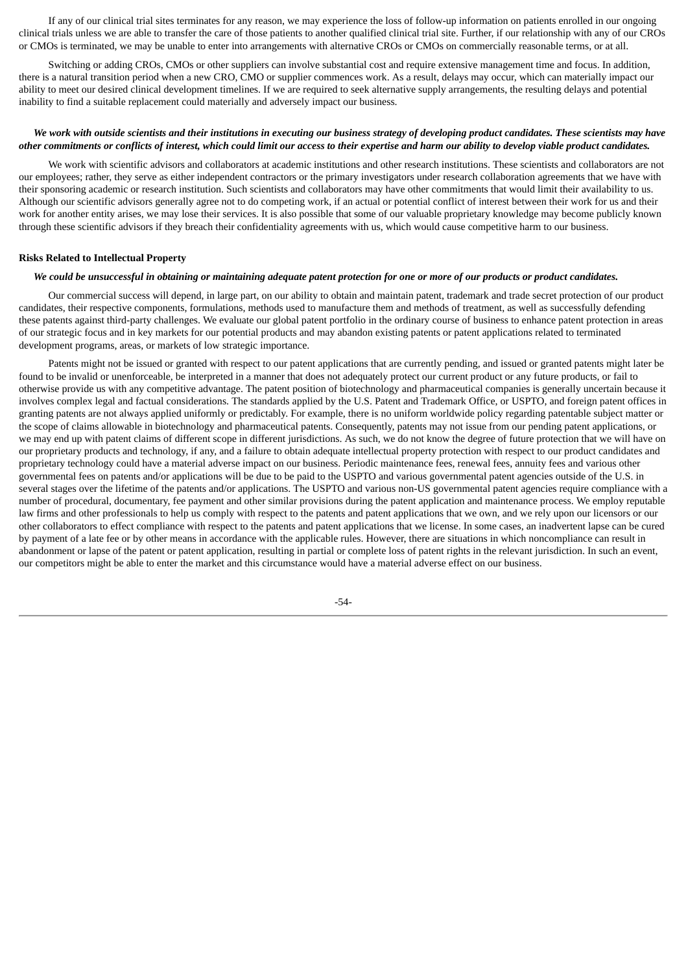If any of our clinical trial sites terminates for any reason, we may experience the loss of follow-up information on patients enrolled in our ongoing clinical trials unless we are able to transfer the care of those patients to another qualified clinical trial site. Further, if our relationship with any of our CROs or CMOs is terminated, we may be unable to enter into arrangements with alternative CROs or CMOs on commercially reasonable terms, or at all.

Switching or adding CROs, CMOs or other suppliers can involve substantial cost and require extensive management time and focus. In addition, there is a natural transition period when a new CRO, CMO or supplier commences work. As a result, delays may occur, which can materially impact our ability to meet our desired clinical development timelines. If we are required to seek alternative supply arrangements, the resulting delays and potential inability to find a suitable replacement could materially and adversely impact our business.

#### We work with outside scientists and their institutions in executing our business strategy of developing product candidates. These scientists may have other commitments or conflicts of interest, which could limit our access to their expertise and harm our ability to develop viable product candidates.

We work with scientific advisors and collaborators at academic institutions and other research institutions. These scientists and collaborators are not our employees; rather, they serve as either independent contractors or the primary investigators under research collaboration agreements that we have with their sponsoring academic or research institution. Such scientists and collaborators may have other commitments that would limit their availability to us. Although our scientific advisors generally agree not to do competing work, if an actual or potential conflict of interest between their work for us and their work for another entity arises, we may lose their services. It is also possible that some of our valuable proprietary knowledge may become publicly known through these scientific advisors if they breach their confidentiality agreements with us, which would cause competitive harm to our business.

#### **Risks Related to Intellectual Property**

#### We could be unsuccessful in obtaining or maintaining adequate patent protection for one or more of our products or product candidates.

Our commercial success will depend, in large part, on our ability to obtain and maintain patent, trademark and trade secret protection of our product candidates, their respective components, formulations, methods used to manufacture them and methods of treatment, as well as successfully defending these patents against third-party challenges. We evaluate our global patent portfolio in the ordinary course of business to enhance patent protection in areas of our strategic focus and in key markets for our potential products and may abandon existing patents or patent applications related to terminated development programs, areas, or markets of low strategic importance.

Patents might not be issued or granted with respect to our patent applications that are currently pending, and issued or granted patents might later be found to be invalid or unenforceable, be interpreted in a manner that does not adequately protect our current product or any future products, or fail to otherwise provide us with any competitive advantage. The patent position of biotechnology and pharmaceutical companies is generally uncertain because it involves complex legal and factual considerations. The standards applied by the U.S. Patent and Trademark Office, or USPTO, and foreign patent offices in granting patents are not always applied uniformly or predictably. For example, there is no uniform worldwide policy regarding patentable subject matter or the scope of claims allowable in biotechnology and pharmaceutical patents. Consequently, patents may not issue from our pending patent applications, or we may end up with patent claims of different scope in different jurisdictions. As such, we do not know the degree of future protection that we will have on our proprietary products and technology, if any, and a failure to obtain adequate intellectual property protection with respect to our product candidates and proprietary technology could have a material adverse impact on our business. Periodic maintenance fees, renewal fees, annuity fees and various other governmental fees on patents and/or applications will be due to be paid to the USPTO and various governmental patent agencies outside of the U.S. in several stages over the lifetime of the patents and/or applications. The USPTO and various non-US governmental patent agencies require compliance with a number of procedural, documentary, fee payment and other similar provisions during the patent application and maintenance process. We employ reputable law firms and other professionals to help us comply with respect to the patents and patent applications that we own, and we rely upon our licensors or our other collaborators to effect compliance with respect to the patents and patent applications that we license. In some cases, an inadvertent lapse can be cured by payment of a late fee or by other means in accordance with the applicable rules. However, there are situations in which noncompliance can result in abandonment or lapse of the patent or patent application, resulting in partial or complete loss of patent rights in the relevant jurisdiction. In such an event, our competitors might be able to enter the market and this circumstance would have a material adverse effect on our business.

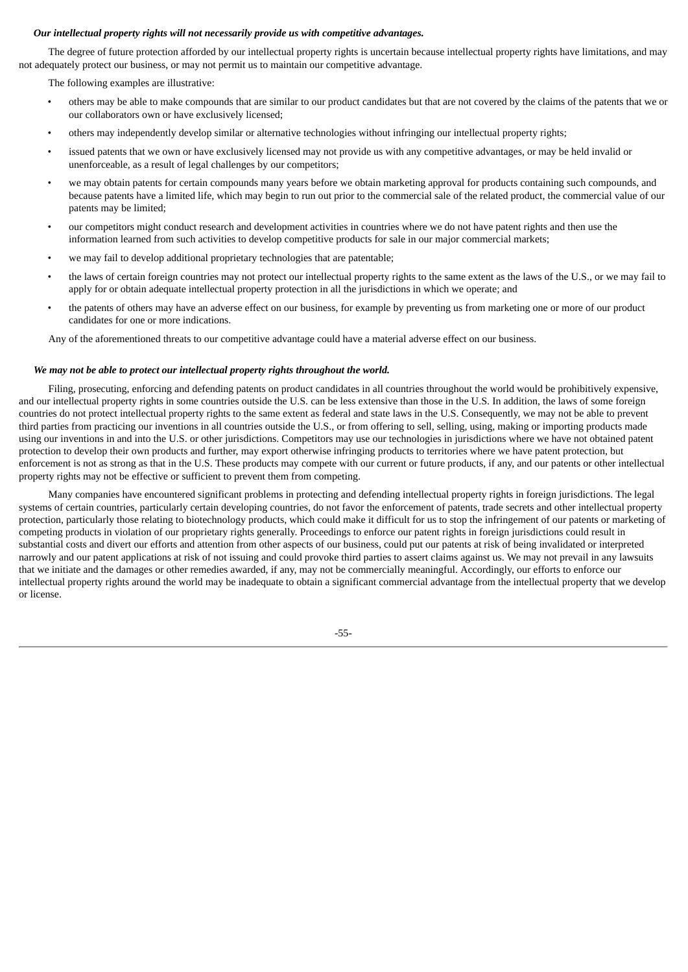#### *Our intellectual property rights will not necessarily provide us with competitive advantages.*

The degree of future protection afforded by our intellectual property rights is uncertain because intellectual property rights have limitations, and may not adequately protect our business, or may not permit us to maintain our competitive advantage.

The following examples are illustrative:

- others may be able to make compounds that are similar to our product candidates but that are not covered by the claims of the patents that we or our collaborators own or have exclusively licensed;
- others may independently develop similar or alternative technologies without infringing our intellectual property rights;
- issued patents that we own or have exclusively licensed may not provide us with any competitive advantages, or may be held invalid or unenforceable, as a result of legal challenges by our competitors;
- we may obtain patents for certain compounds many years before we obtain marketing approval for products containing such compounds, and because patents have a limited life, which may begin to run out prior to the commercial sale of the related product, the commercial value of our patents may be limited;
- our competitors might conduct research and development activities in countries where we do not have patent rights and then use the information learned from such activities to develop competitive products for sale in our major commercial markets;
- we may fail to develop additional proprietary technologies that are patentable;
- the laws of certain foreign countries may not protect our intellectual property rights to the same extent as the laws of the U.S., or we may fail to apply for or obtain adequate intellectual property protection in all the jurisdictions in which we operate; and
- the patents of others may have an adverse effect on our business, for example by preventing us from marketing one or more of our product candidates for one or more indications.

Any of the aforementioned threats to our competitive advantage could have a material adverse effect on our business.

#### *We may not be able to protect our intellectual property rights throughout the world.*

Filing, prosecuting, enforcing and defending patents on product candidates in all countries throughout the world would be prohibitively expensive, and our intellectual property rights in some countries outside the U.S. can be less extensive than those in the U.S. In addition, the laws of some foreign countries do not protect intellectual property rights to the same extent as federal and state laws in the U.S. Consequently, we may not be able to prevent third parties from practicing our inventions in all countries outside the U.S., or from offering to sell, selling, using, making or importing products made using our inventions in and into the U.S. or other jurisdictions. Competitors may use our technologies in jurisdictions where we have not obtained patent protection to develop their own products and further, may export otherwise infringing products to territories where we have patent protection, but enforcement is not as strong as that in the U.S. These products may compete with our current or future products, if any, and our patents or other intellectual property rights may not be effective or sufficient to prevent them from competing.

Many companies have encountered significant problems in protecting and defending intellectual property rights in foreign jurisdictions. The legal systems of certain countries, particularly certain developing countries, do not favor the enforcement of patents, trade secrets and other intellectual property protection, particularly those relating to biotechnology products, which could make it difficult for us to stop the infringement of our patents or marketing of competing products in violation of our proprietary rights generally. Proceedings to enforce our patent rights in foreign jurisdictions could result in substantial costs and divert our efforts and attention from other aspects of our business, could put our patents at risk of being invalidated or interpreted narrowly and our patent applications at risk of not issuing and could provoke third parties to assert claims against us. We may not prevail in any lawsuits that we initiate and the damages or other remedies awarded, if any, may not be commercially meaningful. Accordingly, our efforts to enforce our intellectual property rights around the world may be inadequate to obtain a significant commercial advantage from the intellectual property that we develop or license.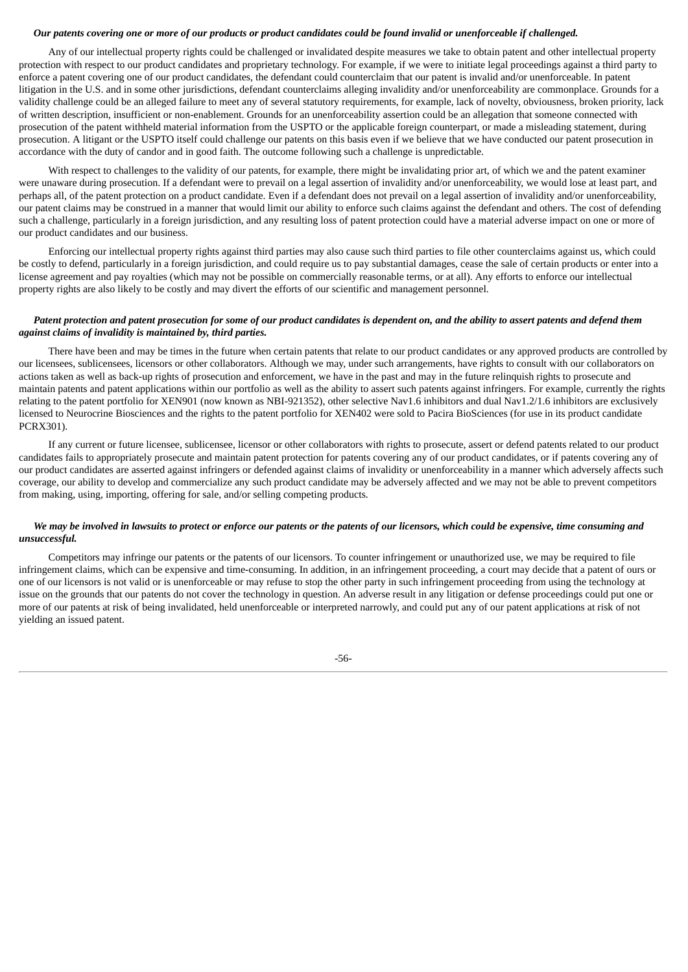#### Our patents covering one or more of our products or product candidates could be found invalid or unenforceable if challenged.

Any of our intellectual property rights could be challenged or invalidated despite measures we take to obtain patent and other intellectual property protection with respect to our product candidates and proprietary technology. For example, if we were to initiate legal proceedings against a third party to enforce a patent covering one of our product candidates, the defendant could counterclaim that our patent is invalid and/or unenforceable. In patent litigation in the U.S. and in some other jurisdictions, defendant counterclaims alleging invalidity and/or unenforceability are commonplace. Grounds for a validity challenge could be an alleged failure to meet any of several statutory requirements, for example, lack of novelty, obviousness, broken priority, lack of written description, insufficient or non-enablement. Grounds for an unenforceability assertion could be an allegation that someone connected with prosecution of the patent withheld material information from the USPTO or the applicable foreign counterpart, or made a misleading statement, during prosecution. A litigant or the USPTO itself could challenge our patents on this basis even if we believe that we have conducted our patent prosecution in accordance with the duty of candor and in good faith. The outcome following such a challenge is unpredictable.

With respect to challenges to the validity of our patents, for example, there might be invalidating prior art, of which we and the patent examiner were unaware during prosecution. If a defendant were to prevail on a legal assertion of invalidity and/or unenforceability, we would lose at least part, and perhaps all, of the patent protection on a product candidate. Even if a defendant does not prevail on a legal assertion of invalidity and/or unenforceability, our patent claims may be construed in a manner that would limit our ability to enforce such claims against the defendant and others. The cost of defending such a challenge, particularly in a foreign jurisdiction, and any resulting loss of patent protection could have a material adverse impact on one or more of our product candidates and our business.

Enforcing our intellectual property rights against third parties may also cause such third parties to file other counterclaims against us, which could be costly to defend, particularly in a foreign jurisdiction, and could require us to pay substantial damages, cease the sale of certain products or enter into a license agreement and pay royalties (which may not be possible on commercially reasonable terms, or at all). Any efforts to enforce our intellectual property rights are also likely to be costly and may divert the efforts of our scientific and management personnel.

## Patent protection and patent prosecution for some of our product candidates is dependent on, and the ability to assert patents and defend them *against claims of invalidity is maintained by, third parties.*

There have been and may be times in the future when certain patents that relate to our product candidates or any approved products are controlled by our licensees, sublicensees, licensors or other collaborators. Although we may, under such arrangements, have rights to consult with our collaborators on actions taken as well as back-up rights of prosecution and enforcement, we have in the past and may in the future relinquish rights to prosecute and maintain patents and patent applications within our portfolio as well as the ability to assert such patents against infringers. For example, currently the rights relating to the patent portfolio for XEN901 (now known as NBI-921352), other selective Nav1.6 inhibitors and dual Nav1.2/1.6 inhibitors are exclusively licensed to Neurocrine Biosciences and the rights to the patent portfolio for XEN402 were sold to Pacira BioSciences (for use in its product candidate PCRX301).

If any current or future licensee, sublicensee, licensor or other collaborators with rights to prosecute, assert or defend patents related to our product candidates fails to appropriately prosecute and maintain patent protection for patents covering any of our product candidates, or if patents covering any of our product candidates are asserted against infringers or defended against claims of invalidity or unenforceability in a manner which adversely affects such coverage, our ability to develop and commercialize any such product candidate may be adversely affected and we may not be able to prevent competitors from making, using, importing, offering for sale, and/or selling competing products.

#### We may be involved in lawsuits to protect or enforce our patents or the patents of our licensors, which could be expensive, time consuming and *unsuccessful.*

Competitors may infringe our patents or the patents of our licensors. To counter infringement or unauthorized use, we may be required to file infringement claims, which can be expensive and time-consuming. In addition, in an infringement proceeding, a court may decide that a patent of ours or one of our licensors is not valid or is unenforceable or may refuse to stop the other party in such infringement proceeding from using the technology at issue on the grounds that our patents do not cover the technology in question. An adverse result in any litigation or defense proceedings could put one or more of our patents at risk of being invalidated, held unenforceable or interpreted narrowly, and could put any of our patent applications at risk of not yielding an issued patent.

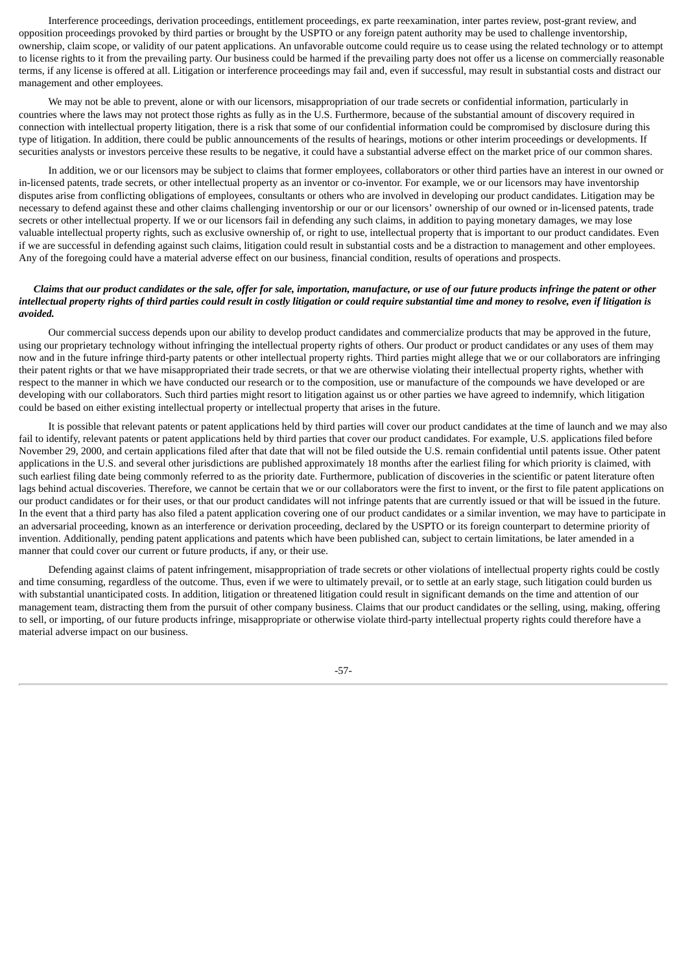Interference proceedings, derivation proceedings, entitlement proceedings, ex parte reexamination, inter partes review, post-grant review, and opposition proceedings provoked by third parties or brought by the USPTO or any foreign patent authority may be used to challenge inventorship, ownership, claim scope, or validity of our patent applications. An unfavorable outcome could require us to cease using the related technology or to attempt to license rights to it from the prevailing party. Our business could be harmed if the prevailing party does not offer us a license on commercially reasonable terms, if any license is offered at all. Litigation or interference proceedings may fail and, even if successful, may result in substantial costs and distract our management and other employees.

We may not be able to prevent, alone or with our licensors, misappropriation of our trade secrets or confidential information, particularly in countries where the laws may not protect those rights as fully as in the U.S. Furthermore, because of the substantial amount of discovery required in connection with intellectual property litigation, there is a risk that some of our confidential information could be compromised by disclosure during this type of litigation. In addition, there could be public announcements of the results of hearings, motions or other interim proceedings or developments. If securities analysts or investors perceive these results to be negative, it could have a substantial adverse effect on the market price of our common shares.

In addition, we or our licensors may be subject to claims that former employees, collaborators or other third parties have an interest in our owned or in-licensed patents, trade secrets, or other intellectual property as an inventor or co-inventor. For example, we or our licensors may have inventorship disputes arise from conflicting obligations of employees, consultants or others who are involved in developing our product candidates. Litigation may be necessary to defend against these and other claims challenging inventorship or our or our licensors' ownership of our owned or in-licensed patents, trade secrets or other intellectual property. If we or our licensors fail in defending any such claims, in addition to paying monetary damages, we may lose valuable intellectual property rights, such as exclusive ownership of, or right to use, intellectual property that is important to our product candidates. Even if we are successful in defending against such claims, litigation could result in substantial costs and be a distraction to management and other employees. Any of the foregoing could have a material adverse effect on our business, financial condition, results of operations and prospects.

### Claims that our product candidates or the sale, offer for sale, importation, manufacture, or use of our future products infringe the patent or other intellectual property rights of third parties could result in costly litigation or could require substantial time and money to resolve, even if litigation is *avoided.*

Our commercial success depends upon our ability to develop product candidates and commercialize products that may be approved in the future, using our proprietary technology without infringing the intellectual property rights of others. Our product or product candidates or any uses of them may now and in the future infringe third-party patents or other intellectual property rights. Third parties might allege that we or our collaborators are infringing their patent rights or that we have misappropriated their trade secrets, or that we are otherwise violating their intellectual property rights, whether with respect to the manner in which we have conducted our research or to the composition, use or manufacture of the compounds we have developed or are developing with our collaborators. Such third parties might resort to litigation against us or other parties we have agreed to indemnify, which litigation could be based on either existing intellectual property or intellectual property that arises in the future.

It is possible that relevant patents or patent applications held by third parties will cover our product candidates at the time of launch and we may also fail to identify, relevant patents or patent applications held by third parties that cover our product candidates. For example, U.S. applications filed before November 29, 2000, and certain applications filed after that date that will not be filed outside the U.S. remain confidential until patents issue. Other patent applications in the U.S. and several other jurisdictions are published approximately 18 months after the earliest filing for which priority is claimed, with such earliest filing date being commonly referred to as the priority date. Furthermore, publication of discoveries in the scientific or patent literature often lags behind actual discoveries. Therefore, we cannot be certain that we or our collaborators were the first to invent, or the first to file patent applications on our product candidates or for their uses, or that our product candidates will not infringe patents that are currently issued or that will be issued in the future. In the event that a third party has also filed a patent application covering one of our product candidates or a similar invention, we may have to participate in an adversarial proceeding, known as an interference or derivation proceeding, declared by the USPTO or its foreign counterpart to determine priority of invention. Additionally, pending patent applications and patents which have been published can, subject to certain limitations, be later amended in a manner that could cover our current or future products, if any, or their use.

Defending against claims of patent infringement, misappropriation of trade secrets or other violations of intellectual property rights could be costly and time consuming, regardless of the outcome. Thus, even if we were to ultimately prevail, or to settle at an early stage, such litigation could burden us with substantial unanticipated costs. In addition, litigation or threatened litigation could result in significant demands on the time and attention of our management team, distracting them from the pursuit of other company business. Claims that our product candidates or the selling, using, making, offering to sell, or importing, of our future products infringe, misappropriate or otherwise violate third-party intellectual property rights could therefore have a material adverse impact on our business.

-57-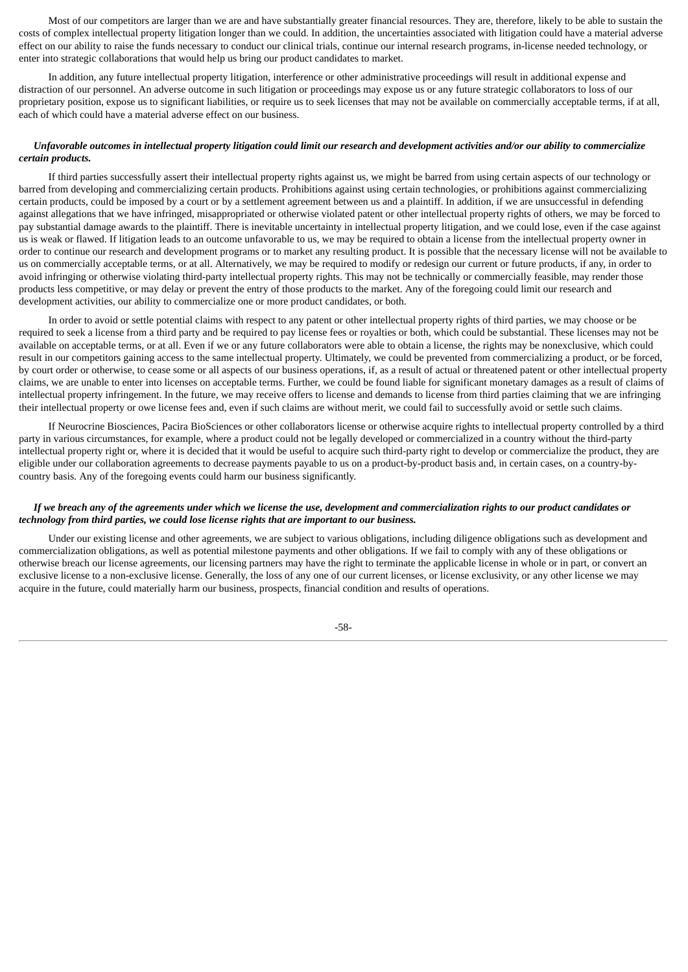Most of our competitors are larger than we are and have substantially greater financial resources. They are, therefore, likely to be able to sustain the costs of complex intellectual property litigation longer than we could. In addition, the uncertainties associated with litigation could have a material adverse effect on our ability to raise the funds necessary to conduct our clinical trials, continue our internal research programs, in-license needed technology, or enter into strategic collaborations that would help us bring our product candidates to market.

In addition, any future intellectual property litigation, interference or other administrative proceedings will result in additional expense and distraction of our personnel. An adverse outcome in such litigation or proceedings may expose us or any future strategic collaborators to loss of our proprietary position, expose us to significant liabilities, or require us to seek licenses that may not be available on commercially acceptable terms, if at all, each of which could have a material adverse effect on our business.

## Unfavorable outcomes in intellectual property litigation could limit our research and development activities and/or our ability to commercialize *certain products.*

If third parties successfully assert their intellectual property rights against us, we might be barred from using certain aspects of our technology or barred from developing and commercializing certain products. Prohibitions against using certain technologies, or prohibitions against commercializing certain products, could be imposed by a court or by a settlement agreement between us and a plaintiff. In addition, if we are unsuccessful in defending against allegations that we have infringed, misappropriated or otherwise violated patent or other intellectual property rights of others, we may be forced to pay substantial damage awards to the plaintiff. There is inevitable uncertainty in intellectual property litigation, and we could lose, even if the case against us is weak or flawed. If litigation leads to an outcome unfavorable to us, we may be required to obtain a license from the intellectual property owner in order to continue our research and development programs or to market any resulting product. It is possible that the necessary license will not be available to us on commercially acceptable terms, or at all. Alternatively, we may be required to modify or redesign our current or future products, if any, in order to avoid infringing or otherwise violating third-party intellectual property rights. This may not be technically or commercially feasible, may render those products less competitive, or may delay or prevent the entry of those products to the market. Any of the foregoing could limit our research and development activities, our ability to commercialize one or more product candidates, or both.

In order to avoid or settle potential claims with respect to any patent or other intellectual property rights of third parties, we may choose or be required to seek a license from a third party and be required to pay license fees or royalties or both, which could be substantial. These licenses may not be available on acceptable terms, or at all. Even if we or any future collaborators were able to obtain a license, the rights may be nonexclusive, which could result in our competitors gaining access to the same intellectual property. Ultimately, we could be prevented from commercializing a product, or be forced, by court order or otherwise, to cease some or all aspects of our business operations, if, as a result of actual or threatened patent or other intellectual property claims, we are unable to enter into licenses on acceptable terms. Further, we could be found liable for significant monetary damages as a result of claims of intellectual property infringement. In the future, we may receive offers to license and demands to license from third parties claiming that we are infringing their intellectual property or owe license fees and, even if such claims are without merit, we could fail to successfully avoid or settle such claims.

If Neurocrine Biosciences, Pacira BioSciences or other collaborators license or otherwise acquire rights to intellectual property controlled by a third party in various circumstances, for example, where a product could not be legally developed or commercialized in a country without the third-party intellectual property right or, where it is decided that it would be useful to acquire such third-party right to develop or commercialize the product, they are eligible under our collaboration agreements to decrease payments payable to us on a product-by-product basis and, in certain cases, on a country-bycountry basis. Any of the foregoing events could harm our business significantly.

### If we breach any of the agreements under which we license the use, development and commercialization rights to our product candidates or *technology from third parties, we could lose license rights that are important to our business.*

Under our existing license and other agreements, we are subject to various obligations, including diligence obligations such as development and commercialization obligations, as well as potential milestone payments and other obligations. If we fail to comply with any of these obligations or otherwise breach our license agreements, our licensing partners may have the right to terminate the applicable license in whole or in part, or convert an exclusive license to a non-exclusive license. Generally, the loss of any one of our current licenses, or license exclusivity, or any other license we may acquire in the future, could materially harm our business, prospects, financial condition and results of operations.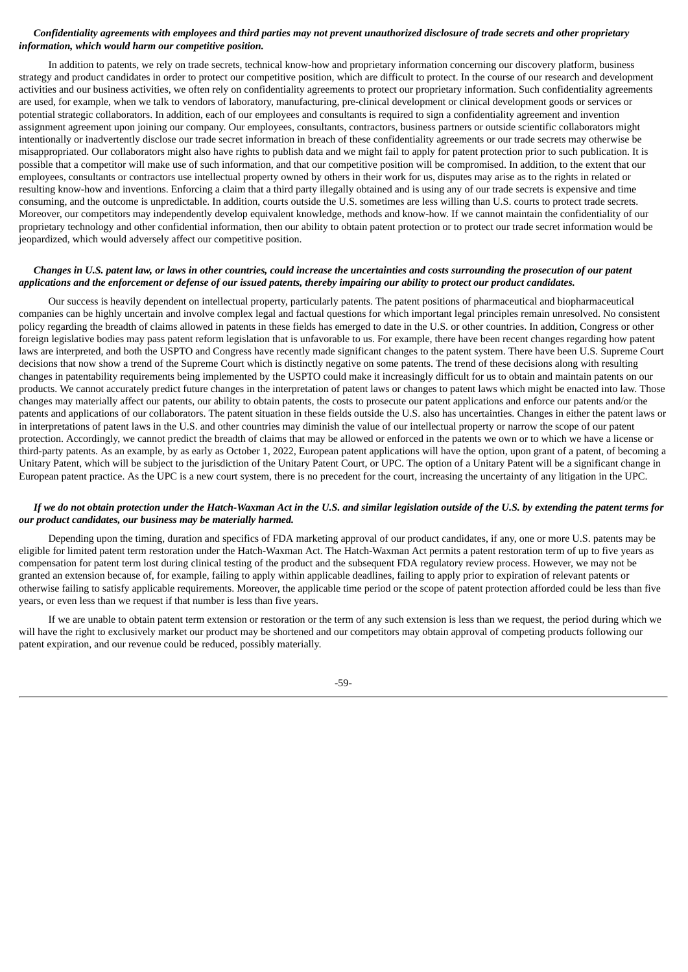### Confidentiality agreements with employees and third parties may not prevent unauthorized disclosure of trade secrets and other proprietary *information, which would harm our competitive position.*

In addition to patents, we rely on trade secrets, technical know-how and proprietary information concerning our discovery platform, business strategy and product candidates in order to protect our competitive position, which are difficult to protect. In the course of our research and development activities and our business activities, we often rely on confidentiality agreements to protect our proprietary information. Such confidentiality agreements are used, for example, when we talk to vendors of laboratory, manufacturing, pre-clinical development or clinical development goods or services or potential strategic collaborators. In addition, each of our employees and consultants is required to sign a confidentiality agreement and invention assignment agreement upon joining our company. Our employees, consultants, contractors, business partners or outside scientific collaborators might intentionally or inadvertently disclose our trade secret information in breach of these confidentiality agreements or our trade secrets may otherwise be misappropriated. Our collaborators might also have rights to publish data and we might fail to apply for patent protection prior to such publication. It is possible that a competitor will make use of such information, and that our competitive position will be compromised. In addition, to the extent that our employees, consultants or contractors use intellectual property owned by others in their work for us, disputes may arise as to the rights in related or resulting know-how and inventions. Enforcing a claim that a third party illegally obtained and is using any of our trade secrets is expensive and time consuming, and the outcome is unpredictable. In addition, courts outside the U.S. sometimes are less willing than U.S. courts to protect trade secrets. Moreover, our competitors may independently develop equivalent knowledge, methods and know-how. If we cannot maintain the confidentiality of our proprietary technology and other confidential information, then our ability to obtain patent protection or to protect our trade secret information would be jeopardized, which would adversely affect our competitive position.

### Changes in U.S. patent law, or laws in other countries, could increase the uncertainties and costs surrounding the prosecution of our patent applications and the enforcement or defense of our issued patents, thereby impairing our ability to protect our product candidates.

Our success is heavily dependent on intellectual property, particularly patents. The patent positions of pharmaceutical and biopharmaceutical companies can be highly uncertain and involve complex legal and factual questions for which important legal principles remain unresolved. No consistent policy regarding the breadth of claims allowed in patents in these fields has emerged to date in the U.S. or other countries. In addition, Congress or other foreign legislative bodies may pass patent reform legislation that is unfavorable to us. For example, there have been recent changes regarding how patent laws are interpreted, and both the USPTO and Congress have recently made significant changes to the patent system. There have been U.S. Supreme Court decisions that now show a trend of the Supreme Court which is distinctly negative on some patents. The trend of these decisions along with resulting changes in patentability requirements being implemented by the USPTO could make it increasingly difficult for us to obtain and maintain patents on our products. We cannot accurately predict future changes in the interpretation of patent laws or changes to patent laws which might be enacted into law. Those changes may materially affect our patents, our ability to obtain patents, the costs to prosecute our patent applications and enforce our patents and/or the patents and applications of our collaborators. The patent situation in these fields outside the U.S. also has uncertainties. Changes in either the patent laws or in interpretations of patent laws in the U.S. and other countries may diminish the value of our intellectual property or narrow the scope of our patent protection. Accordingly, we cannot predict the breadth of claims that may be allowed or enforced in the patents we own or to which we have a license or third-party patents. As an example, by as early as October 1, 2022, European patent applications will have the option, upon grant of a patent, of becoming a Unitary Patent, which will be subject to the jurisdiction of the Unitary Patent Court, or UPC. The option of a Unitary Patent will be a significant change in European patent practice. As the UPC is a new court system, there is no precedent for the court, increasing the uncertainty of any litigation in the UPC.

#### If we do not obtain protection under the Hatch-Waxman Act in the U.S. and similar legislation outside of the U.S. by extending the patent terms for *our product candidates, our business may be materially harmed.*

Depending upon the timing, duration and specifics of FDA marketing approval of our product candidates, if any, one or more U.S. patents may be eligible for limited patent term restoration under the Hatch-Waxman Act. The Hatch-Waxman Act permits a patent restoration term of up to five years as compensation for patent term lost during clinical testing of the product and the subsequent FDA regulatory review process. However, we may not be granted an extension because of, for example, failing to apply within applicable deadlines, failing to apply prior to expiration of relevant patents or otherwise failing to satisfy applicable requirements. Moreover, the applicable time period or the scope of patent protection afforded could be less than five years, or even less than we request if that number is less than five years.

If we are unable to obtain patent term extension or restoration or the term of any such extension is less than we request, the period during which we will have the right to exclusively market our product may be shortened and our competitors may obtain approval of competing products following our patent expiration, and our revenue could be reduced, possibly materially.

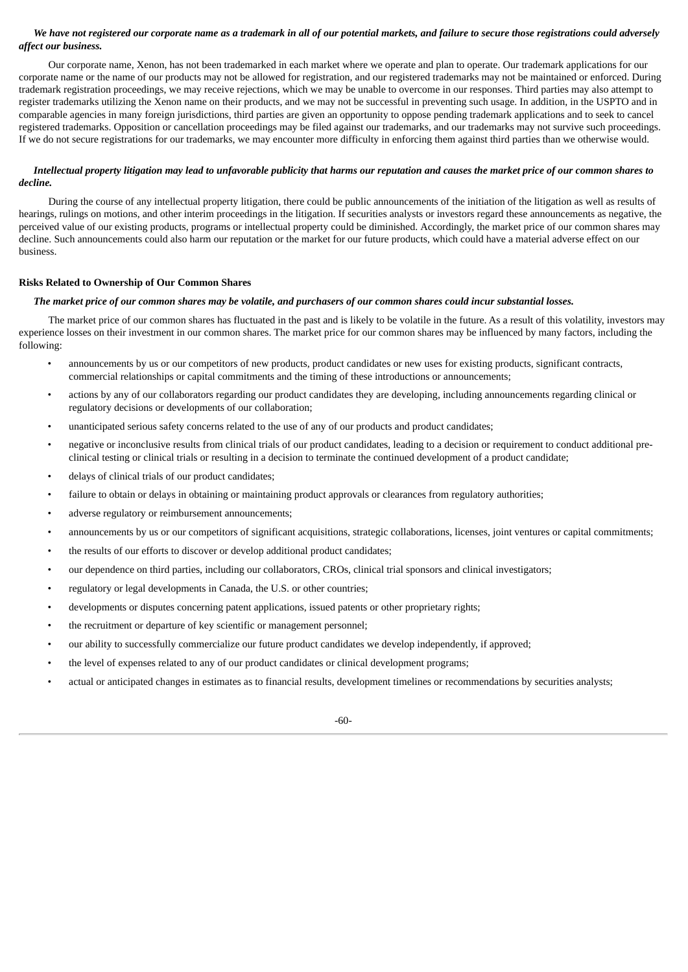## We have not registered our corporate name as a trademark in all of our potential markets, and failure to secure those registrations could adversely *affect our business.*

Our corporate name, Xenon, has not been trademarked in each market where we operate and plan to operate. Our trademark applications for our corporate name or the name of our products may not be allowed for registration, and our registered trademarks may not be maintained or enforced. During trademark registration proceedings, we may receive rejections, which we may be unable to overcome in our responses. Third parties may also attempt to register trademarks utilizing the Xenon name on their products, and we may not be successful in preventing such usage. In addition, in the USPTO and in comparable agencies in many foreign jurisdictions, third parties are given an opportunity to oppose pending trademark applications and to seek to cancel registered trademarks. Opposition or cancellation proceedings may be filed against our trademarks, and our trademarks may not survive such proceedings. If we do not secure registrations for our trademarks, we may encounter more difficulty in enforcing them against third parties than we otherwise would.

# Intellectual property litigation may lead to unfavorable publicity that harms our reputation and causes the market price of our common shares to *decline.*

During the course of any intellectual property litigation, there could be public announcements of the initiation of the litigation as well as results of hearings, rulings on motions, and other interim proceedings in the litigation. If securities analysts or investors regard these announcements as negative, the perceived value of our existing products, programs or intellectual property could be diminished. Accordingly, the market price of our common shares may decline. Such announcements could also harm our reputation or the market for our future products, which could have a material adverse effect on our business.

#### **Risks Related to Ownership of Our Common Shares**

### The market price of our common shares may be volatile, and purchasers of our common shares could incur substantial losses.

The market price of our common shares has fluctuated in the past and is likely to be volatile in the future. As a result of this volatility, investors may experience losses on their investment in our common shares. The market price for our common shares may be influenced by many factors, including the following:

- announcements by us or our competitors of new products, product candidates or new uses for existing products, significant contracts, commercial relationships or capital commitments and the timing of these introductions or announcements;
- actions by any of our collaborators regarding our product candidates they are developing, including announcements regarding clinical or regulatory decisions or developments of our collaboration;
- unanticipated serious safety concerns related to the use of any of our products and product candidates;
- negative or inconclusive results from clinical trials of our product candidates, leading to a decision or requirement to conduct additional preclinical testing or clinical trials or resulting in a decision to terminate the continued development of a product candidate;
- delays of clinical trials of our product candidates;
- failure to obtain or delays in obtaining or maintaining product approvals or clearances from regulatory authorities;
- adverse regulatory or reimbursement announcements;
- announcements by us or our competitors of significant acquisitions, strategic collaborations, licenses, joint ventures or capital commitments;
- the results of our efforts to discover or develop additional product candidates;
- our dependence on third parties, including our collaborators, CROs, clinical trial sponsors and clinical investigators;
- regulatory or legal developments in Canada, the U.S. or other countries;
- developments or disputes concerning patent applications, issued patents or other proprietary rights;
- the recruitment or departure of key scientific or management personnel;
- our ability to successfully commercialize our future product candidates we develop independently, if approved;
- the level of expenses related to any of our product candidates or clinical development programs;
- actual or anticipated changes in estimates as to financial results, development timelines or recommendations by securities analysts;

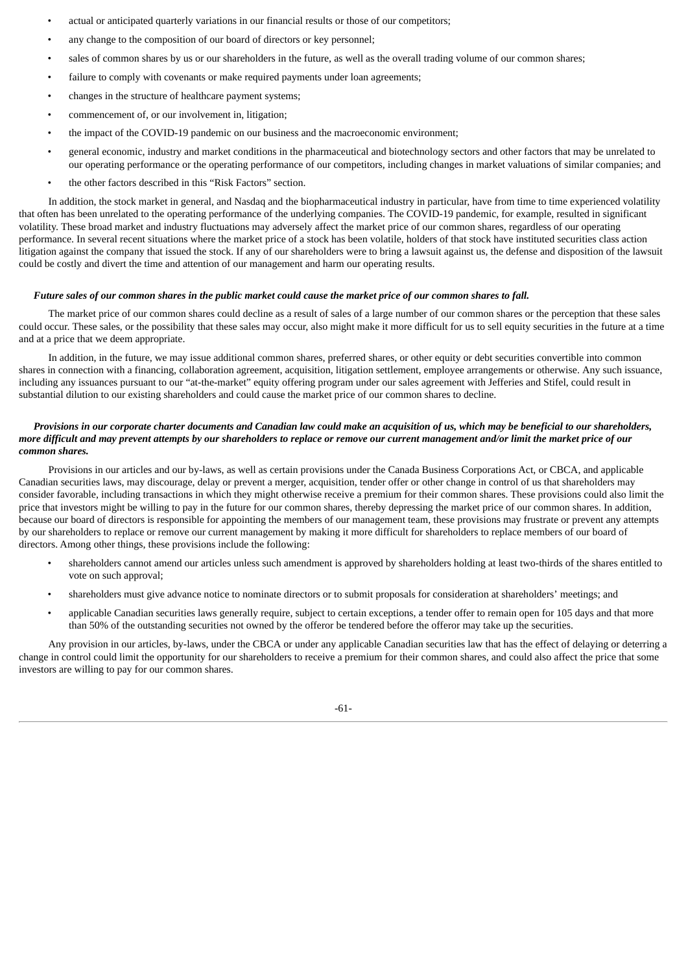- actual or anticipated quarterly variations in our financial results or those of our competitors;
- any change to the composition of our board of directors or key personnel;
- sales of common shares by us or our shareholders in the future, as well as the overall trading volume of our common shares;
- failure to comply with covenants or make required payments under loan agreements;
- changes in the structure of healthcare payment systems;
- commencement of, or our involvement in, litigation;
- the impact of the COVID-19 pandemic on our business and the macroeconomic environment;
- general economic, industry and market conditions in the pharmaceutical and biotechnology sectors and other factors that may be unrelated to our operating performance or the operating performance of our competitors, including changes in market valuations of similar companies; and
- the other factors described in this "Risk Factors" section.

In addition, the stock market in general, and Nasdaq and the biopharmaceutical industry in particular, have from time to time experienced volatility that often has been unrelated to the operating performance of the underlying companies. The COVID-19 pandemic, for example, resulted in significant volatility. These broad market and industry fluctuations may adversely affect the market price of our common shares, regardless of our operating performance. In several recent situations where the market price of a stock has been volatile, holders of that stock have instituted securities class action litigation against the company that issued the stock. If any of our shareholders were to bring a lawsuit against us, the defense and disposition of the lawsuit could be costly and divert the time and attention of our management and harm our operating results.

#### Future sales of our common shares in the public market could cause the market price of our common shares to fall.

The market price of our common shares could decline as a result of sales of a large number of our common shares or the perception that these sales could occur. These sales, or the possibility that these sales may occur, also might make it more difficult for us to sell equity securities in the future at a time and at a price that we deem appropriate.

In addition, in the future, we may issue additional common shares, preferred shares, or other equity or debt securities convertible into common shares in connection with a financing, collaboration agreement, acquisition, litigation settlement, employee arrangements or otherwise. Any such issuance, including any issuances pursuant to our "at-the-market" equity offering program under our sales agreement with Jefferies and Stifel, could result in substantial dilution to our existing shareholders and could cause the market price of our common shares to decline.

### Provisions in our corporate charter documents and Canadian law could make an acquisition of us, which may be beneficial to our shareholders, more difficult and may prevent attempts by our shareholders to replace or remove our current management and/or limit the market price of our *common shares.*

Provisions in our articles and our by-laws, as well as certain provisions under the Canada Business Corporations Act, or CBCA, and applicable Canadian securities laws, may discourage, delay or prevent a merger, acquisition, tender offer or other change in control of us that shareholders may consider favorable, including transactions in which they might otherwise receive a premium for their common shares. These provisions could also limit the price that investors might be willing to pay in the future for our common shares, thereby depressing the market price of our common shares. In addition, because our board of directors is responsible for appointing the members of our management team, these provisions may frustrate or prevent any attempts by our shareholders to replace or remove our current management by making it more difficult for shareholders to replace members of our board of directors. Among other things, these provisions include the following:

- shareholders cannot amend our articles unless such amendment is approved by shareholders holding at least two-thirds of the shares entitled to vote on such approval;
- shareholders must give advance notice to nominate directors or to submit proposals for consideration at shareholders' meetings; and
- applicable Canadian securities laws generally require, subject to certain exceptions, a tender offer to remain open for 105 days and that more than 50% of the outstanding securities not owned by the offeror be tendered before the offeror may take up the securities.

Any provision in our articles, by-laws, under the CBCA or under any applicable Canadian securities law that has the effect of delaying or deterring a change in control could limit the opportunity for our shareholders to receive a premium for their common shares, and could also affect the price that some investors are willing to pay for our common shares.

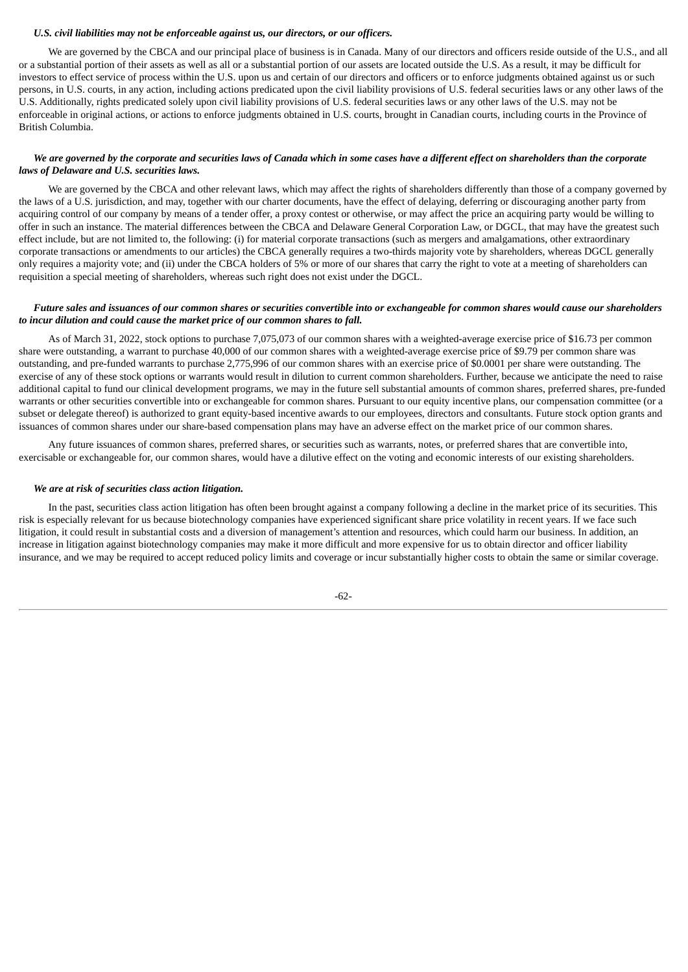#### *U.S. civil liabilities may not be enforceable against us, our directors, or our officers.*

We are governed by the CBCA and our principal place of business is in Canada. Many of our directors and officers reside outside of the U.S., and all or a substantial portion of their assets as well as all or a substantial portion of our assets are located outside the U.S. As a result, it may be difficult for investors to effect service of process within the U.S. upon us and certain of our directors and officers or to enforce judgments obtained against us or such persons, in U.S. courts, in any action, including actions predicated upon the civil liability provisions of U.S. federal securities laws or any other laws of the U.S. Additionally, rights predicated solely upon civil liability provisions of U.S. federal securities laws or any other laws of the U.S. may not be enforceable in original actions, or actions to enforce judgments obtained in U.S. courts, brought in Canadian courts, including courts in the Province of British Columbia.

### We are governed by the corporate and securities laws of Canada which in some cases have a different effect on shareholders than the corporate *laws of Delaware and U.S. securities laws.*

We are governed by the CBCA and other relevant laws, which may affect the rights of shareholders differently than those of a company governed by the laws of a U.S. jurisdiction, and may, together with our charter documents, have the effect of delaying, deferring or discouraging another party from acquiring control of our company by means of a tender offer, a proxy contest or otherwise, or may affect the price an acquiring party would be willing to offer in such an instance. The material differences between the CBCA and Delaware General Corporation Law, or DGCL, that may have the greatest such effect include, but are not limited to, the following: (i) for material corporate transactions (such as mergers and amalgamations, other extraordinary corporate transactions or amendments to our articles) the CBCA generally requires a two-thirds majority vote by shareholders, whereas DGCL generally only requires a majority vote; and (ii) under the CBCA holders of 5% or more of our shares that carry the right to vote at a meeting of shareholders can requisition a special meeting of shareholders, whereas such right does not exist under the DGCL.

#### Future sales and issuances of our common shares or securities convertible into or exchangeable for common shares would cause our shareholders *to incur dilution and could cause the market price of our common shares to fall.*

As of March 31, 2022, stock options to purchase 7,075,073 of our common shares with a weighted-average exercise price of \$16.73 per common share were outstanding, a warrant to purchase 40,000 of our common shares with a weighted-average exercise price of \$9.79 per common share was outstanding, and pre-funded warrants to purchase 2,775,996 of our common shares with an exercise price of \$0.0001 per share were outstanding. The exercise of any of these stock options or warrants would result in dilution to current common shareholders. Further, because we anticipate the need to raise additional capital to fund our clinical development programs, we may in the future sell substantial amounts of common shares, preferred shares, pre-funded warrants or other securities convertible into or exchangeable for common shares. Pursuant to our equity incentive plans, our compensation committee (or a subset or delegate thereof) is authorized to grant equity-based incentive awards to our employees, directors and consultants. Future stock option grants and issuances of common shares under our share-based compensation plans may have an adverse effect on the market price of our common shares.

Any future issuances of common shares, preferred shares, or securities such as warrants, notes, or preferred shares that are convertible into, exercisable or exchangeable for, our common shares, would have a dilutive effect on the voting and economic interests of our existing shareholders.

#### *We are at risk of securities class action litigation.*

In the past, securities class action litigation has often been brought against a company following a decline in the market price of its securities. This risk is especially relevant for us because biotechnology companies have experienced significant share price volatility in recent years. If we face such litigation, it could result in substantial costs and a diversion of management's attention and resources, which could harm our business. In addition, an increase in litigation against biotechnology companies may make it more difficult and more expensive for us to obtain director and officer liability insurance, and we may be required to accept reduced policy limits and coverage or incur substantially higher costs to obtain the same or similar coverage.

$$
-62-
$$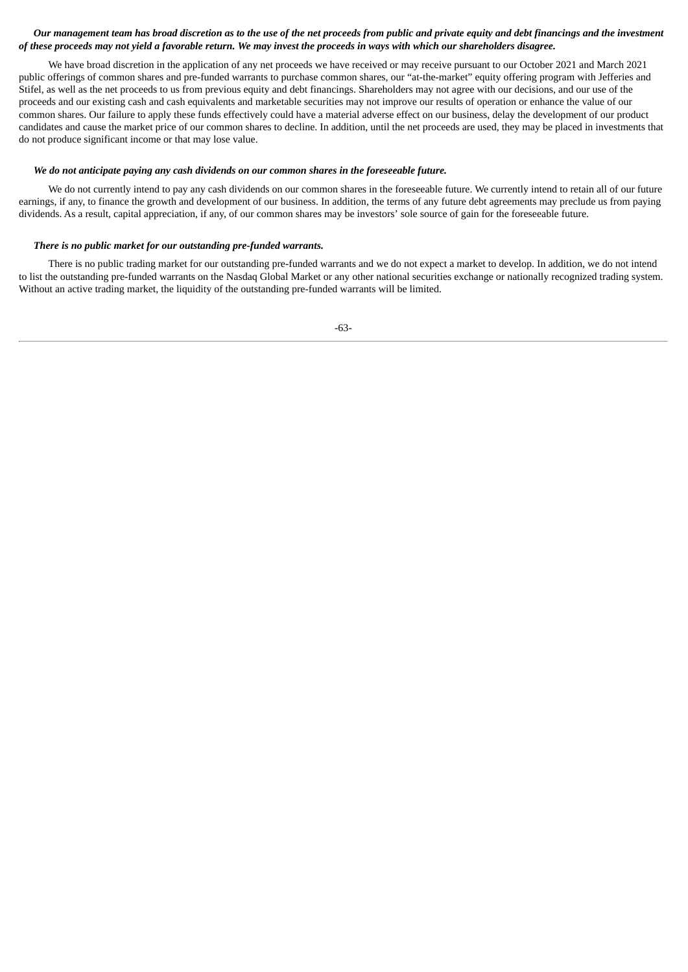# Our management team has broad discretion as to the use of the net proceeds from public and private equity and debt financings and the investment of these proceeds may not yield a favorable return. We may invest the proceeds in ways with which our shareholders disagree.

We have broad discretion in the application of any net proceeds we have received or may receive pursuant to our October 2021 and March 2021 public offerings of common shares and pre-funded warrants to purchase common shares, our "at-the-market" equity offering program with Jefferies and Stifel, as well as the net proceeds to us from previous equity and debt financings. Shareholders may not agree with our decisions, and our use of the proceeds and our existing cash and cash equivalents and marketable securities may not improve our results of operation or enhance the value of our common shares. Our failure to apply these funds effectively could have a material adverse effect on our business, delay the development of our product candidates and cause the market price of our common shares to decline. In addition, until the net proceeds are used, they may be placed in investments that do not produce significant income or that may lose value.

#### *We do not anticipate paying any cash dividends on our common shares in the foreseeable future.*

We do not currently intend to pay any cash dividends on our common shares in the foreseeable future. We currently intend to retain all of our future earnings, if any, to finance the growth and development of our business. In addition, the terms of any future debt agreements may preclude us from paying dividends. As a result, capital appreciation, if any, of our common shares may be investors' sole source of gain for the foreseeable future.

#### *There is no public market for our outstanding pre-funded warrants.*

There is no public trading market for our outstanding pre-funded warrants and we do not expect a market to develop. In addition, we do not intend to list the outstanding pre-funded warrants on the Nasdaq Global Market or any other national securities exchange or nationally recognized trading system. Without an active trading market, the liquidity of the outstanding pre-funded warrants will be limited.

-63-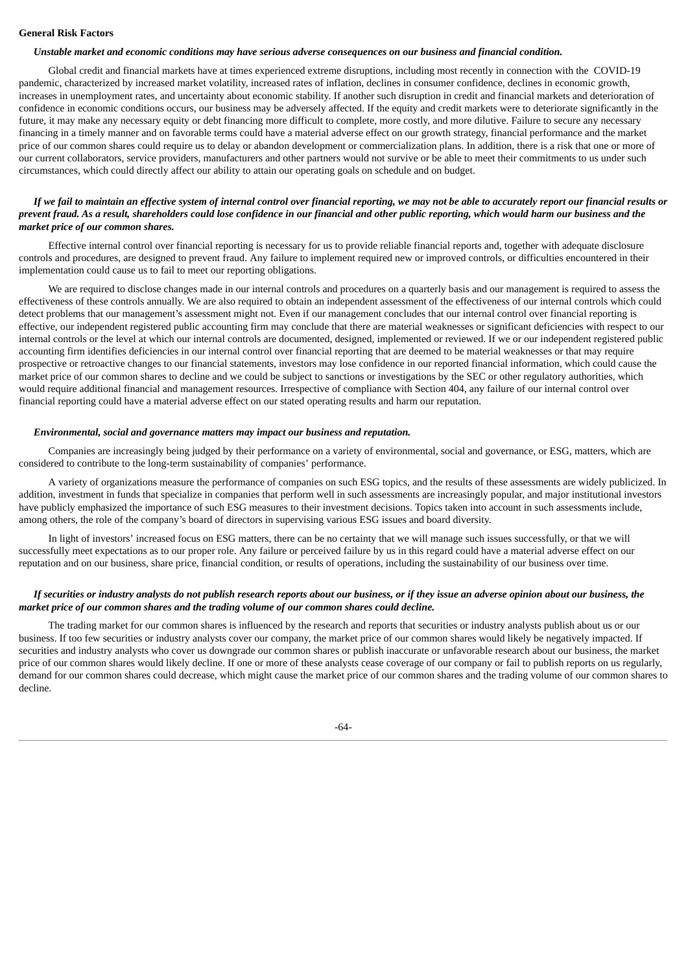#### **General Risk Factors**

#### Unstable market and economic conditions may have serious adverse consequences on our business and financial condition.

Global credit and financial markets have at times experienced extreme disruptions, including most recently in connection with the COVID-19 pandemic, characterized by increased market volatility, increased rates of inflation, declines in consumer confidence, declines in economic growth, increases in unemployment rates, and uncertainty about economic stability. If another such disruption in credit and financial markets and deterioration of confidence in economic conditions occurs, our business may be adversely affected. If the equity and credit markets were to deteriorate significantly in the future, it may make any necessary equity or debt financing more difficult to complete, more costly, and more dilutive. Failure to secure any necessary financing in a timely manner and on favorable terms could have a material adverse effect on our growth strategy, financial performance and the market price of our common shares could require us to delay or abandon development or commercialization plans. In addition, there is a risk that one or more of our current collaborators, service providers, manufacturers and other partners would not survive or be able to meet their commitments to us under such circumstances, which could directly affect our ability to attain our operating goals on schedule and on budget.

### If we fail to maintain an effective system of internal control over financial reporting, we may not be able to accurately report our financial results or prevent fraud. As a result, shareholders could lose confidence in our financial and other public reporting, which would harm our business and the *market price of our common shares.*

Effective internal control over financial reporting is necessary for us to provide reliable financial reports and, together with adequate disclosure controls and procedures, are designed to prevent fraud. Any failure to implement required new or improved controls, or difficulties encountered in their implementation could cause us to fail to meet our reporting obligations.

We are required to disclose changes made in our internal controls and procedures on a quarterly basis and our management is required to assess the effectiveness of these controls annually. We are also required to obtain an independent assessment of the effectiveness of our internal controls which could detect problems that our management's assessment might not. Even if our management concludes that our internal control over financial reporting is effective, our independent registered public accounting firm may conclude that there are material weaknesses or significant deficiencies with respect to our internal controls or the level at which our internal controls are documented, designed, implemented or reviewed. If we or our independent registered public accounting firm identifies deficiencies in our internal control over financial reporting that are deemed to be material weaknesses or that may require prospective or retroactive changes to our financial statements, investors may lose confidence in our reported financial information, which could cause the market price of our common shares to decline and we could be subject to sanctions or investigations by the SEC or other regulatory authorities, which would require additional financial and management resources. Irrespective of compliance with Section 404, any failure of our internal control over financial reporting could have a material adverse effect on our stated operating results and harm our reputation.

#### *Environmental, social and governance matters may impact our business and reputation.*

Companies are increasingly being judged by their performance on a variety of environmental, social and governance, or ESG, matters, which are considered to contribute to the long-term sustainability of companies' performance.

A variety of organizations measure the performance of companies on such ESG topics, and the results of these assessments are widely publicized. In addition, investment in funds that specialize in companies that perform well in such assessments are increasingly popular, and major institutional investors have publicly emphasized the importance of such ESG measures to their investment decisions. Topics taken into account in such assessments include, among others, the role of the company's board of directors in supervising various ESG issues and board diversity.

In light of investors' increased focus on ESG matters, there can be no certainty that we will manage such issues successfully, or that we will successfully meet expectations as to our proper role. Any failure or perceived failure by us in this regard could have a material adverse effect on our reputation and on our business, share price, financial condition, or results of operations, including the sustainability of our business over time.

#### If securities or industry analysts do not publish research reports about our business, or if they issue an adverse opinion about our business, the *market price of our common shares and the trading volume of our common shares could decline.*

The trading market for our common shares is influenced by the research and reports that securities or industry analysts publish about us or our business. If too few securities or industry analysts cover our company, the market price of our common shares would likely be negatively impacted. If securities and industry analysts who cover us downgrade our common shares or publish inaccurate or unfavorable research about our business, the market price of our common shares would likely decline. If one or more of these analysts cease coverage of our company or fail to publish reports on us regularly, demand for our common shares could decrease, which might cause the market price of our common shares and the trading volume of our common shares to decline.

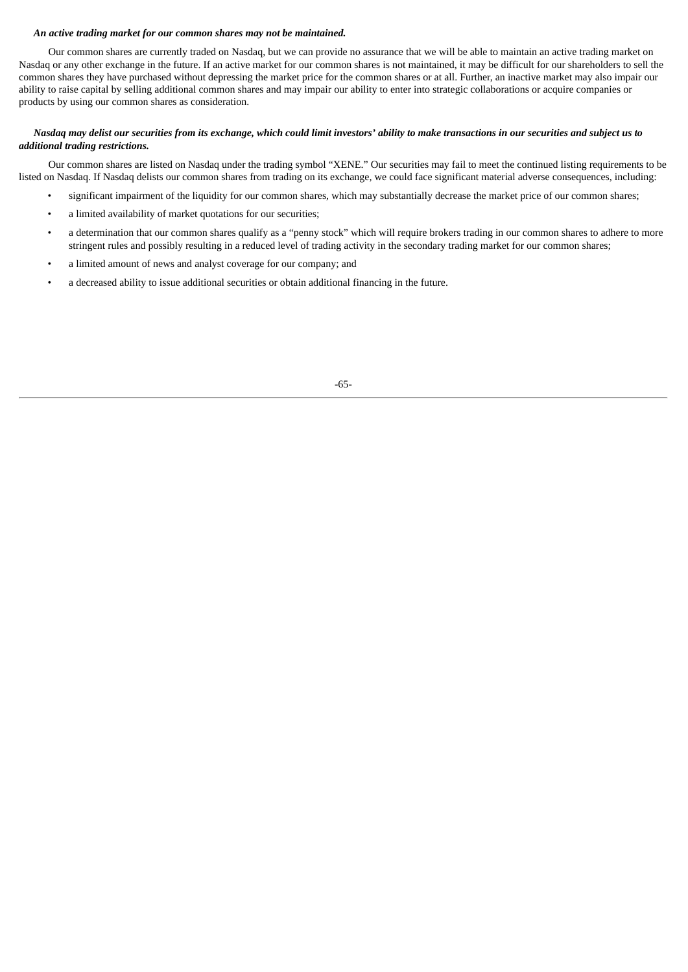#### *An active trading market for our common shares may not be maintained.*

Our common shares are currently traded on Nasdaq, but we can provide no assurance that we will be able to maintain an active trading market on Nasdaq or any other exchange in the future. If an active market for our common shares is not maintained, it may be difficult for our shareholders to sell the common shares they have purchased without depressing the market price for the common shares or at all. Further, an inactive market may also impair our ability to raise capital by selling additional common shares and may impair our ability to enter into strategic collaborations or acquire companies or products by using our common shares as consideration.

## Nasdaq may delist our securities from its exchange, which could limit investors' ability to make transactions in our securities and subject us to *additional trading restrictions.*

Our common shares are listed on Nasdaq under the trading symbol "XENE." Our securities may fail to meet the continued listing requirements to be listed on Nasdaq. If Nasdaq delists our common shares from trading on its exchange, we could face significant material adverse consequences, including:

- significant impairment of the liquidity for our common shares, which may substantially decrease the market price of our common shares;
- a limited availability of market quotations for our securities;
- a determination that our common shares qualify as a "penny stock" which will require brokers trading in our common shares to adhere to more stringent rules and possibly resulting in a reduced level of trading activity in the secondary trading market for our common shares;
- a limited amount of news and analyst coverage for our company; and
- a decreased ability to issue additional securities or obtain additional financing in the future.

-65-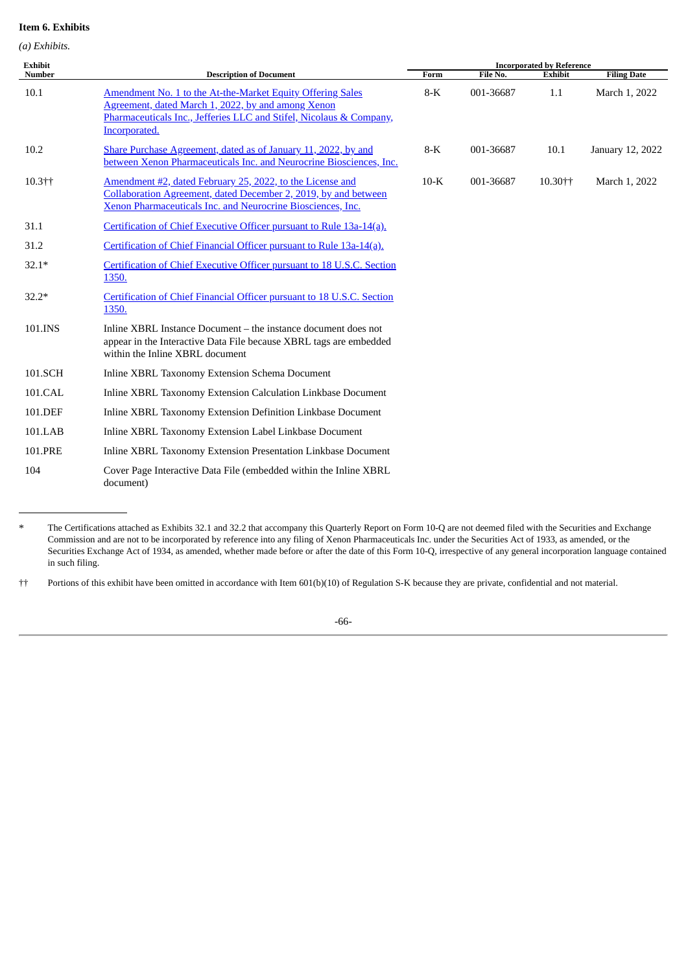# **Item 6. Exhibits**

*(a) Exhibits.*

| <b>Exhibit</b> |                                                                                                                                                                                                          | <b>Incorporated by Reference</b> |           |                |                    |
|----------------|----------------------------------------------------------------------------------------------------------------------------------------------------------------------------------------------------------|----------------------------------|-----------|----------------|--------------------|
| <b>Number</b>  | <b>Description of Document</b>                                                                                                                                                                           | Form                             | File No.  | <b>Exhibit</b> | <b>Filing Date</b> |
| 10.1           | Amendment No. 1 to the At-the-Market Equity Offering Sales<br>Agreement, dated March 1, 2022, by and among Xenon<br>Pharmaceuticals Inc., Jefferies LLC and Stifel, Nicolaus & Company,<br>Incorporated. | $8-K$                            | 001-36687 | 1.1            | March 1, 2022      |
| 10.2           | Share Purchase Agreement, dated as of January 11, 2022, by and<br>between Xenon Pharmaceuticals Inc. and Neurocrine Biosciences, Inc.                                                                    | $8-K$                            | 001-36687 | 10.1           | January 12, 2022   |
| $10.3 +$       | Amendment #2, dated February 25, 2022, to the License and<br>Collaboration Agreement, dated December 2, 2019, by and between<br>Xenon Pharmaceuticals Inc. and Neurocrine Biosciences, Inc.              | $10-K$                           | 001-36687 | 10.30++        | March 1, 2022      |
| 31.1           | Certification of Chief Executive Officer pursuant to Rule 13a-14(a).                                                                                                                                     |                                  |           |                |                    |
| 31.2           | Certification of Chief Financial Officer pursuant to Rule 13a-14(a).                                                                                                                                     |                                  |           |                |                    |
| $32.1*$        | Certification of Chief Executive Officer pursuant to 18 U.S.C. Section<br>1350.                                                                                                                          |                                  |           |                |                    |
| $32.2*$        | Certification of Chief Financial Officer pursuant to 18 U.S.C. Section<br>1350.                                                                                                                          |                                  |           |                |                    |
| 101.INS        | Inline XBRL Instance Document – the instance document does not<br>appear in the Interactive Data File because XBRL tags are embedded<br>within the Inline XBRL document                                  |                                  |           |                |                    |
| 101.SCH        | Inline XBRL Taxonomy Extension Schema Document                                                                                                                                                           |                                  |           |                |                    |
| 101.CAL        | Inline XBRL Taxonomy Extension Calculation Linkbase Document                                                                                                                                             |                                  |           |                |                    |
| 101.DEF        | Inline XBRL Taxonomy Extension Definition Linkbase Document                                                                                                                                              |                                  |           |                |                    |
| 101.LAB        | Inline XBRL Taxonomy Extension Label Linkbase Document                                                                                                                                                   |                                  |           |                |                    |
| 101.PRE        | Inline XBRL Taxonomy Extension Presentation Linkbase Document                                                                                                                                            |                                  |           |                |                    |
| 104            | Cover Page Interactive Data File (embedded within the Inline XBRL<br>document)                                                                                                                           |                                  |           |                |                    |

The Certifications attached as Exhibits 32.1 and 32.2 that accompany this Quarterly Report on Form 10-Q are not deemed filed with the Securities and Exchange Commission and are not to be incorporated by reference into any filing of Xenon Pharmaceuticals Inc. under the Securities Act of 1933, as amended, or the Securities Exchange Act of 1934, as amended, whether made before or after the date of this Form 10-Q, irrespective of any general incorporation language contained in such filing.

-66-

<sup>††</sup> Portions of this exhibit have been omitted in accordance with Item 601(b)(10) of Regulation S-K because they are private, confidential and not material.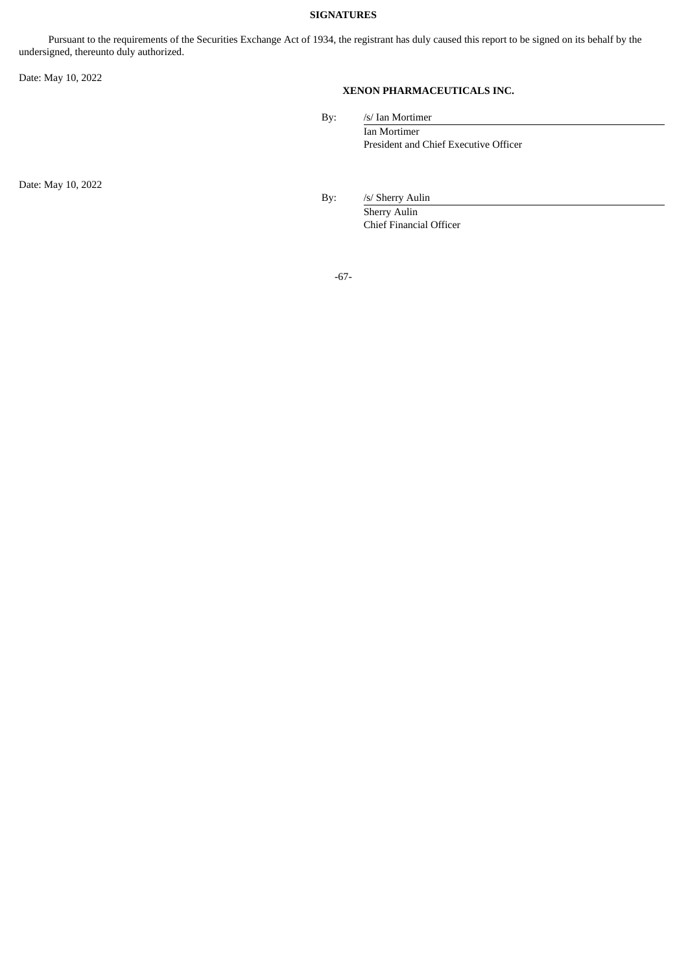# **SIGNATURES**

Pursuant to the requirements of the Securities Exchange Act of 1934, the registrant has duly caused this report to be signed on its behalf by the undersigned, thereunto duly authorized.

Date: May 10, 2022

# **XENON PHARMACEUTICALS INC.**

By: /s/ Ian Mortimer Ian Mortimer President and Chief Executive Officer

Date: May 10, 2022

By: /s/ Sherry Aulin Sherry Aulin

Chief Financial Officer

-67-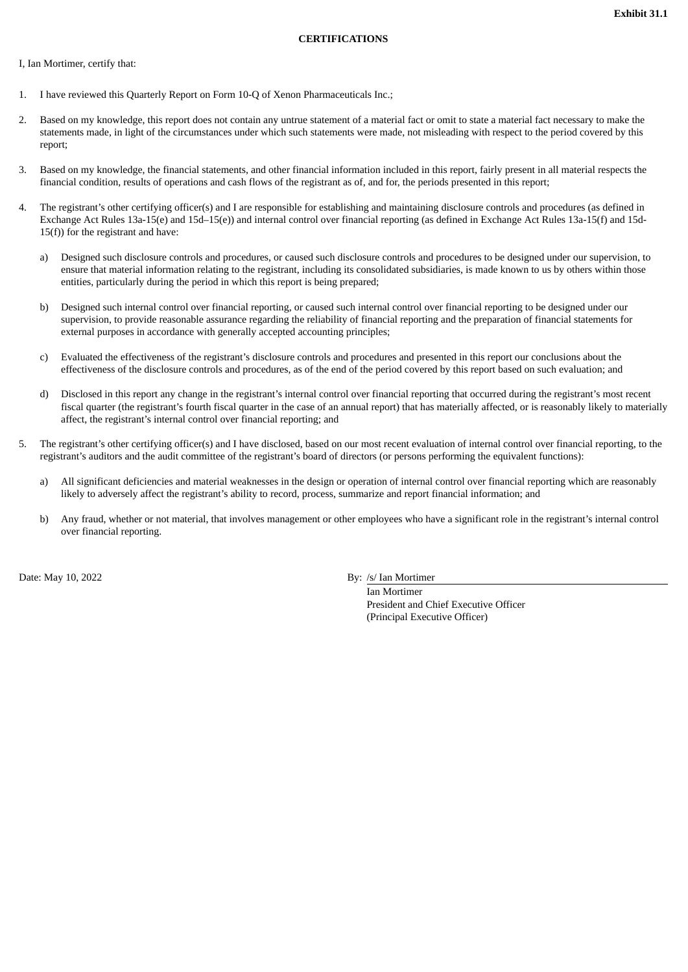## **CERTIFICATIONS**

<span id="page-68-0"></span>I, Ian Mortimer, certify that:

- 1. I have reviewed this Quarterly Report on Form 10-Q of Xenon Pharmaceuticals Inc.;
- 2. Based on my knowledge, this report does not contain any untrue statement of a material fact or omit to state a material fact necessary to make the statements made, in light of the circumstances under which such statements were made, not misleading with respect to the period covered by this report;
- 3. Based on my knowledge, the financial statements, and other financial information included in this report, fairly present in all material respects the financial condition, results of operations and cash flows of the registrant as of, and for, the periods presented in this report;
- 4. The registrant's other certifying officer(s) and I are responsible for establishing and maintaining disclosure controls and procedures (as defined in Exchange Act Rules 13a-15(e) and 15d–15(e)) and internal control over financial reporting (as defined in Exchange Act Rules 13a-15(f) and 15d-15(f)) for the registrant and have:
	- a) Designed such disclosure controls and procedures, or caused such disclosure controls and procedures to be designed under our supervision, to ensure that material information relating to the registrant, including its consolidated subsidiaries, is made known to us by others within those entities, particularly during the period in which this report is being prepared;
	- b) Designed such internal control over financial reporting, or caused such internal control over financial reporting to be designed under our supervision, to provide reasonable assurance regarding the reliability of financial reporting and the preparation of financial statements for external purposes in accordance with generally accepted accounting principles;
	- c) Evaluated the effectiveness of the registrant's disclosure controls and procedures and presented in this report our conclusions about the effectiveness of the disclosure controls and procedures, as of the end of the period covered by this report based on such evaluation; and
	- d) Disclosed in this report any change in the registrant's internal control over financial reporting that occurred during the registrant's most recent fiscal quarter (the registrant's fourth fiscal quarter in the case of an annual report) that has materially affected, or is reasonably likely to materially affect, the registrant's internal control over financial reporting; and
- 5. The registrant's other certifying officer(s) and I have disclosed, based on our most recent evaluation of internal control over financial reporting, to the registrant's auditors and the audit committee of the registrant's board of directors (or persons performing the equivalent functions):
	- a) All significant deficiencies and material weaknesses in the design or operation of internal control over financial reporting which are reasonably likely to adversely affect the registrant's ability to record, process, summarize and report financial information; and
	- b) Any fraud, whether or not material, that involves management or other employees who have a significant role in the registrant's internal control over financial reporting.

Date: May 10, 2022 By: /s/ Ian Mortimer

Ian Mortimer President and Chief Executive Officer (Principal Executive Officer)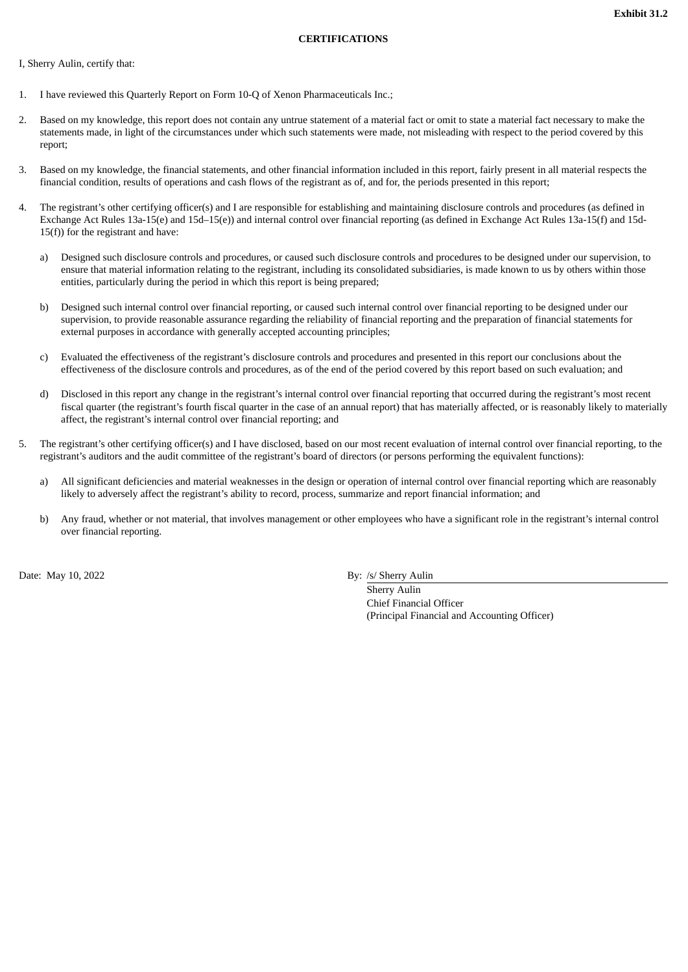## **CERTIFICATIONS**

<span id="page-69-0"></span>I, Sherry Aulin, certify that:

- 1. I have reviewed this Quarterly Report on Form 10-Q of Xenon Pharmaceuticals Inc.;
- 2. Based on my knowledge, this report does not contain any untrue statement of a material fact or omit to state a material fact necessary to make the statements made, in light of the circumstances under which such statements were made, not misleading with respect to the period covered by this report;
- 3. Based on my knowledge, the financial statements, and other financial information included in this report, fairly present in all material respects the financial condition, results of operations and cash flows of the registrant as of, and for, the periods presented in this report;
- 4. The registrant's other certifying officer(s) and I are responsible for establishing and maintaining disclosure controls and procedures (as defined in Exchange Act Rules 13a-15(e) and 15d–15(e)) and internal control over financial reporting (as defined in Exchange Act Rules 13a-15(f) and 15d-15(f)) for the registrant and have:
	- a) Designed such disclosure controls and procedures, or caused such disclosure controls and procedures to be designed under our supervision, to ensure that material information relating to the registrant, including its consolidated subsidiaries, is made known to us by others within those entities, particularly during the period in which this report is being prepared;
	- b) Designed such internal control over financial reporting, or caused such internal control over financial reporting to be designed under our supervision, to provide reasonable assurance regarding the reliability of financial reporting and the preparation of financial statements for external purposes in accordance with generally accepted accounting principles;
	- c) Evaluated the effectiveness of the registrant's disclosure controls and procedures and presented in this report our conclusions about the effectiveness of the disclosure controls and procedures, as of the end of the period covered by this report based on such evaluation; and
	- d) Disclosed in this report any change in the registrant's internal control over financial reporting that occurred during the registrant's most recent fiscal quarter (the registrant's fourth fiscal quarter in the case of an annual report) that has materially affected, or is reasonably likely to materially affect, the registrant's internal control over financial reporting; and
- 5. The registrant's other certifying officer(s) and I have disclosed, based on our most recent evaluation of internal control over financial reporting, to the registrant's auditors and the audit committee of the registrant's board of directors (or persons performing the equivalent functions):
	- a) All significant deficiencies and material weaknesses in the design or operation of internal control over financial reporting which are reasonably likely to adversely affect the registrant's ability to record, process, summarize and report financial information; and
	- b) Any fraud, whether or not material, that involves management or other employees who have a significant role in the registrant's internal control over financial reporting.

Date: May 10, 2022 By: /s/ Sherry Aulin

Sherry Aulin Chief Financial Officer (Principal Financial and Accounting Officer)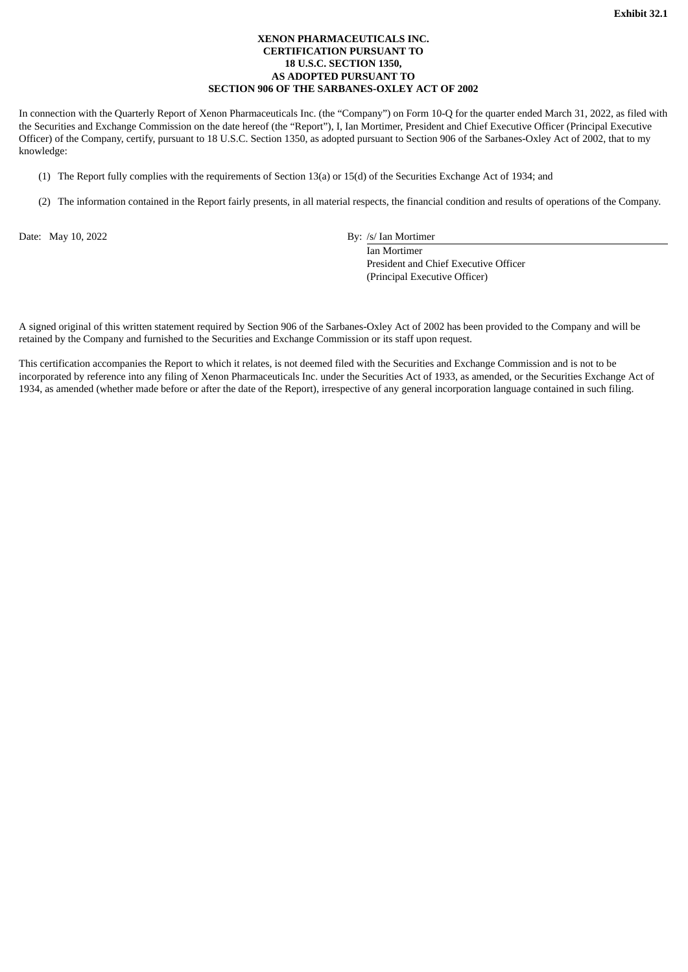## **XENON PHARMACEUTICALS INC. CERTIFICATION PURSUANT TO 18 U.S.C. SECTION 1350, AS ADOPTED PURSUANT TO SECTION 906 OF THE SARBANES-OXLEY ACT OF 2002**

<span id="page-70-0"></span>In connection with the Quarterly Report of Xenon Pharmaceuticals Inc. (the "Company") on Form 10-Q for the quarter ended March 31, 2022, as filed with the Securities and Exchange Commission on the date hereof (the "Report"), I, Ian Mortimer, President and Chief Executive Officer (Principal Executive Officer) of the Company, certify, pursuant to 18 U.S.C. Section 1350, as adopted pursuant to Section 906 of the Sarbanes-Oxley Act of 2002, that to my knowledge:

- (1) The Report fully complies with the requirements of Section 13(a) or 15(d) of the Securities Exchange Act of 1934; and
- (2) The information contained in the Report fairly presents, in all material respects, the financial condition and results of operations of the Company.

Date: May 10, 2022 By: /s/ Ian Mortimer

Ian Mortimer President and Chief Executive Officer (Principal Executive Officer)

A signed original of this written statement required by Section 906 of the Sarbanes-Oxley Act of 2002 has been provided to the Company and will be retained by the Company and furnished to the Securities and Exchange Commission or its staff upon request.

This certification accompanies the Report to which it relates, is not deemed filed with the Securities and Exchange Commission and is not to be incorporated by reference into any filing of Xenon Pharmaceuticals Inc. under the Securities Act of 1933, as amended, or the Securities Exchange Act of 1934, as amended (whether made before or after the date of the Report), irrespective of any general incorporation language contained in such filing.